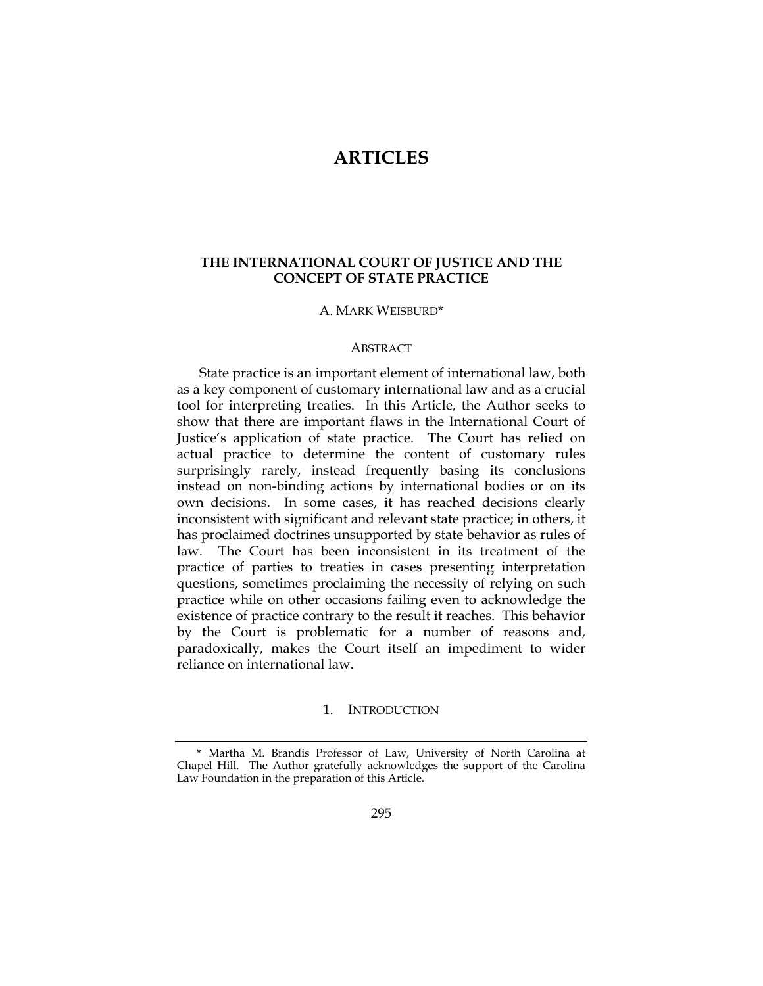# **ARTICLES**

# **THE INTERNATIONAL COURT OF JUSTICE AND THE CONCEPT OF STATE PRACTICE**

#### A. MARK WEISBURD\*

#### **ABSTRACT**

State practice is an important element of international law, both as a key component of customary international law and as a crucial tool for interpreting treaties. In this Article, the Author seeks to show that there are important flaws in the International Court of Justice's application of state practice. The Court has relied on actual practice to determine the content of customary rules surprisingly rarely, instead frequently basing its conclusions instead on non-binding actions by international bodies or on its own decisions. In some cases, it has reached decisions clearly inconsistent with significant and relevant state practice; in others, it has proclaimed doctrines unsupported by state behavior as rules of law. The Court has been inconsistent in its treatment of the practice of parties to treaties in cases presenting interpretation questions, sometimes proclaiming the necessity of relying on such practice while on other occasions failing even to acknowledge the existence of practice contrary to the result it reaches. This behavior by the Court is problematic for a number of reasons and, paradoxically, makes the Court itself an impediment to wider reliance on international law.

#### 1. INTRODUCTION

<sup>\*</sup> Martha M. Brandis Professor of Law, University of North Carolina at Chapel Hill. The Author gratefully acknowledges the support of the Carolina Law Foundation in the preparation of this Article.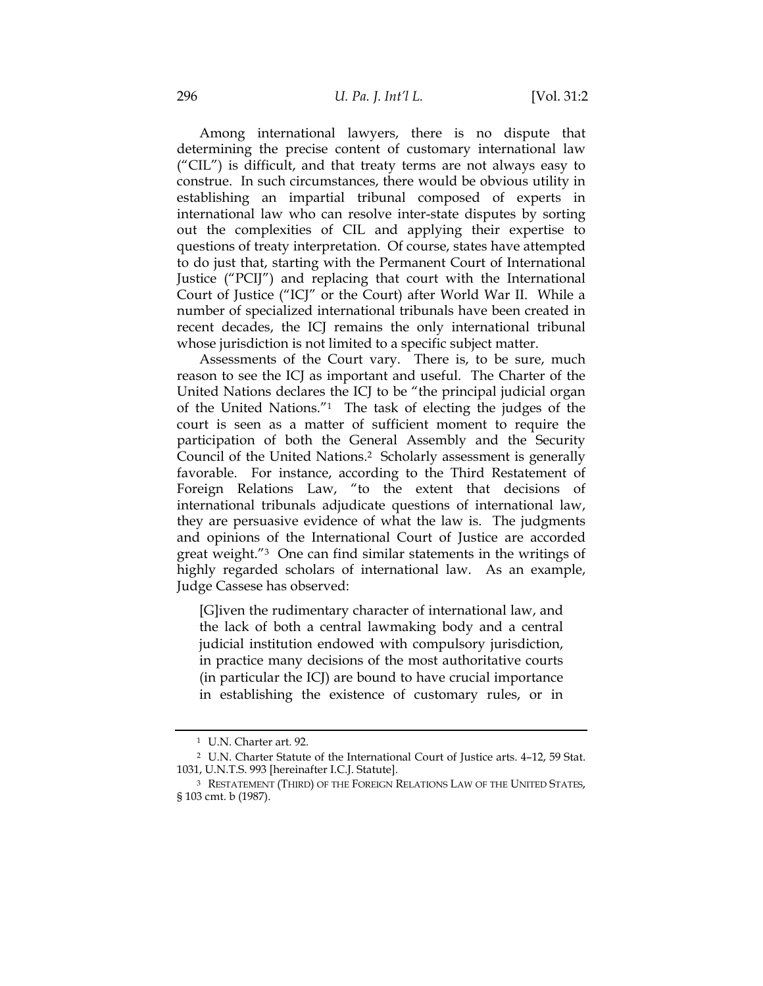Among international lawyers, there is no dispute that determining the precise content of customary international law ("CIL") is difficult, and that treaty terms are not always easy to construe. In such circumstances, there would be obvious utility in establishing an impartial tribunal composed of experts in international law who can resolve inter-state disputes by sorting out the complexities of CIL and applying their expertise to questions of treaty interpretation. Of course, states have attempted to do just that, starting with the Permanent Court of International Justice ("PCIJ") and replacing that court with the International Court of Justice ("ICJ" or the Court) after World War II. While a number of specialized international tribunals have been created in recent decades, the ICJ remains the only international tribunal whose jurisdiction is not limited to a specific subject matter.

Assessments of the Court vary. There is, to be sure, much reason to see the ICJ as important and useful. The Charter of the United Nations declares the ICJ to be "the principal judicial organ of the United Nations."1 The task of electing the judges of the court is seen as a matter of sufficient moment to require the participation of both the General Assembly and the Security Council of the United Nations.2 Scholarly assessment is generally favorable. For instance, according to the Third Restatement of Foreign Relations Law, "to the extent that decisions of international tribunals adjudicate questions of international law, they are persuasive evidence of what the law is. The judgments and opinions of the International Court of Justice are accorded great weight."3 One can find similar statements in the writings of highly regarded scholars of international law. As an example, Judge Cassese has observed:

[G]iven the rudimentary character of international law, and the lack of both a central lawmaking body and a central judicial institution endowed with compulsory jurisdiction, in practice many decisions of the most authoritative courts (in particular the ICJ) are bound to have crucial importance in establishing the existence of customary rules, or in

<sup>1</sup> U.N. Charter art. 92.

<sup>2</sup> U.N. Charter Statute of the International Court of Justice arts. 4–12, 59 Stat. 1031, U.N.T.S. 993 [hereinafter I.C.J. Statute].

<sup>3</sup> RESTATEMENT (THIRD) OF THE FOREIGN RELATIONS LAW OF THE UNITED STATES, § 103 cmt. b (1987).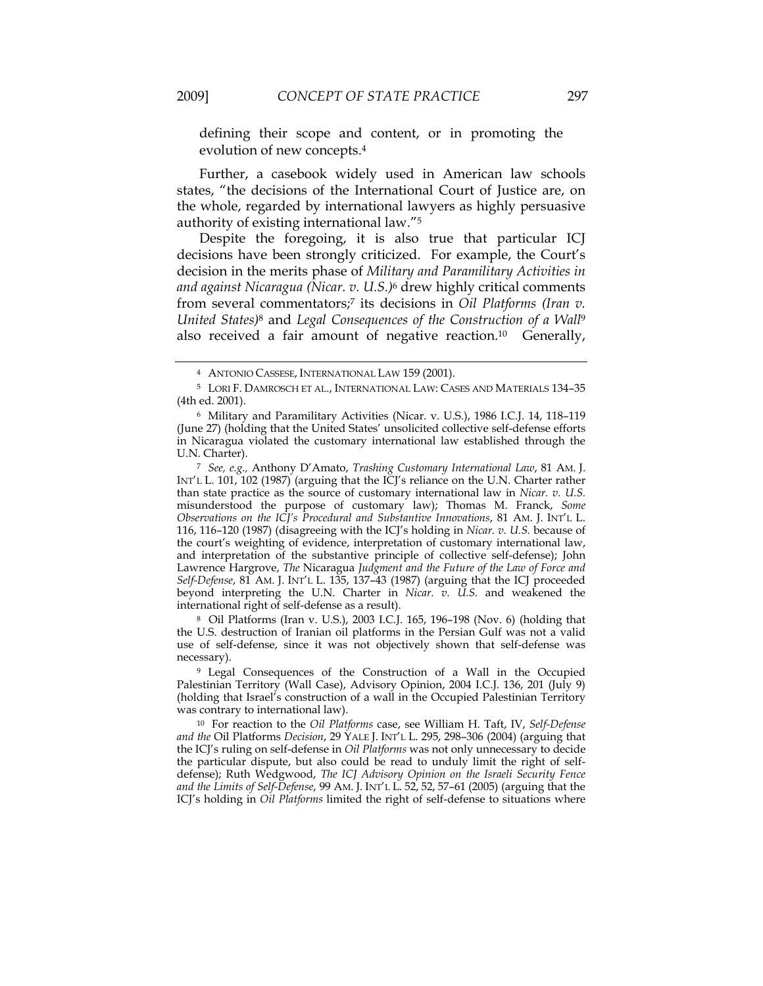defining their scope and content, or in promoting the evolution of new concepts.4

Further, a casebook widely used in American law schools states, "the decisions of the International Court of Justice are, on the whole, regarded by international lawyers as highly persuasive authority of existing international law."5

Despite the foregoing, it is also true that particular ICJ decisions have been strongly criticized. For example, the Court's decision in the merits phase of *Military and Paramilitary Activities in and against Nicaragua (Nicar. v. U.S.)*6 drew highly critical comments from several commentators;7 its decisions in *Oil Platforms (Iran v. United States)*8 and *Legal Consequences of the Construction of a Wall*<sup>9</sup> also received a fair amount of negative reaction.10 Generally,

<sup>7</sup> *See, e.g.,* Anthony D'Amato, *Trashing Customary International Law*, 81 AM. J. INT'L L. 101, 102 (1987) (arguing that the ICJ's reliance on the U.N. Charter rather than state practice as the source of customary international law in *Nicar. v. U.S.* misunderstood the purpose of customary law); Thomas M. Franck, *Some Observations on the ICJ's Procedural and Substantive Innovations*, 81 AM. J. INT'L L. 116, 116–120 (1987) (disagreeing with the ICJ's holding in *Nicar. v. U.S.* because of the court's weighting of evidence, interpretation of customary international law, and interpretation of the substantive principle of collective self-defense); John Lawrence Hargrove, *The* Nicaragua *Judgment and the Future of the Law of Force and Self-Defense*, 81 AM. J. INT'L L. 135, 137–43 (1987) (arguing that the ICJ proceeded beyond interpreting the U.N. Charter in *Nicar. v. U.S.* and weakened the international right of self-defense as a result).

 8 Oil Platforms (Iran v. U.S.), 2003 I.C.J. 165, 196–198 (Nov. 6) (holding that the U.S. destruction of Iranian oil platforms in the Persian Gulf was not a valid use of self-defense, since it was not objectively shown that self-defense was necessary).

<sup>9</sup> Legal Consequences of the Construction of a Wall in the Occupied Palestinian Territory (Wall Case), Advisory Opinion, 2004 I.C.J. 136, 201 (July 9) (holding that Israel's construction of a wall in the Occupied Palestinian Territory was contrary to international law).

<sup>10</sup> For reaction to the *Oil Platforms* case, see William H. Taft, IV, *Self-Defense and the* Oil Platforms *Decision*, 29 YALE J. INT'L L. 295, 298–306 (2004) (arguing that the ICJ's ruling on self-defense in *Oil Platforms* was not only unnecessary to decide the particular dispute, but also could be read to unduly limit the right of selfdefense); Ruth Wedgwood, *The ICJ Advisory Opinion on the Israeli Security Fence and the Limits of Self-Defense*, 99 AM. J. INT'L L. 52, 52, 57–61 (2005) (arguing that the ICJ's holding in *Oil Platforms* limited the right of self-defense to situations where

<sup>4</sup> ANTONIO CASSESE, INTERNATIONAL LAW 159 (2001).

<sup>5</sup> LORI F. DAMROSCH ET AL., INTERNATIONAL LAW: CASES AND MATERIALS 134–35 (4th ed. 2001).

<sup>6</sup> Military and Paramilitary Activities (Nicar. v. U.S.), 1986 I.C.J. 14, 118–119 (June 27) (holding that the United States' unsolicited collective self-defense efforts in Nicaragua violated the customary international law established through the U.N. Charter).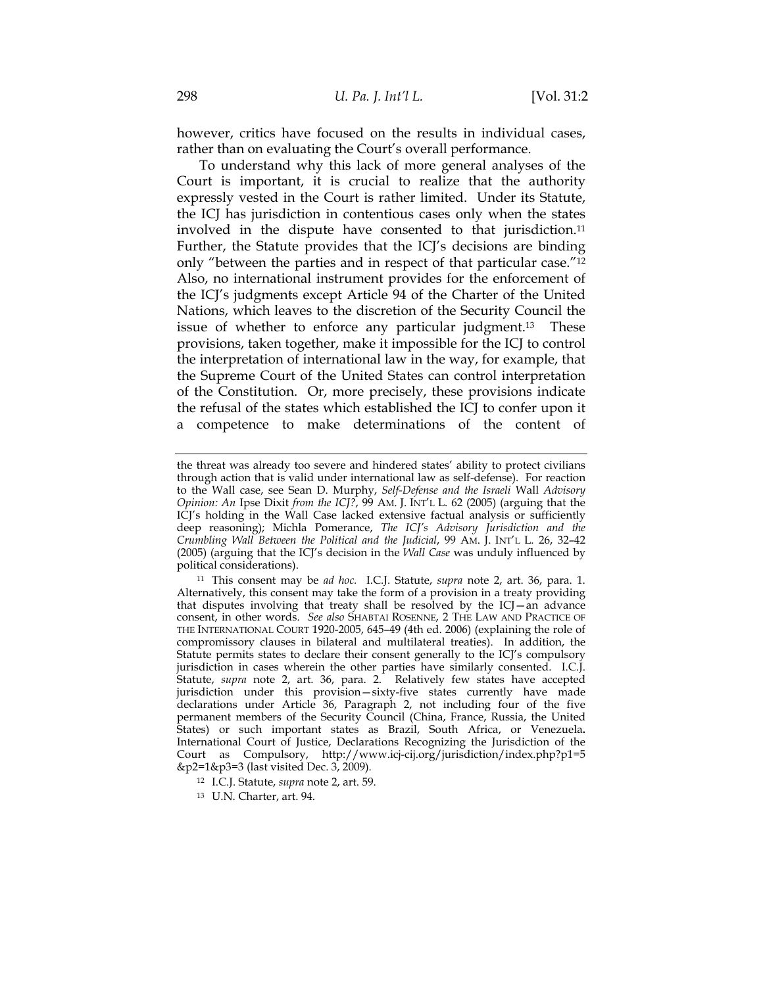however, critics have focused on the results in individual cases, rather than on evaluating the Court's overall performance.

To understand why this lack of more general analyses of the Court is important, it is crucial to realize that the authority expressly vested in the Court is rather limited. Under its Statute, the ICJ has jurisdiction in contentious cases only when the states involved in the dispute have consented to that jurisdiction.11 Further, the Statute provides that the ICJ's decisions are binding only "between the parties and in respect of that particular case."12 Also, no international instrument provides for the enforcement of the ICJ's judgments except Article 94 of the Charter of the United Nations, which leaves to the discretion of the Security Council the issue of whether to enforce any particular judgment.13 These provisions, taken together, make it impossible for the ICJ to control the interpretation of international law in the way, for example, that the Supreme Court of the United States can control interpretation of the Constitution. Or, more precisely, these provisions indicate the refusal of the states which established the ICJ to confer upon it a competence to make determinations of the content of

the threat was already too severe and hindered states' ability to protect civilians through action that is valid under international law as self-defense). For reaction to the Wall case, see Sean D. Murphy, *Self-Defense and the Israeli* Wall *Advisory Opinion: An* Ipse Dixit *from the ICJ?*, 99 AM. J. INT'L L. 62 (2005) (arguing that the ICJ's holding in the Wall Case lacked extensive factual analysis or sufficiently deep reasoning); Michla Pomerance, *The ICJ's Advisory Jurisdiction and the Crumbling Wall Between the Political and the Judicial*, 99 AM. J. INT'L L. 26, 32–42 (2005) (arguing that the ICJ's decision in the *Wall Case* was unduly influenced by political considerations).

<sup>11</sup> This consent may be *ad hoc.* I.C.J. Statute, *supra* note 2, art. 36, para. 1. Alternatively, this consent may take the form of a provision in a treaty providing that disputes involving that treaty shall be resolved by the ICJ—an advance consent, in other words. *See also* SHABTAI ROSENNE, 2 THE LAW AND PRACTICE OF THE INTERNATIONAL COURT 1920-2005, 645–49 (4th ed. 2006) (explaining the role of compromissory clauses in bilateral and multilateral treaties). In addition, the Statute permits states to declare their consent generally to the ICJ's compulsory jurisdiction in cases wherein the other parties have similarly consented.I.C.J. Statute, *supra* note 2, art. 36, para. 2. Relatively few states have accepted jurisdiction under this provision—sixty-five states currently have made declarations under Article 36, Paragraph 2, not including four of the five permanent members of the Security Council (China, France, Russia, the United States) or such important states as Brazil, South Africa, or Venezuela**.**  International Court of Justice, Declarations Recognizing the Jurisdiction of the Court as Compulsory, http://www.icj-cij.org/jurisdiction/index.php?p1=5 &p2=1&p3=3 (last visited Dec. 3, 2009).

<sup>12</sup> I.C.J. Statute, *supra* note 2, art. 59.

<sup>13</sup> U.N. Charter, art. 94.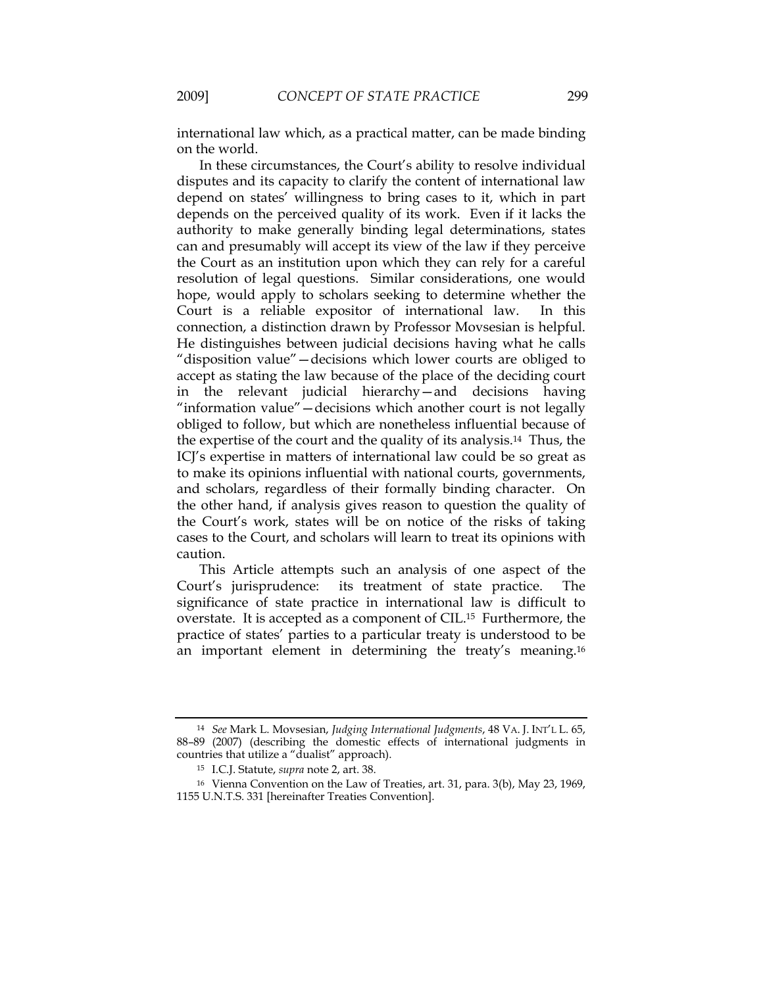international law which, as a practical matter, can be made binding on the world.

In these circumstances, the Court's ability to resolve individual disputes and its capacity to clarify the content of international law depend on states' willingness to bring cases to it, which in part depends on the perceived quality of its work. Even if it lacks the authority to make generally binding legal determinations, states can and presumably will accept its view of the law if they perceive the Court as an institution upon which they can rely for a careful resolution of legal questions. Similar considerations, one would hope, would apply to scholars seeking to determine whether the Court is a reliable expositor of international law. In this connection, a distinction drawn by Professor Movsesian is helpful. He distinguishes between judicial decisions having what he calls "disposition value"—decisions which lower courts are obliged to accept as stating the law because of the place of the deciding court in the relevant judicial hierarchy—and decisions having "information value"—decisions which another court is not legally obliged to follow, but which are nonetheless influential because of the expertise of the court and the quality of its analysis.14 Thus, the ICJ's expertise in matters of international law could be so great as to make its opinions influential with national courts, governments, and scholars, regardless of their formally binding character. On the other hand, if analysis gives reason to question the quality of the Court's work, states will be on notice of the risks of taking cases to the Court, and scholars will learn to treat its opinions with caution.

This Article attempts such an analysis of one aspect of the Court's jurisprudence: its treatment of state practice. The significance of state practice in international law is difficult to overstate. It is accepted as a component of CIL.15 Furthermore, the practice of states' parties to a particular treaty is understood to be an important element in determining the treaty's meaning.16

<sup>14</sup> *See* Mark L. Movsesian, *Judging International Judgments*, 48 VA. J. INT'L L. 65, 88–89 (2007) (describing the domestic effects of international judgments in countries that utilize a "dualist" approach).

<sup>15</sup> I.C.J. Statute, *supra* note 2, art. 38.

<sup>16</sup> Vienna Convention on the Law of Treaties, art. 31, para. 3(b), May 23, 1969, 1155 U.N.T.S. 331 [hereinafter Treaties Convention].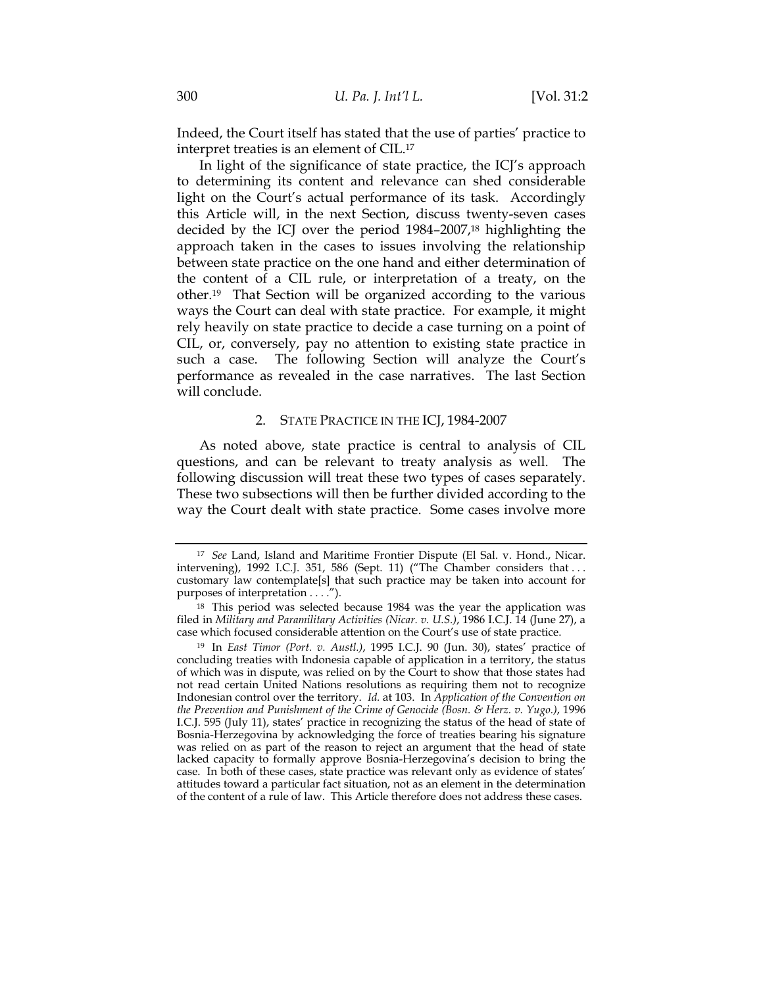Indeed, the Court itself has stated that the use of parties' practice to interpret treaties is an element of CIL.17

In light of the significance of state practice, the ICJ's approach to determining its content and relevance can shed considerable light on the Court's actual performance of its task. Accordingly this Article will, in the next Section, discuss twenty-seven cases decided by the ICJ over the period 1984–2007,18 highlighting the approach taken in the cases to issues involving the relationship between state practice on the one hand and either determination of the content of a CIL rule, or interpretation of a treaty, on the other.19 That Section will be organized according to the various ways the Court can deal with state practice. For example, it might rely heavily on state practice to decide a case turning on a point of CIL, or, conversely, pay no attention to existing state practice in such a case. The following Section will analyze the Court's performance as revealed in the case narratives. The last Section will conclude.

#### 2. STATE PRACTICE IN THE ICJ, 1984-2007

As noted above, state practice is central to analysis of CIL questions, and can be relevant to treaty analysis as well. The following discussion will treat these two types of cases separately. These two subsections will then be further divided according to the way the Court dealt with state practice. Some cases involve more

<sup>17</sup> *See* Land, Island and Maritime Frontier Dispute (El Sal. v. Hond., Nicar. intervening), 1992 I.C.J. 351, 586 (Sept. 11) ("The Chamber considers that . . . customary law contemplate[s] that such practice may be taken into account for purposes of interpretation . . . .").

<sup>18</sup> This period was selected because 1984 was the year the application was filed in *Military and Paramilitary Activities (Nicar. v. U.S.)*, 1986 I.C.J. 14 (June 27), a case which focused considerable attention on the Court's use of state practice.

<sup>19</sup> In *East Timor (Port. v. Austl.)*, 1995 I.C.J. 90 (Jun. 30), states' practice of concluding treaties with Indonesia capable of application in a territory, the status of which was in dispute, was relied on by the Court to show that those states had not read certain United Nations resolutions as requiring them not to recognize Indonesian control over the territory. *Id.* at 103. In *Application of the Convention on the Prevention and Punishment of the Crime of Genocide (Bosn. & Herz. v. Yugo.)*, 1996 I.C.J. 595 (July 11), states' practice in recognizing the status of the head of state of Bosnia-Herzegovina by acknowledging the force of treaties bearing his signature was relied on as part of the reason to reject an argument that the head of state lacked capacity to formally approve Bosnia-Herzegovina's decision to bring the case. In both of these cases, state practice was relevant only as evidence of states' attitudes toward a particular fact situation, not as an element in the determination of the content of a rule of law. This Article therefore does not address these cases.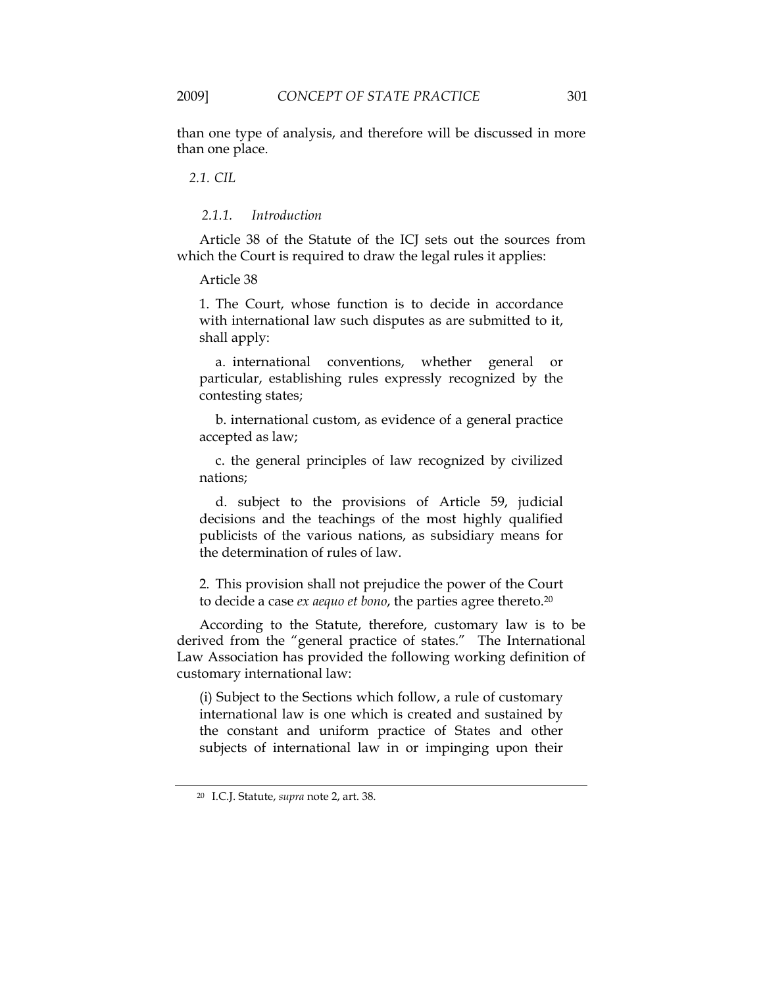than one type of analysis, and therefore will be discussed in more than one place.

*2.1. CIL* 

#### *2.1.1. Introduction*

Article 38 of the Statute of the ICJ sets out the sources from which the Court is required to draw the legal rules it applies:

Article 38

1. The Court, whose function is to decide in accordance with international law such disputes as are submitted to it, shall apply:

 a. international conventions, whether general or particular, establishing rules expressly recognized by the contesting states;

 b. international custom, as evidence of a general practice accepted as law;

 c. the general principles of law recognized by civilized nations;

 d. subject to the provisions of Article 59, judicial decisions and the teachings of the most highly qualified publicists of the various nations, as subsidiary means for the determination of rules of law.

2. This provision shall not prejudice the power of the Court to decide a case *ex aequo et bono*, the parties agree thereto.20

According to the Statute, therefore, customary law is to be derived from the "general practice of states." The International Law Association has provided the following working definition of customary international law:

(i) Subject to the Sections which follow, a rule of customary international law is one which is created and sustained by the constant and uniform practice of States and other subjects of international law in or impinging upon their

<sup>20</sup> I.C.J. Statute, *supra* note 2, art. 38.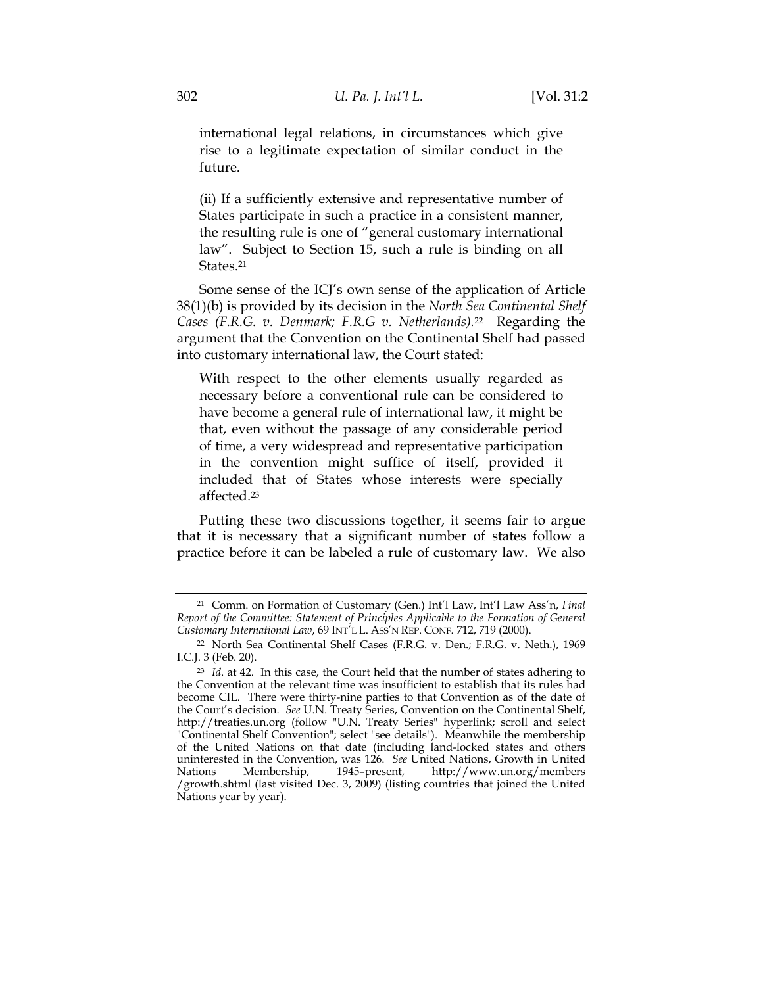international legal relations, in circumstances which give rise to a legitimate expectation of similar conduct in the future.

(ii) If a sufficiently extensive and representative number of States participate in such a practice in a consistent manner, the resulting rule is one of "general customary international law". Subject to Section 15, such a rule is binding on all States.21

Some sense of the ICJ's own sense of the application of Article 38(1)(b) is provided by its decision in the *North Sea Continental Shelf Cases (F.R.G. v. Denmark; F.R.G v. Netherlands).*22 Regarding the argument that the Convention on the Continental Shelf had passed into customary international law, the Court stated:

With respect to the other elements usually regarded as necessary before a conventional rule can be considered to have become a general rule of international law, it might be that, even without the passage of any considerable period of time, a very widespread and representative participation in the convention might suffice of itself, provided it included that of States whose interests were specially affected.23

Putting these two discussions together, it seems fair to argue that it is necessary that a significant number of states follow a practice before it can be labeled a rule of customary law. We also

<sup>21</sup> Comm. on Formation of Customary (Gen.) Int'l Law, Int'l Law Ass'n, *Final Report of the Committee: Statement of Principles Applicable to the Formation of General Customary International Law*, 69 INT'L L. ASS'N REP. CONF. 712, 719 (2000).

<sup>22</sup> North Sea Continental Shelf Cases (F.R.G. v. Den.; F.R.G. v. Neth.), 1969 I.C.J. 3 (Feb. 20).

<sup>23</sup> *Id*. at 42. In this case, the Court held that the number of states adhering to the Convention at the relevant time was insufficient to establish that its rules had become CIL. There were thirty-nine parties to that Convention as of the date of the Court's decision. *See* U.N. Treaty Series, Convention on the Continental Shelf, http://treaties.un.org (follow "U.N. Treaty Series" hyperlink; scroll and select "Continental Shelf Convention"; select "see details").Meanwhile the membership of the United Nations on that date (including land-locked states and others uninterested in the Convention, was 126. *See* United Nations, Growth in United Nations Membership, 1945–present, http://www.un.org/members Nations Membership, 1945–present, http://www.un.org/members /growth.shtml (last visited Dec. 3, 2009) (listing countries that joined the United Nations year by year).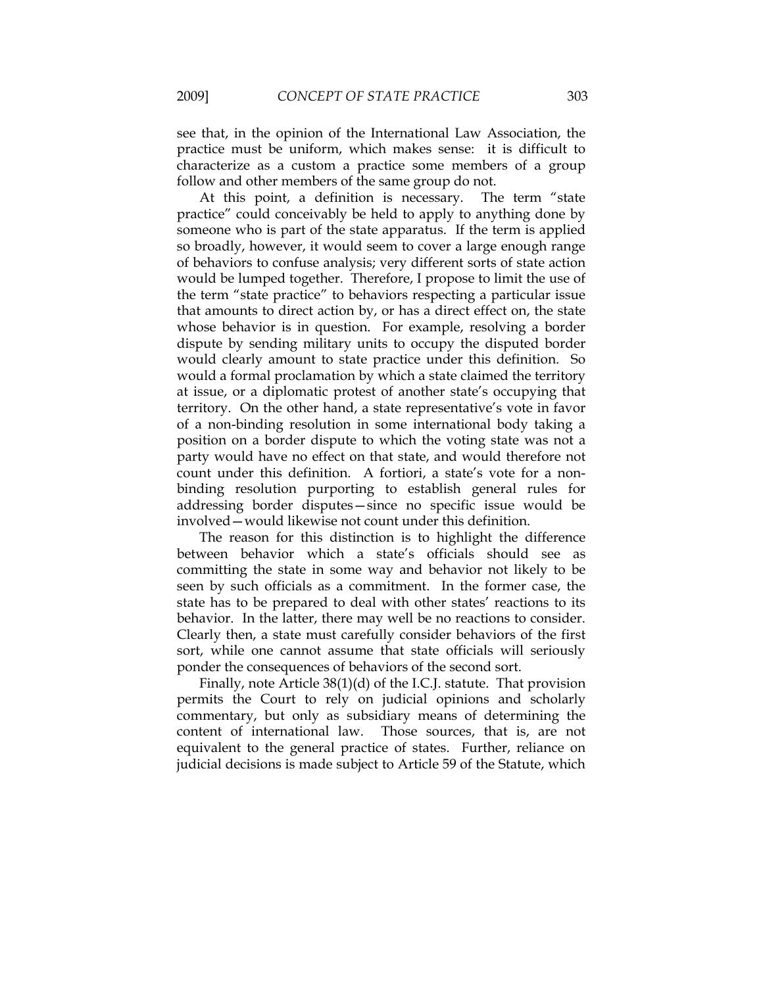see that, in the opinion of the International Law Association, the practice must be uniform, which makes sense: it is difficult to characterize as a custom a practice some members of a group follow and other members of the same group do not.

At this point, a definition is necessary. The term "state practice" could conceivably be held to apply to anything done by someone who is part of the state apparatus. If the term is applied so broadly, however, it would seem to cover a large enough range of behaviors to confuse analysis; very different sorts of state action would be lumped together. Therefore, I propose to limit the use of the term "state practice" to behaviors respecting a particular issue that amounts to direct action by, or has a direct effect on, the state whose behavior is in question. For example, resolving a border dispute by sending military units to occupy the disputed border would clearly amount to state practice under this definition. So would a formal proclamation by which a state claimed the territory at issue, or a diplomatic protest of another state's occupying that territory. On the other hand, a state representative's vote in favor of a non-binding resolution in some international body taking a position on a border dispute to which the voting state was not a party would have no effect on that state, and would therefore not count under this definition. A fortiori, a state's vote for a nonbinding resolution purporting to establish general rules for addressing border disputes—since no specific issue would be involved—would likewise not count under this definition.

The reason for this distinction is to highlight the difference between behavior which a state's officials should see as committing the state in some way and behavior not likely to be seen by such officials as a commitment. In the former case, the state has to be prepared to deal with other states' reactions to its behavior. In the latter, there may well be no reactions to consider. Clearly then, a state must carefully consider behaviors of the first sort, while one cannot assume that state officials will seriously ponder the consequences of behaviors of the second sort.

Finally, note Article 38(1)(d) of the I.C.J. statute. That provision permits the Court to rely on judicial opinions and scholarly commentary, but only as subsidiary means of determining the content of international law. Those sources, that is, are not equivalent to the general practice of states. Further, reliance on judicial decisions is made subject to Article 59 of the Statute, which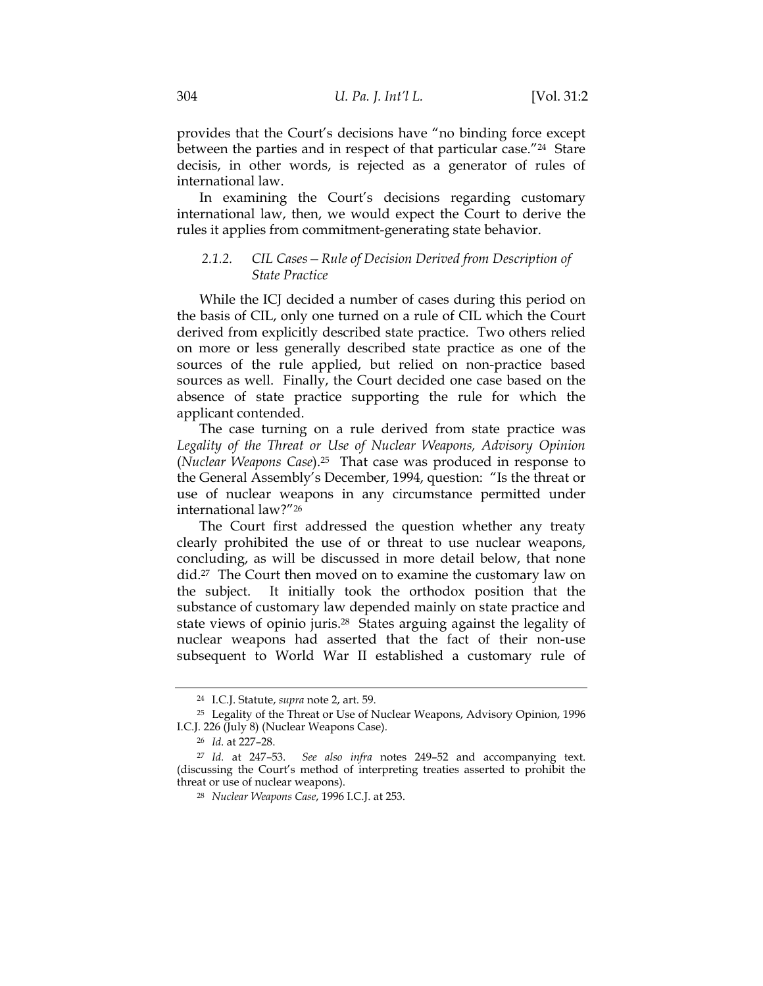provides that the Court's decisions have "no binding force except between the parties and in respect of that particular case."<sup>24</sup> Stare decisis, in other words, is rejected as a generator of rules of international law.

In examining the Court's decisions regarding customary international law, then, we would expect the Court to derive the rules it applies from commitment-generating state behavior.

## *2.1.2. CIL Cases—Rule of Decision Derived from Description of State Practice*

While the ICJ decided a number of cases during this period on the basis of CIL, only one turned on a rule of CIL which the Court derived from explicitly described state practice. Two others relied on more or less generally described state practice as one of the sources of the rule applied, but relied on non-practice based sources as well. Finally, the Court decided one case based on the absence of state practice supporting the rule for which the applicant contended.

The case turning on a rule derived from state practice was *Legality of the Threat or Use of Nuclear Weapons, Advisory Opinion* (*Nuclear Weapons Case*).25 That case was produced in response to the General Assembly's December, 1994, question: "Is the threat or use of nuclear weapons in any circumstance permitted under international law?"26

The Court first addressed the question whether any treaty clearly prohibited the use of or threat to use nuclear weapons, concluding, as will be discussed in more detail below, that none did.<sup>27</sup> The Court then moved on to examine the customary law on the subject. It initially took the orthodox position that the substance of customary law depended mainly on state practice and state views of opinio juris.28 States arguing against the legality of nuclear weapons had asserted that the fact of their non-use subsequent to World War II established a customary rule of

<sup>24</sup> I.C.J. Statute, *supra* note 2, art. 59.

<sup>&</sup>lt;sup>25</sup> Legality of the Threat or Use of Nuclear Weapons, Advisory Opinion, 1996 I.C.J. 226 (July 8) (Nuclear Weapons Case).

<sup>26</sup> *Id*. at 227–28.

<sup>27</sup> *Id.* at 247*–*53. *See also infra* notes 249–52 and accompanying text. (discussing the Court's method of interpreting treaties asserted to prohibit the threat or use of nuclear weapons).

<sup>28</sup> *Nuclear Weapons Case*, 1996 I.C.J. at 253.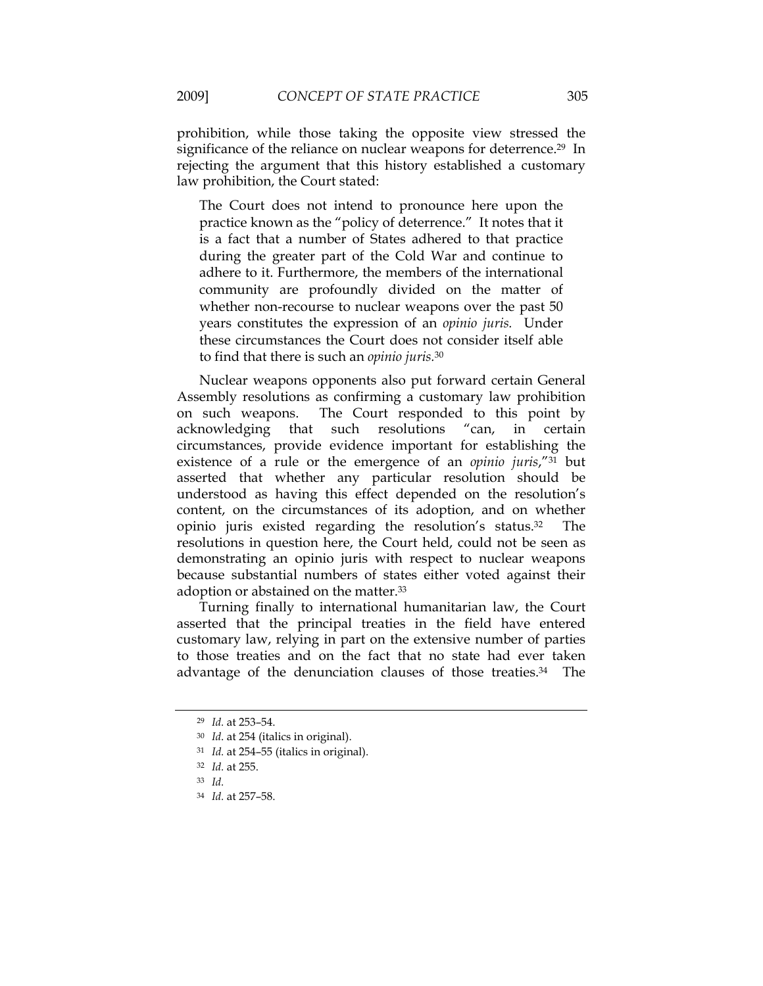prohibition, while those taking the opposite view stressed the significance of the reliance on nuclear weapons for deterrence.<sup>29</sup> In rejecting the argument that this history established a customary law prohibition, the Court stated:

The Court does not intend to pronounce here upon the practice known as the "policy of deterrence." It notes that it is a fact that a number of States adhered to that practice during the greater part of the Cold War and continue to adhere to it. Furthermore, the members of the international community are profoundly divided on the matter of whether non-recourse to nuclear weapons over the past 50 years constitutes the expression of an *opinio juris.* Under these circumstances the Court does not consider itself able to find that there is such an *opinio juris.*<sup>30</sup>

Nuclear weapons opponents also put forward certain General Assembly resolutions as confirming a customary law prohibition on such weapons. The Court responded to this point by acknowledging that such resolutions "can, in certain circumstances, provide evidence important for establishing the existence of a rule or the emergence of an *opinio juris*,"31 but asserted that whether any particular resolution should be understood as having this effect depended on the resolution's content, on the circumstances of its adoption, and on whether opinio juris existed regarding the resolution's status.32 The resolutions in question here, the Court held, could not be seen as demonstrating an opinio juris with respect to nuclear weapons because substantial numbers of states either voted against their adoption or abstained on the matter.33

Turning finally to international humanitarian law, the Court asserted that the principal treaties in the field have entered customary law, relying in part on the extensive number of parties to those treaties and on the fact that no state had ever taken advantage of the denunciation clauses of those treaties.34 The

<sup>29</sup> *Id.* at 253–54.

<sup>30</sup> *Id*. at 254 (italics in original).

<sup>31</sup> *Id.* at 254–55 (italics in original).

<sup>32</sup> *Id.* at 255.

<sup>33</sup> *Id.*

<sup>34</sup> *Id.* at 257–58.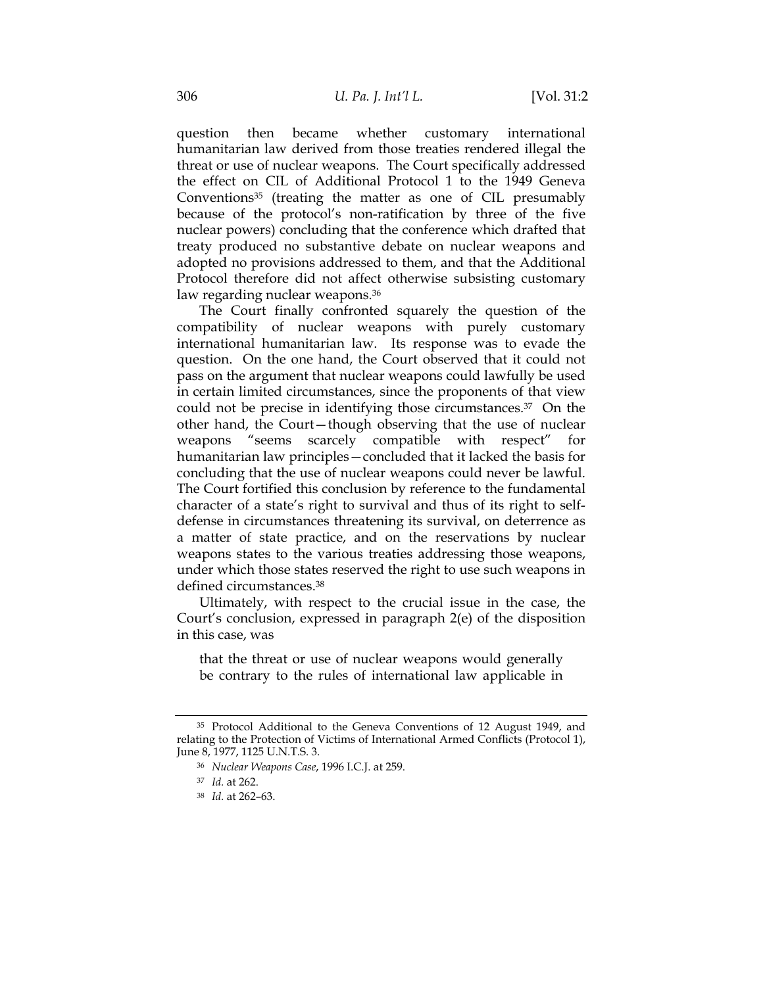question then became whether customary international humanitarian law derived from those treaties rendered illegal the threat or use of nuclear weapons. The Court specifically addressed the effect on CIL of Additional Protocol 1 to the 1949 Geneva Conventions<sup>35</sup> (treating the matter as one of CIL presumably because of the protocol's non-ratification by three of the five nuclear powers) concluding that the conference which drafted that treaty produced no substantive debate on nuclear weapons and adopted no provisions addressed to them, and that the Additional Protocol therefore did not affect otherwise subsisting customary law regarding nuclear weapons.<sup>36</sup>

The Court finally confronted squarely the question of the compatibility of nuclear weapons with purely customary international humanitarian law. Its response was to evade the question. On the one hand, the Court observed that it could not pass on the argument that nuclear weapons could lawfully be used in certain limited circumstances, since the proponents of that view could not be precise in identifying those circumstances.37 On the other hand, the Court—though observing that the use of nuclear weapons "seems scarcely compatible with respect" humanitarian law principles—concluded that it lacked the basis for concluding that the use of nuclear weapons could never be lawful. The Court fortified this conclusion by reference to the fundamental character of a state's right to survival and thus of its right to selfdefense in circumstances threatening its survival, on deterrence as a matter of state practice, and on the reservations by nuclear weapons states to the various treaties addressing those weapons, under which those states reserved the right to use such weapons in defined circumstances.38

Ultimately, with respect to the crucial issue in the case, the Court's conclusion, expressed in paragraph 2(e) of the disposition in this case, was

that the threat or use of nuclear weapons would generally be contrary to the rules of international law applicable in

<sup>35</sup> Protocol Additional to the Geneva Conventions of 12 August 1949, and relating to the Protection of Victims of International Armed Conflicts (Protocol 1), June 8, 1977, 1125 U.N.T.S. 3.

<sup>36</sup> *Nuclear Weapons Case*, 1996 I.C.J. at 259.

<sup>37</sup> *Id.* at 262.

<sup>38</sup> *Id.* at 262–63.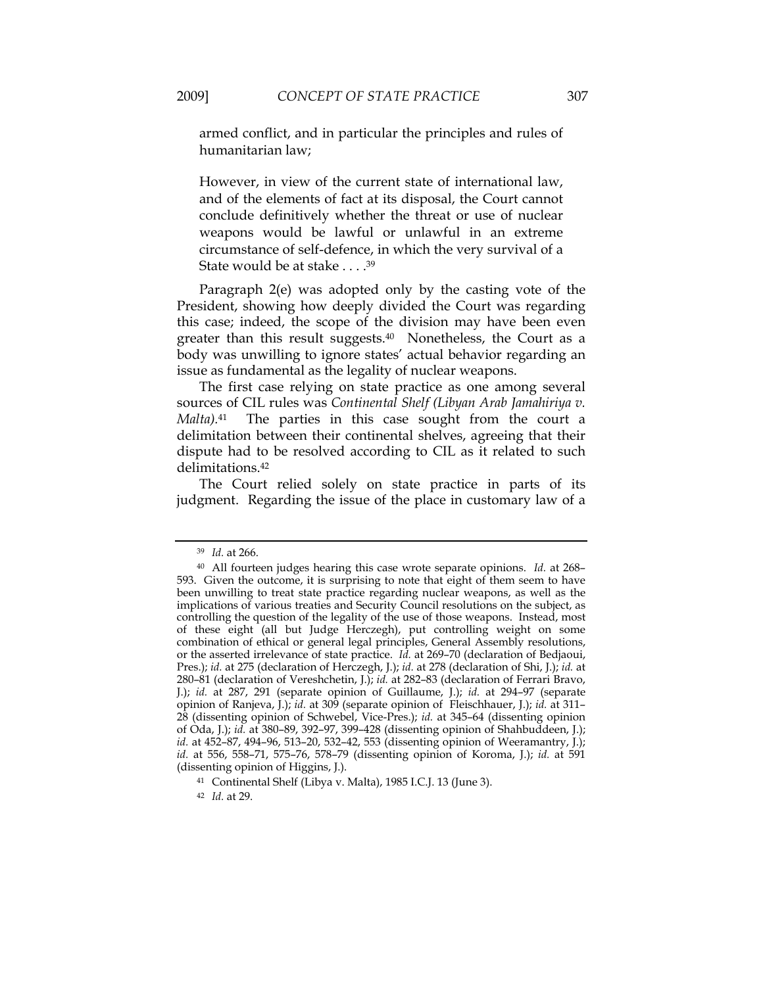armed conflict, and in particular the principles and rules of humanitarian law;

However, in view of the current state of international law, and of the elements of fact at its disposal, the Court cannot conclude definitively whether the threat or use of nuclear weapons would be lawful or unlawful in an extreme circumstance of self-defence, in which the very survival of a State would be at stake . . . .39

Paragraph 2(e) was adopted only by the casting vote of the President, showing how deeply divided the Court was regarding this case; indeed, the scope of the division may have been even greater than this result suggests.40 Nonetheless, the Court as a body was unwilling to ignore states' actual behavior regarding an issue as fundamental as the legality of nuclear weapons.

The first case relying on state practice as one among several sources of CIL rules was *Continental Shelf (Libyan Arab Jamahiriya v. Malta).*41 The parties in this case sought from the court a delimitation between their continental shelves, agreeing that their dispute had to be resolved according to CIL as it related to such delimitations.42

The Court relied solely on state practice in parts of its judgment. Regarding the issue of the place in customary law of a

<sup>39</sup> *Id.* at 266.

<sup>40</sup> All fourteen judges hearing this case wrote separate opinions. *Id.* at 268– 593. Given the outcome, it is surprising to note that eight of them seem to have been unwilling to treat state practice regarding nuclear weapons, as well as the implications of various treaties and Security Council resolutions on the subject, as controlling the question of the legality of the use of those weapons. Instead, most of these eight (all but Judge Herczegh), put controlling weight on some combination of ethical or general legal principles, General Assembly resolutions, or the asserted irrelevance of state practice. *Id.* at 269–70 (declaration of Bedjaoui, Pres.); *id.* at 275 (declaration of Herczegh, J.); *id.* at 278 (declaration of Shi, J.); *id.* at 280–81 (declaration of Vereshchetin, J.); *id.* at 282–83 (declaration of Ferrari Bravo, J.); *id.* at 287, 291 (separate opinion of Guillaume, J.); *id.* at 294–97 (separate opinion of Ranjeva, J.); *id.* at 309 (separate opinion of Fleischhauer, J.); *id.* at 311– 28 (dissenting opinion of Schwebel, Vice-Pres.); *id.* at 345–64 (dissenting opinion of Oda, J.); *id.* at 380–89, 392–97, 399–428 (dissenting opinion of Shahbuddeen, J.); *id.* at 452–87, 494–96, 513–20, 532–42, 553 (dissenting opinion of Weeramantry, J.); *id.* at 556, 558–71, 575–76, 578–79 (dissenting opinion of Koroma, J.); *id.* at 591 (dissenting opinion of Higgins, J.).

<sup>41</sup> Continental Shelf (Libya v. Malta), 1985 I.C.J. 13 (June 3).

<sup>42</sup> *Id.* at 29.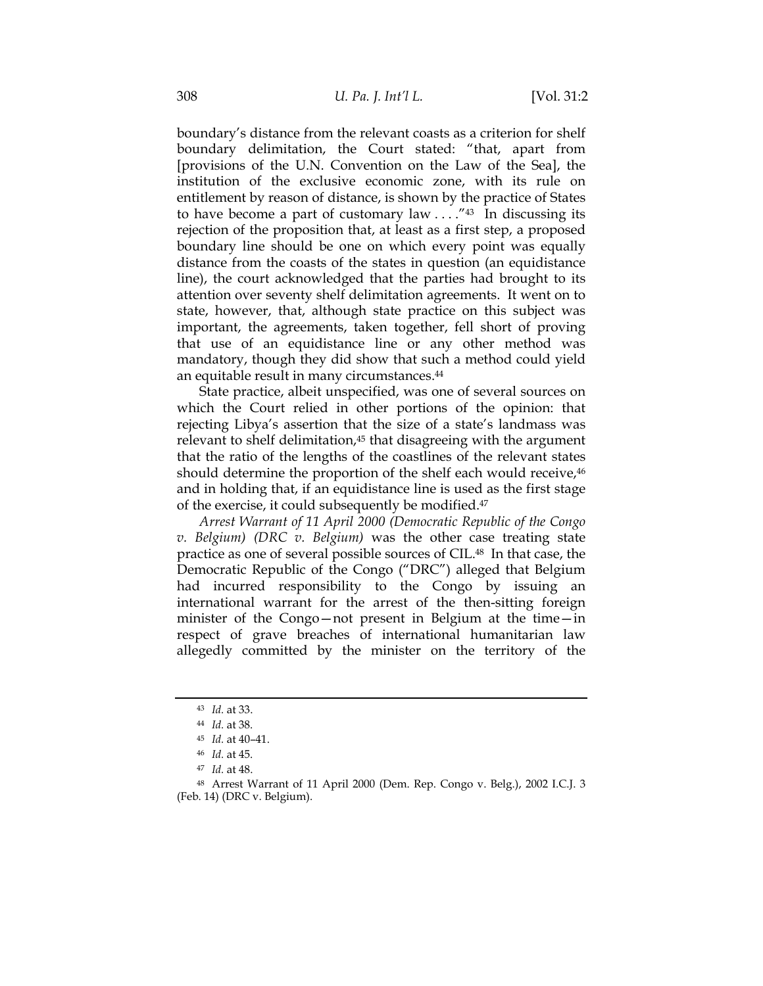boundary's distance from the relevant coasts as a criterion for shelf boundary delimitation, the Court stated: "that, apart from [provisions of the U.N. Convention on the Law of the Sea], the institution of the exclusive economic zone, with its rule on entitlement by reason of distance, is shown by the practice of States to have become a part of customary law  $\ldots$ ."<sup>43</sup> In discussing its rejection of the proposition that, at least as a first step, a proposed boundary line should be one on which every point was equally distance from the coasts of the states in question (an equidistance line), the court acknowledged that the parties had brought to its attention over seventy shelf delimitation agreements. It went on to state, however, that, although state practice on this subject was important, the agreements, taken together, fell short of proving that use of an equidistance line or any other method was mandatory, though they did show that such a method could yield an equitable result in many circumstances.44

State practice, albeit unspecified, was one of several sources on which the Court relied in other portions of the opinion: that rejecting Libya's assertion that the size of a state's landmass was relevant to shelf delimitation,<sup>45</sup> that disagreeing with the argument that the ratio of the lengths of the coastlines of the relevant states should determine the proportion of the shelf each would receive,<sup>46</sup> and in holding that, if an equidistance line is used as the first stage of the exercise, it could subsequently be modified.47

*Arrest Warrant of 11 April 2000 (Democratic Republic of the Congo v. Belgium) (DRC v. Belgium)* was the other case treating state practice as one of several possible sources of CIL.48 In that case, the Democratic Republic of the Congo ("DRC") alleged that Belgium had incurred responsibility to the Congo by issuing an international warrant for the arrest of the then-sitting foreign minister of the Congo—not present in Belgium at the time—in respect of grave breaches of international humanitarian law allegedly committed by the minister on the territory of the

<sup>43</sup> *Id.* at 33.

<sup>44</sup> *Id.* at 38.

<sup>45</sup> *Id.* at 40–41.

<sup>46</sup> *Id.* at 45.

<sup>47</sup> *Id.* at 48.

<sup>48</sup> Arrest Warrant of 11 April 2000 (Dem. Rep. Congo v. Belg.), 2002 I.C.J. 3 (Feb. 14) (DRC v. Belgium).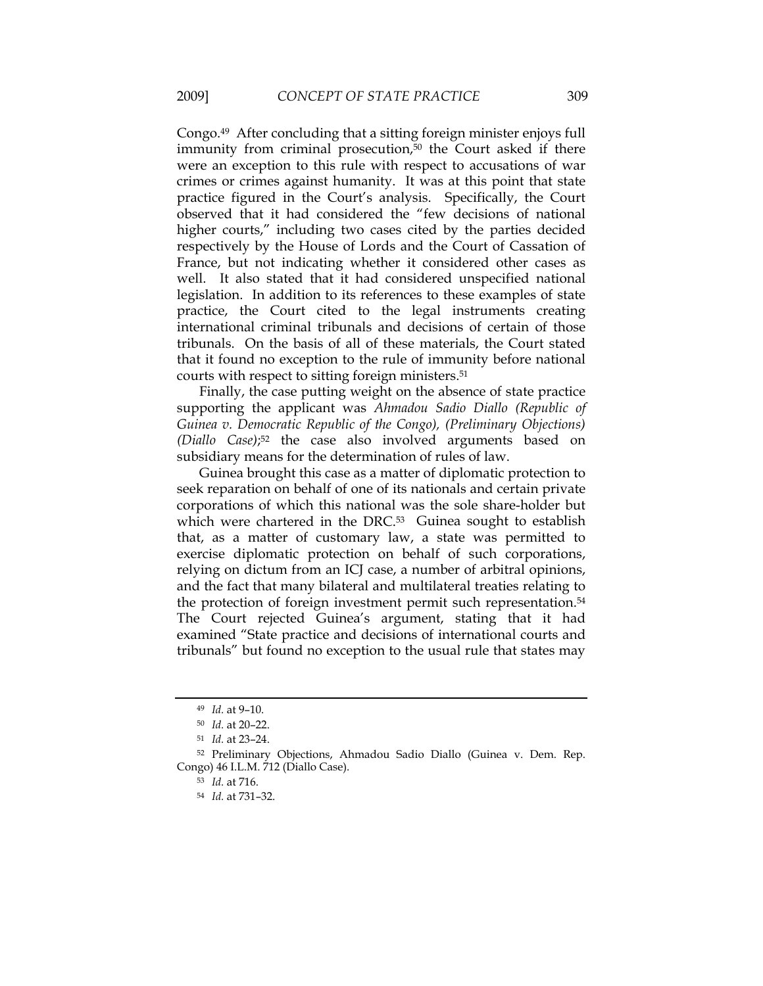Congo.49 After concluding that a sitting foreign minister enjoys full immunity from criminal prosecution,<sup>50</sup> the Court asked if there were an exception to this rule with respect to accusations of war crimes or crimes against humanity. It was at this point that state practice figured in the Court's analysis. Specifically, the Court observed that it had considered the "few decisions of national higher courts," including two cases cited by the parties decided respectively by the House of Lords and the Court of Cassation of France, but not indicating whether it considered other cases as well. It also stated that it had considered unspecified national legislation. In addition to its references to these examples of state practice, the Court cited to the legal instruments creating international criminal tribunals and decisions of certain of those tribunals. On the basis of all of these materials, the Court stated that it found no exception to the rule of immunity before national courts with respect to sitting foreign ministers.51

Finally, the case putting weight on the absence of state practice supporting the applicant was *Ahmadou Sadio Diallo (Republic of Guinea v. Democratic Republic of the Congo), (Preliminary Objections) (Diallo Case)*;52 the case also involved arguments based on subsidiary means for the determination of rules of law.

Guinea brought this case as a matter of diplomatic protection to seek reparation on behalf of one of its nationals and certain private corporations of which this national was the sole share-holder but which were chartered in the DRC.<sup>53</sup> Guinea sought to establish that, as a matter of customary law, a state was permitted to exercise diplomatic protection on behalf of such corporations, relying on dictum from an ICJ case, a number of arbitral opinions, and the fact that many bilateral and multilateral treaties relating to the protection of foreign investment permit such representation.<sup>54</sup> The Court rejected Guinea's argument, stating that it had examined "State practice and decisions of international courts and tribunals" but found no exception to the usual rule that states may

<sup>49</sup> *Id.* at 9–10.

<sup>50</sup> *Id.* at 20–22.

<sup>51</sup> *Id.* at 23–24.

<sup>52</sup> Preliminary Objections, Ahmadou Sadio Diallo (Guinea v. Dem. Rep. Congo) 46 I.L.M. 712 (Diallo Case).

<sup>53</sup> *Id.* at 716.

<sup>54</sup> *Id.* at 731–32.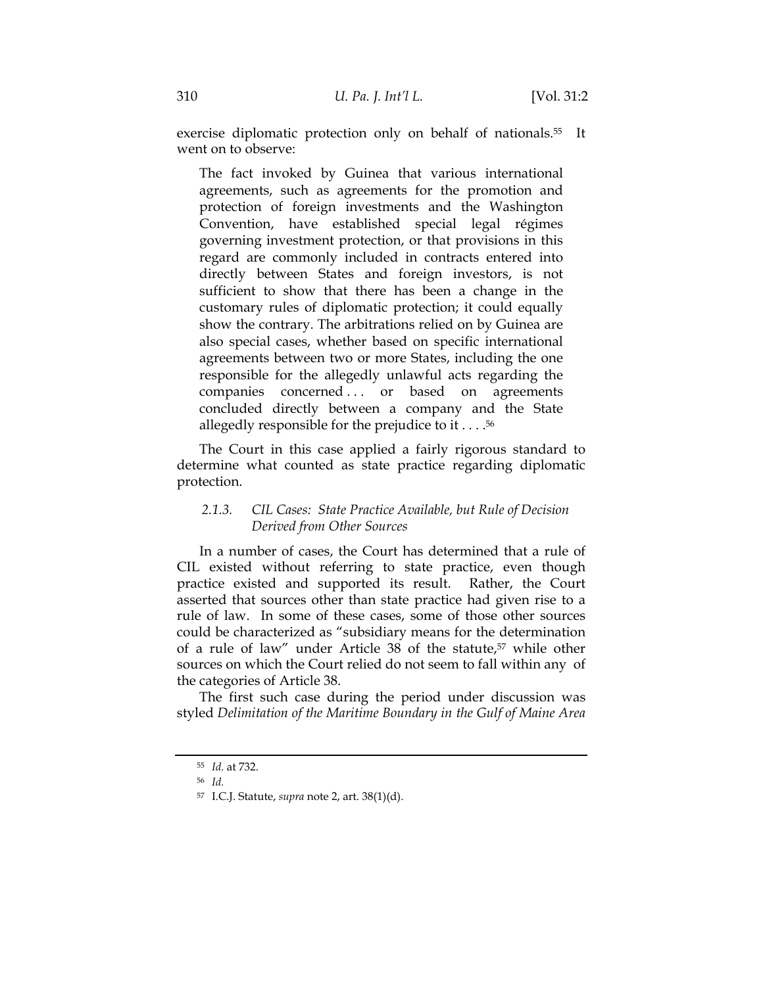exercise diplomatic protection only on behalf of nationals.55 It went on to observe:

The fact invoked by Guinea that various international agreements, such as agreements for the promotion and protection of foreign investments and the Washington Convention, have established special legal régimes governing investment protection, or that provisions in this regard are commonly included in contracts entered into directly between States and foreign investors, is not sufficient to show that there has been a change in the customary rules of diplomatic protection; it could equally show the contrary. The arbitrations relied on by Guinea are also special cases, whether based on specific international agreements between two or more States, including the one responsible for the allegedly unlawful acts regarding the companies concerned ... or based on agreements concluded directly between a company and the State allegedly responsible for the prejudice to it  $\dots$ .<sup>56</sup>

The Court in this case applied a fairly rigorous standard to determine what counted as state practice regarding diplomatic protection.

# *2.1.3. CIL Cases: State Practice Available, but Rule of Decision Derived from Other Sources*

In a number of cases, the Court has determined that a rule of CIL existed without referring to state practice, even though practice existed and supported its result. Rather, the Court asserted that sources other than state practice had given rise to a rule of law. In some of these cases, some of those other sources could be characterized as "subsidiary means for the determination of a rule of law" under Article 38 of the statute,57 while other sources on which the Court relied do not seem to fall within any of the categories of Article 38.

The first such case during the period under discussion was styled *Delimitation of the Maritime Boundary in the Gulf of Maine Area* 

<sup>55</sup> *Id.* at 732.

<sup>56</sup> *Id.* 

<sup>57</sup> I.C.J. Statute, *supra* note 2, art. 38(1)(d).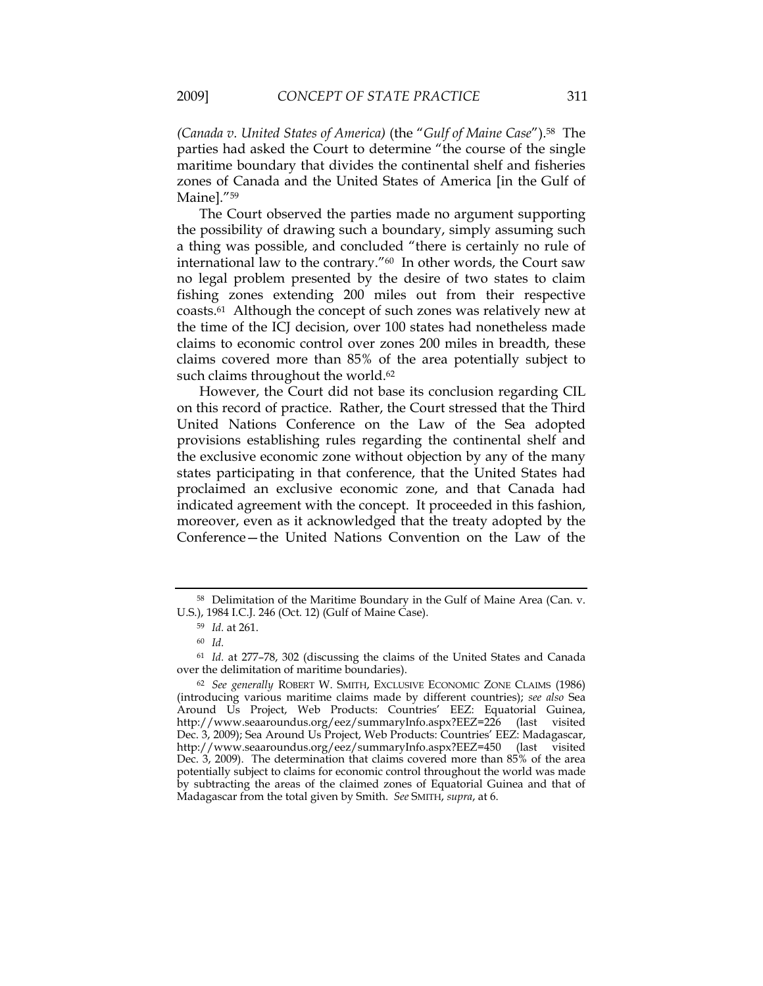*(Canada v. United States of America)* (the "*Gulf of Maine Case*").58 The parties had asked the Court to determine "the course of the single maritime boundary that divides the continental shelf and fisheries zones of Canada and the United States of America [in the Gulf of Mainel."<sup>59</sup>

The Court observed the parties made no argument supporting the possibility of drawing such a boundary, simply assuming such a thing was possible, and concluded "there is certainly no rule of international law to the contrary."60 In other words, the Court saw no legal problem presented by the desire of two states to claim fishing zones extending 200 miles out from their respective coasts.61 Although the concept of such zones was relatively new at the time of the ICJ decision, over 100 states had nonetheless made claims to economic control over zones 200 miles in breadth, these claims covered more than 85% of the area potentially subject to such claims throughout the world.<sup>62</sup>

However, the Court did not base its conclusion regarding CIL on this record of practice. Rather, the Court stressed that the Third United Nations Conference on the Law of the Sea adopted provisions establishing rules regarding the continental shelf and the exclusive economic zone without objection by any of the many states participating in that conference, that the United States had proclaimed an exclusive economic zone, and that Canada had indicated agreement with the concept. It proceeded in this fashion, moreover, even as it acknowledged that the treaty adopted by the Conference—the United Nations Convention on the Law of the

<sup>58</sup> Delimitation of the Maritime Boundary in the Gulf of Maine Area (Can. v. U.S.), 1984 I.C.J. 246 (Oct. 12) (Gulf of Maine Case).

<sup>59</sup> *Id.* at 261.

<sup>60</sup> *Id.*

<sup>61</sup> *Id.* at 277–78, 302 (discussing the claims of the United States and Canada over the delimitation of maritime boundaries).

<sup>62</sup> *See generally* ROBERT W. SMITH, EXCLUSIVE ECONOMIC ZONE CLAIMS (1986) (introducing various maritime claims made by different countries); *see also* Sea Around Us Project, Web Products: Countries' EEZ: Equatorial Guinea, http://www.seaaroundus.org/eez/summaryInfo.aspx?EEZ=226 (last visited Dec. 3, 2009); Sea Around Us Project, Web Products: Countries' EEZ: Madagascar, http://www.seaaroundus.org/eez/summaryInfo.aspx?EEZ=450 (last visited Dec. 3, 2009). The determination that claims covered more than 85% of the area potentially subject to claims for economic control throughout the world was made by subtracting the areas of the claimed zones of Equatorial Guinea and that of Madagascar from the total given by Smith. *See* SMITH, *supra*, at 6.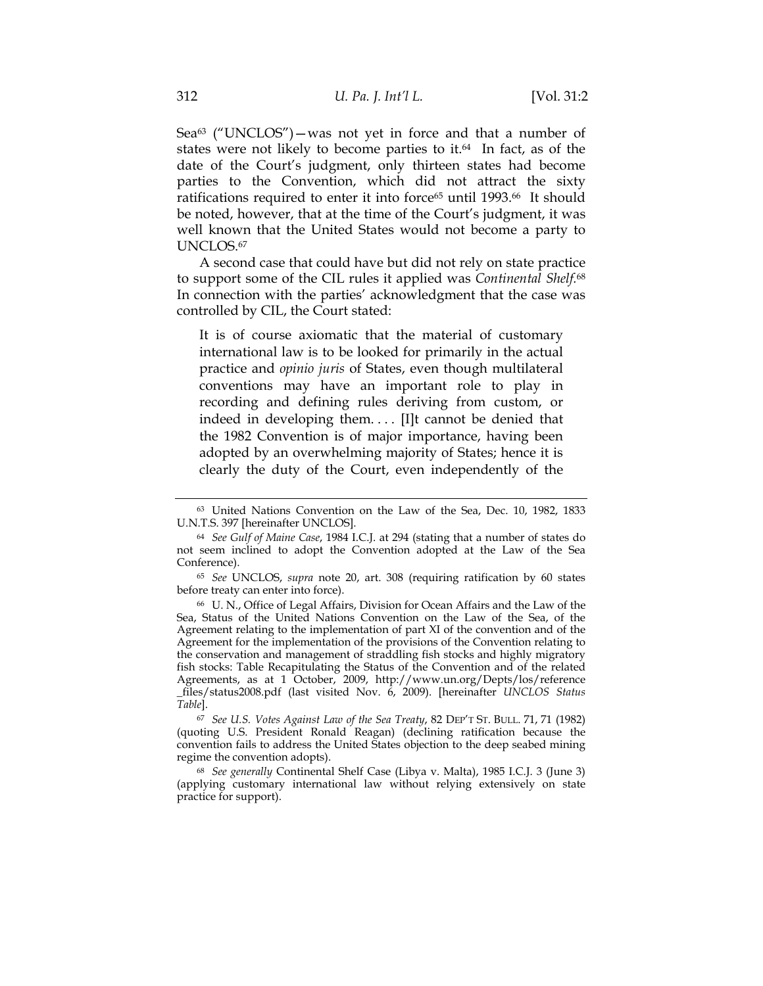Sea $63$  ("UNCLOS") — was not yet in force and that a number of states were not likely to become parties to it.<sup>64</sup> In fact, as of the date of the Court's judgment, only thirteen states had become parties to the Convention, which did not attract the sixty ratifications required to enter it into force<sup>65</sup> until 1993.<sup>66</sup> It should be noted, however, that at the time of the Court's judgment, it was well known that the United States would not become a party to UNCLOS.67

A second case that could have but did not rely on state practice to support some of the CIL rules it applied was *Continental Shelf.*68 In connection with the parties' acknowledgment that the case was controlled by CIL, the Court stated:

It is of course axiomatic that the material of customary international law is to be looked for primarily in the actual practice and *opinio juris* of States, even though multilateral conventions may have an important role to play in recording and defining rules deriving from custom, or indeed in developing them. . . . [I]t cannot be denied that the 1982 Convention is of major importance, having been adopted by an overwhelming majority of States; hence it is clearly the duty of the Court, even independently of the

<sup>67</sup> *See U.S. Votes Against Law of the Sea Treaty*, 82 DEP'T ST. BULL. 71, 71 (1982) (quoting U.S. President Ronald Reagan) (declining ratification because the convention fails to address the United States objection to the deep seabed mining regime the convention adopts).

<sup>68</sup> *See generally* Continental Shelf Case (Libya v. Malta), 1985 I.C.J. 3 (June 3) (applying customary international law without relying extensively on state practice for support).

<sup>63</sup> United Nations Convention on the Law of the Sea, Dec. 10, 1982, 1833 U.N.T.S. 397 [hereinafter UNCLOS].

<sup>64</sup> *See Gulf of Maine Case*, 1984 I.C.J. at 294 (stating that a number of states do not seem inclined to adopt the Convention adopted at the Law of the Sea Conference).

<sup>65</sup> *See* UNCLOS, *supra* note 20, art. 308 (requiring ratification by 60 states before treaty can enter into force).

<sup>66</sup> U. N., Office of Legal Affairs, Division for Ocean Affairs and the Law of the Sea, Status of the United Nations Convention on the Law of the Sea, of the Agreement relating to the implementation of part XI of the convention and of the Agreement for the implementation of the provisions of the Convention relating to the conservation and management of straddling fish stocks and highly migratory fish stocks: Table Recapitulating the Status of the Convention and of the related Agreements, as at 1 October, 2009, http://www.un.org/Depts/los/reference \_files/status2008.pdf (last visited Nov. 6, 2009). [hereinafter *UNCLOS Status Table*].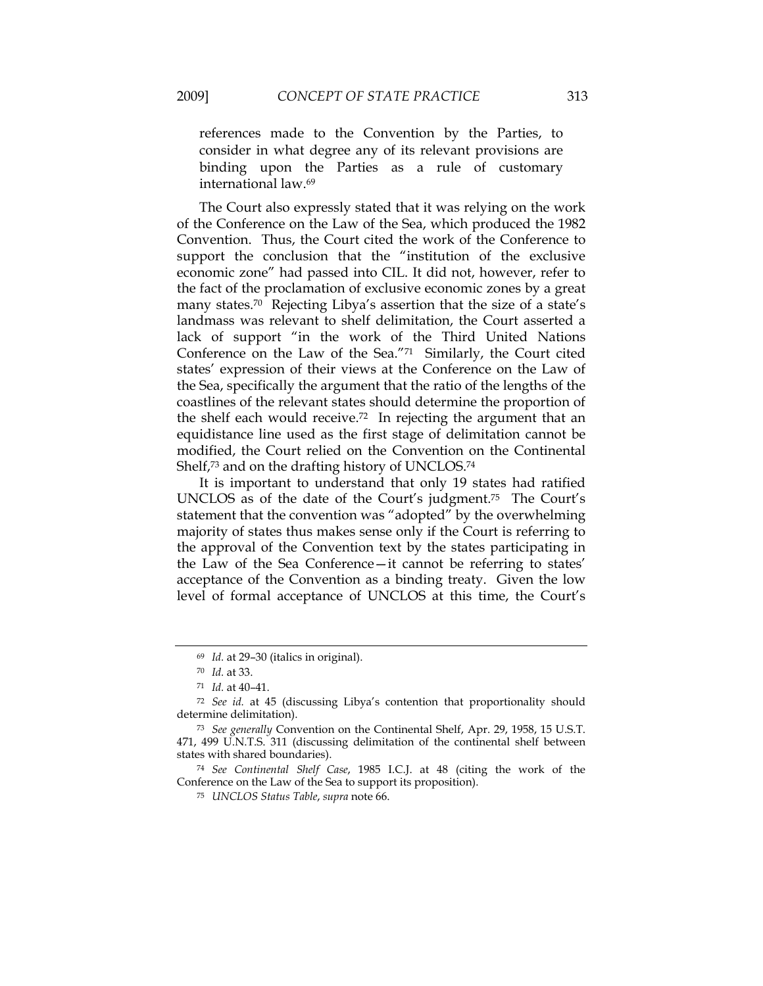references made to the Convention by the Parties, to consider in what degree any of its relevant provisions are binding upon the Parties as a rule of customary international law.69

The Court also expressly stated that it was relying on the work of the Conference on the Law of the Sea, which produced the 1982 Convention. Thus, the Court cited the work of the Conference to support the conclusion that the "institution of the exclusive economic zone" had passed into CIL. It did not, however, refer to the fact of the proclamation of exclusive economic zones by a great many states.70 Rejecting Libya's assertion that the size of a state's landmass was relevant to shelf delimitation, the Court asserted a lack of support "in the work of the Third United Nations Conference on the Law of the Sea."71 Similarly, the Court cited states' expression of their views at the Conference on the Law of the Sea, specifically the argument that the ratio of the lengths of the coastlines of the relevant states should determine the proportion of the shelf each would receive.72 In rejecting the argument that an equidistance line used as the first stage of delimitation cannot be modified, the Court relied on the Convention on the Continental Shelf,<sup>73</sup> and on the drafting history of UNCLOS.<sup>74</sup>

It is important to understand that only 19 states had ratified UNCLOS as of the date of the Court's judgment.75 The Court's statement that the convention was "adopted" by the overwhelming majority of states thus makes sense only if the Court is referring to the approval of the Convention text by the states participating in the Law of the Sea Conference—it cannot be referring to states' acceptance of the Convention as a binding treaty. Given the low level of formal acceptance of UNCLOS at this time, the Court's

<sup>75</sup> *UNCLOS Status Table*, *supra* note 66.

<sup>69</sup> *Id.* at 29–30 (italics in original).

<sup>70</sup> *Id.* at 33.

<sup>71</sup> *Id.* at 40–41.

<sup>72</sup> *See id.* at 45 (discussing Libya's contention that proportionality should determine delimitation).

<sup>73</sup> *See generally* Convention on the Continental Shelf, Apr. 29, 1958, 15 U.S.T. 471, 499 U.N.T.S. 311 (discussing delimitation of the continental shelf between states with shared boundaries).

<sup>74</sup> *See Continental Shelf Case*, 1985 I.C.J. at 48 (citing the work of the Conference on the Law of the Sea to support its proposition).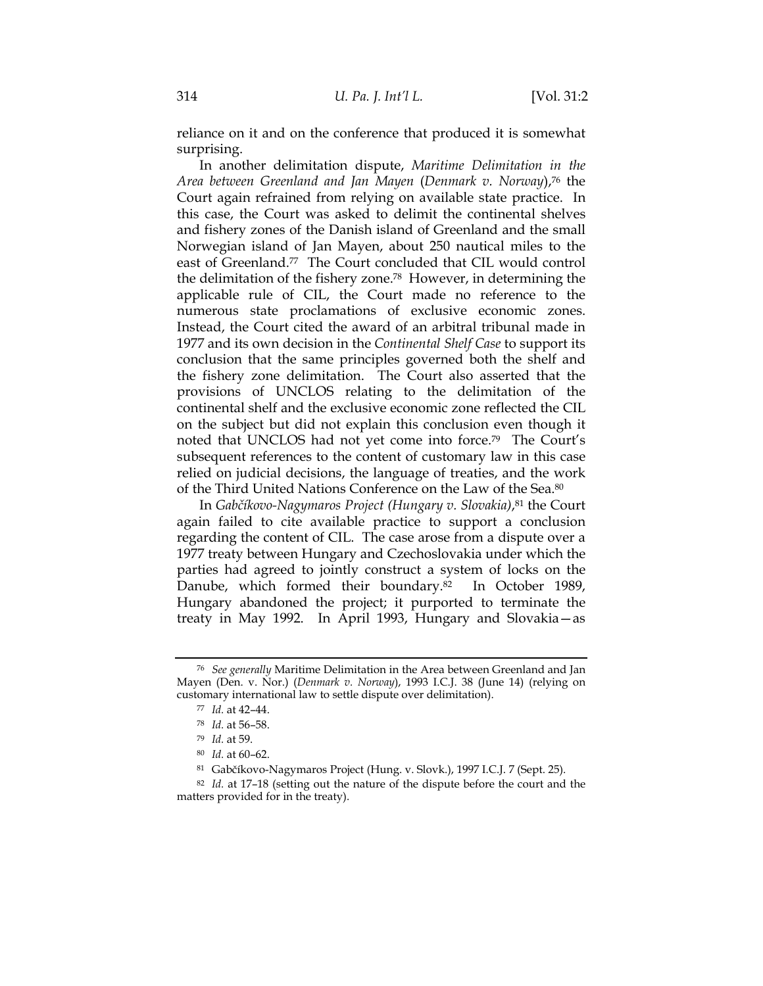reliance on it and on the conference that produced it is somewhat surprising.

In another delimitation dispute, *Maritime Delimitation in the Area between Greenland and Jan Mayen* (*Denmark v. Norway*),76 the Court again refrained from relying on available state practice. In this case, the Court was asked to delimit the continental shelves and fishery zones of the Danish island of Greenland and the small Norwegian island of Jan Mayen, about 250 nautical miles to the east of Greenland.77 The Court concluded that CIL would control the delimitation of the fishery zone.78 However, in determining the applicable rule of CIL, the Court made no reference to the numerous state proclamations of exclusive economic zones. Instead, the Court cited the award of an arbitral tribunal made in 1977 and its own decision in the *Continental Shelf Case* to support its conclusion that the same principles governed both the shelf and the fishery zone delimitation. The Court also asserted that the provisions of UNCLOS relating to the delimitation of the continental shelf and the exclusive economic zone reflected the CIL on the subject but did not explain this conclusion even though it noted that UNCLOS had not yet come into force.79 The Court's subsequent references to the content of customary law in this case relied on judicial decisions, the language of treaties, and the work of the Third United Nations Conference on the Law of the Sea.80

In *Gabčíkovo-Nagymaros Project (Hungary v. Slovakia)*,81 the Court again failed to cite available practice to support a conclusion regarding the content of CIL. The case arose from a dispute over a 1977 treaty between Hungary and Czechoslovakia under which the parties had agreed to jointly construct a system of locks on the Danube, which formed their boundary.<sup>82</sup> In October 1989, Hungary abandoned the project; it purported to terminate the treaty in May 1992.In April 1993, Hungary and Slovakia—as

<sup>76</sup> *See generally* Maritime Delimitation in the Area between Greenland and Jan Mayen (Den. v. Nor.) (*Denmark v. Norway*), 1993 I.C.J. 38 (June 14) (relying on customary international law to settle dispute over delimitation).

<sup>77</sup> *Id.* at 42–44.

<sup>78</sup> *Id.* at 56–58.

<sup>79</sup> *Id.* at 59.

<sup>80</sup> *Id.* at 60–62.

<sup>81</sup> Gabčíkovo-Nagymaros Project (Hung. v. Slovk.), 1997 I.C.J. 7 (Sept. 25).

<sup>82</sup> *Id.* at 17–18 (setting out the nature of the dispute before the court and the matters provided for in the treaty).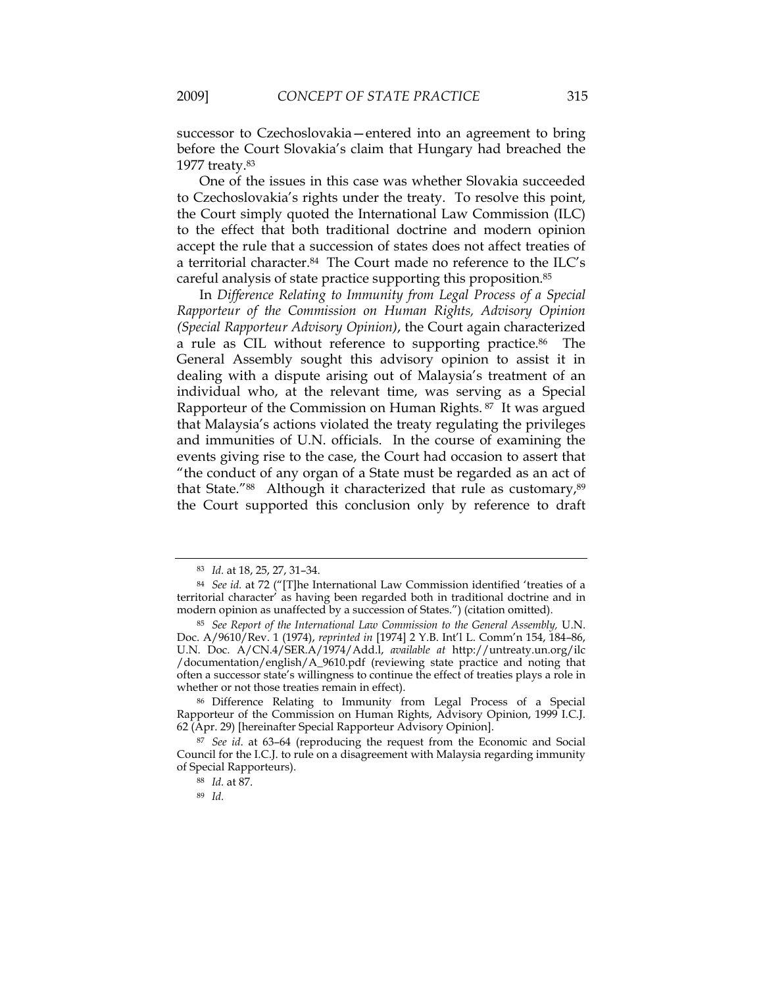successor to Czechoslovakia—entered into an agreement to bring before the Court Slovakia's claim that Hungary had breached the 1977 treaty.83

One of the issues in this case was whether Slovakia succeeded to Czechoslovakia's rights under the treaty. To resolve this point, the Court simply quoted the International Law Commission (ILC) to the effect that both traditional doctrine and modern opinion accept the rule that a succession of states does not affect treaties of a territorial character.84 The Court made no reference to the ILC's careful analysis of state practice supporting this proposition.85

In *Difference Relating to Immunity from Legal Process of a Special Rapporteur of the Commission on Human Rights, Advisory Opinion (Special Rapporteur Advisory Opinion)*, the Court again characterized a rule as CIL without reference to supporting practice.<sup>86</sup> The General Assembly sought this advisory opinion to assist it in dealing with a dispute arising out of Malaysia's treatment of an individual who, at the relevant time, was serving as a Special Rapporteur of the Commission on Human Rights. 87 It was argued that Malaysia's actions violated the treaty regulating the privileges and immunities of U.N. officials. In the course of examining the events giving rise to the case, the Court had occasion to assert that "the conduct of any organ of a State must be regarded as an act of that State."<sup>88</sup> Although it characterized that rule as customary,<sup>89</sup> the Court supported this conclusion only by reference to draft

<sup>83</sup> *Id.* at 18, 25, 27, 31–34.

<sup>84</sup> *See id.* at 72 ("[T]he International Law Commission identified 'treaties of a territorial character' as having been regarded both in traditional doctrine and in modern opinion as unaffected by a succession of States.") (citation omitted).

<sup>85</sup> *See Report of the International Law Commission to the General Assembly,* U.N. Doc. A/9610/Rev. 1 (1974), *reprinted in* [1974] 2 Y.B. Int'l L. Comm'n 154, 184–86, U.N. Doc. A/CN.4/SER.A/1974/Add.l, *available at* http://untreaty.un.org/ilc /documentation/english/A\_9610.pdf (reviewing state practice and noting that often a successor state's willingness to continue the effect of treaties plays a role in whether or not those treaties remain in effect).

<sup>86</sup> Difference Relating to Immunity from Legal Process of a Special Rapporteur of the Commission on Human Rights, Advisory Opinion, 1999 I.C.J. 62 (Apr. 29) [hereinafter Special Rapporteur Advisory Opinion].

<sup>87</sup> *See id*. at 63–64 (reproducing the request from the Economic and Social Council for the I.C.J. to rule on a disagreement with Malaysia regarding immunity of Special Rapporteurs).

<sup>88</sup> *Id.* at 87.

<sup>89</sup> *Id.*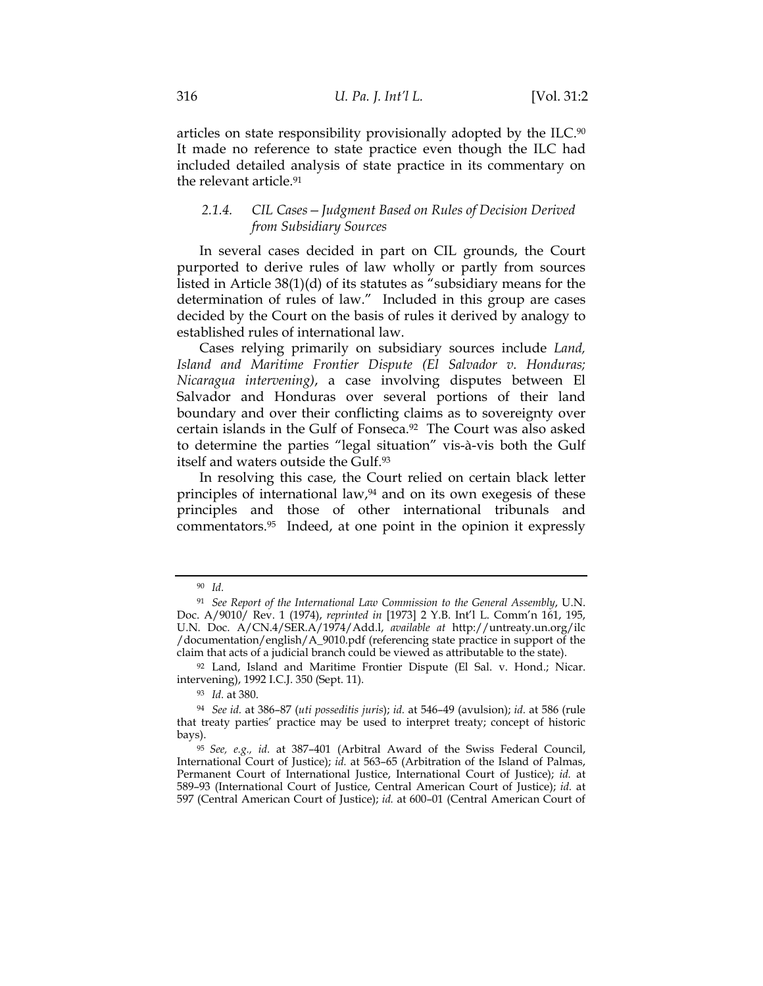articles on state responsibility provisionally adopted by the ILC.90 It made no reference to state practice even though the ILC had included detailed analysis of state practice in its commentary on the relevant article.91

### *2.1.4. CIL Cases—Judgment Based on Rules of Decision Derived from Subsidiary Sources*

In several cases decided in part on CIL grounds, the Court purported to derive rules of law wholly or partly from sources listed in Article 38(1)(d) of its statutes as "subsidiary means for the determination of rules of law." Included in this group are cases decided by the Court on the basis of rules it derived by analogy to established rules of international law.

Cases relying primarily on subsidiary sources include *Land, Island and Maritime Frontier Dispute (El Salvador v. Honduras; Nicaragua intervening)*, a case involving disputes between El Salvador and Honduras over several portions of their land boundary and over their conflicting claims as to sovereignty over certain islands in the Gulf of Fonseca.92 The Court was also asked to determine the parties "legal situation" vis-à-vis both the Gulf itself and waters outside the Gulf.93

In resolving this case, the Court relied on certain black letter principles of international law,94 and on its own exegesis of these principles and those of other international tribunals and commentators.95 Indeed, at one point in the opinion it expressly

<sup>90</sup> *Id.*

<sup>91</sup> *See Report of the International Law Commission to the General Assembly*, U.N. Doc. A/9010/ Rev. 1 (1974), *reprinted in* [1973] 2 Y.B. Int'l L. Comm'n 161, 195, U.N. Doc. A/CN.4/SER.A/1974/Add.l, *available at* http://untreaty.un.org/ilc /documentation/english/A\_9010.pdf (referencing state practice in support of the claim that acts of a judicial branch could be viewed as attributable to the state).

<sup>92</sup> Land, Island and Maritime Frontier Dispute (El Sal. v. Hond.; Nicar. intervening), 1992 I.C.J. 350 (Sept. 11).

<sup>93</sup> *Id.* at 380.

<sup>94</sup> *See id.* at 386–87 (*uti posseditis juris*); *id.* at 546–49 (avulsion); *id.* at 586 (rule that treaty parties' practice may be used to interpret treaty; concept of historic bays).

<sup>95</sup>*See, e.g., id.* at 387–401 (Arbitral Award of the Swiss Federal Council, International Court of Justice); *id.* at 563–65 (Arbitration of the Island of Palmas, Permanent Court of International Justice, International Court of Justice); *id.* at 589–93 (International Court of Justice, Central American Court of Justice); *id.* at 597 (Central American Court of Justice); *id.* at 600–01 (Central American Court of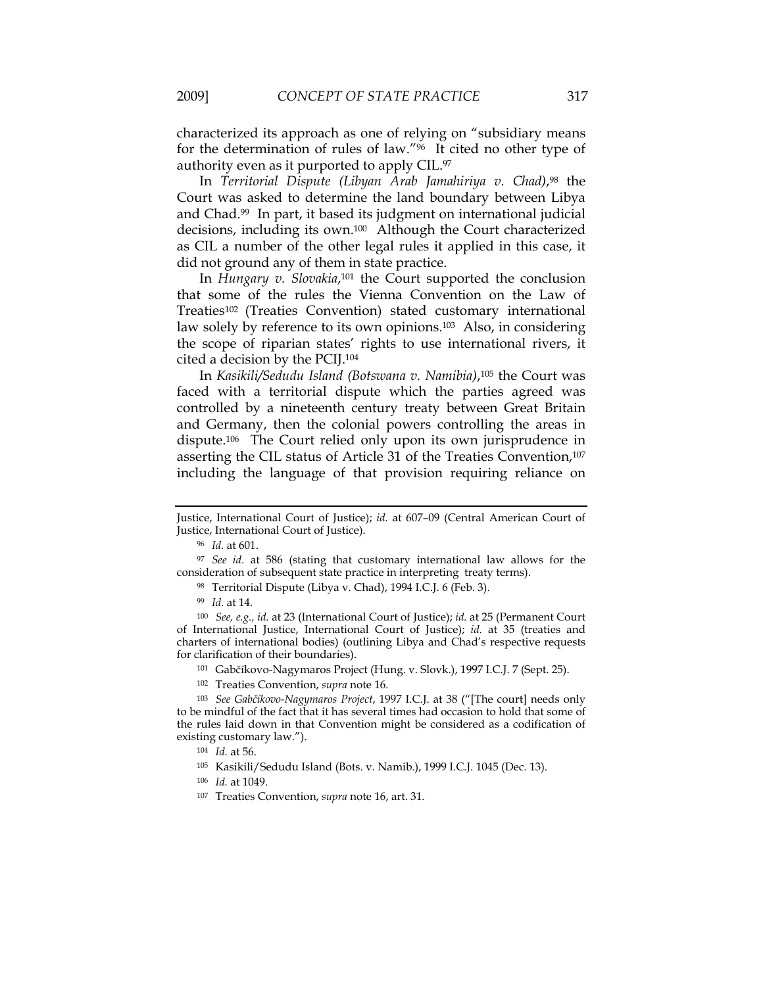characterized its approach as one of relying on "subsidiary means for the determination of rules of law."96 It cited no other type of authority even as it purported to apply CIL.97

In *Territorial Dispute (Libyan Arab Jamahiriya v. Chad)*,98 the Court was asked to determine the land boundary between Libya and Chad.99 In part, it based its judgment on international judicial decisions, including its own.100 Although the Court characterized as CIL a number of the other legal rules it applied in this case, it did not ground any of them in state practice.

In *Hungary v. Slovakia*,101 the Court supported the conclusion that some of the rules the Vienna Convention on the Law of Treaties102 (Treaties Convention) stated customary international law solely by reference to its own opinions.103Also, in considering the scope of riparian states' rights to use international rivers, it cited a decision by the PCIJ.104

In *Kasikili/Sedudu Island (Botswana v. Namibia)*,105 the Court was faced with a territorial dispute which the parties agreed was controlled by a nineteenth century treaty between Great Britain and Germany, then the colonial powers controlling the areas in dispute.106 The Court relied only upon its own jurisprudence in asserting the CIL status of Article 31 of the Treaties Convention,<sup>107</sup> including the language of that provision requiring reliance on

- <sup>101</sup> Gabčíkovo-Nagymaros Project (Hung. v. Slovk.), 1997 I.C.J. 7 (Sept. 25).
- <sup>102</sup> Treaties Convention, *supra* note 16.

Justice, International Court of Justice); *id.* at 607–09 (Central American Court of Justice, International Court of Justice).

<sup>96</sup> *Id.* at 601.

<sup>97</sup> *See id.* at 586 (stating that customary international law allows for the consideration of subsequent state practice in interpreting treaty terms).

<sup>98</sup> Territorial Dispute (Libya v. Chad), 1994 I.C.J. 6 (Feb. 3).

<sup>99</sup> *Id.* at 14.

<sup>100</sup> *See, e.g., id.* at 23 (International Court of Justice); *id.* at 25 (Permanent Court of International Justice, International Court of Justice); *id.* at 35 (treaties and charters of international bodies) (outlining Libya and Chad's respective requests for clarification of their boundaries).

<sup>103</sup> *See Gabčíkovo-Nagymaros Project*, 1997 I.C.J. at 38 ("[The court] needs only to be mindful of the fact that it has several times had occasion to hold that some of the rules laid down in that Convention might be considered as a codification of existing customary law.").

<sup>104</sup> *Id.* at 56.

<sup>105</sup> Kasikili/Sedudu Island (Bots. v. Namib.), 1999 I.C.J. 1045 (Dec. 13).

<sup>106</sup> *Id.* at 1049.

<sup>107</sup> Treaties Convention, *supra* note 16, art. 31.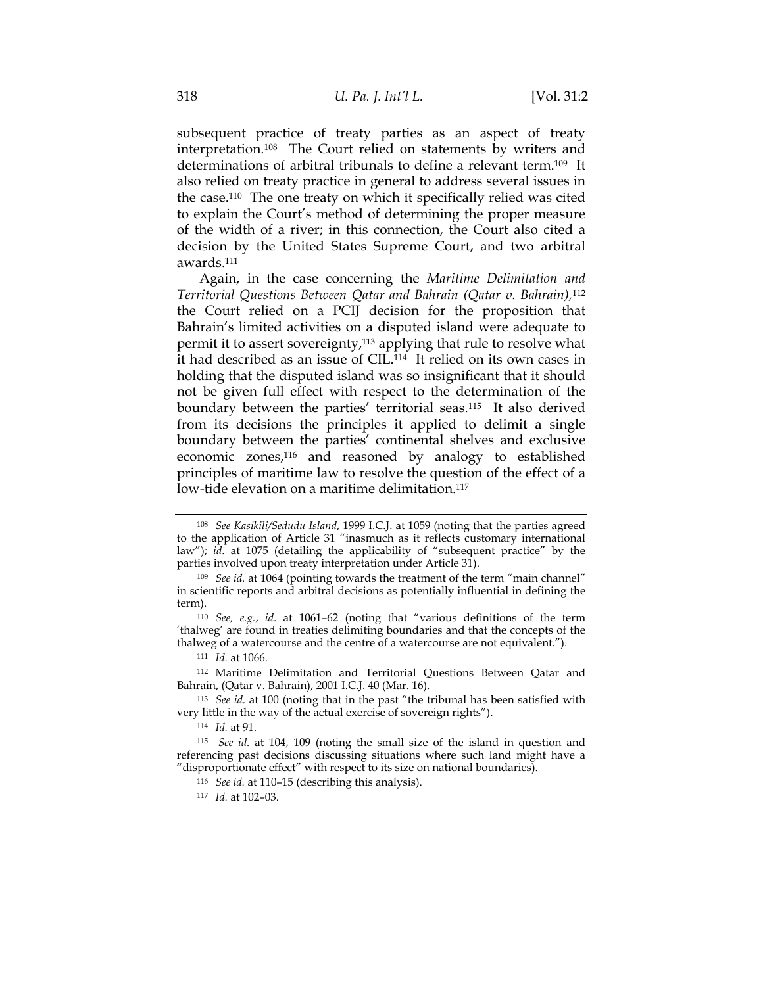subsequent practice of treaty parties as an aspect of treaty interpretation.108 The Court relied on statements by writers and determinations of arbitral tribunals to define a relevant term.109 It also relied on treaty practice in general to address several issues in the case.110 The one treaty on which it specifically relied was cited to explain the Court's method of determining the proper measure of the width of a river; in this connection, the Court also cited a decision by the United States Supreme Court, and two arbitral awards.111

Again, in the case concerning the *Maritime Delimitation and Territorial Questions Between Qatar and Bahrain (Qatar v. Bahrain),*<sup>112</sup> the Court relied on a PCIJ decision for the proposition that Bahrain's limited activities on a disputed island were adequate to permit it to assert sovereignty,113 applying that rule to resolve what it had described as an issue of CIL.114 It relied on its own cases in holding that the disputed island was so insignificant that it should not be given full effect with respect to the determination of the boundary between the parties' territorial seas.115 It also derived from its decisions the principles it applied to delimit a single boundary between the parties' continental shelves and exclusive economic zones,116 and reasoned by analogy to established principles of maritime law to resolve the question of the effect of a low-tide elevation on a maritime delimitation.<sup>117</sup>

<sup>114</sup> *Id.* at 91.

<sup>108</sup> *See Kasikili/Sedudu Island*, 1999 I.C.J. at 1059 (noting that the parties agreed to the application of Article 31 "inasmuch as it reflects customary international law"); *id.* at 1075 (detailing the applicability of "subsequent practice" by the parties involved upon treaty interpretation under Article 31).

<sup>109</sup> *See id.* at 1064 (pointing towards the treatment of the term "main channel" in scientific reports and arbitral decisions as potentially influential in defining the term).

<sup>110</sup> *See, e.g.*, *id.* at 1061–62 (noting that "various definitions of the term 'thalweg' are found in treaties delimiting boundaries and that the concepts of the thalweg of a watercourse and the centre of a watercourse are not equivalent.").

<sup>111</sup> *Id.* at 1066.

<sup>112</sup> Maritime Delimitation and Territorial Questions Between Qatar and Bahrain, (Qatar v. Bahrain), 2001 I.C.J. 40 (Mar. 16).

<sup>113</sup> *See id.* at 100 (noting that in the past "the tribunal has been satisfied with very little in the way of the actual exercise of sovereign rights").

 <sup>115</sup> *See id.* at 104, 109 (noting the small size of the island in question and referencing past decisions discussing situations where such land might have a "disproportionate effect" with respect to its size on national boundaries).

<sup>116</sup> *See id.* at 110–15 (describing this analysis).

<sup>117</sup> *Id.* at 102–03.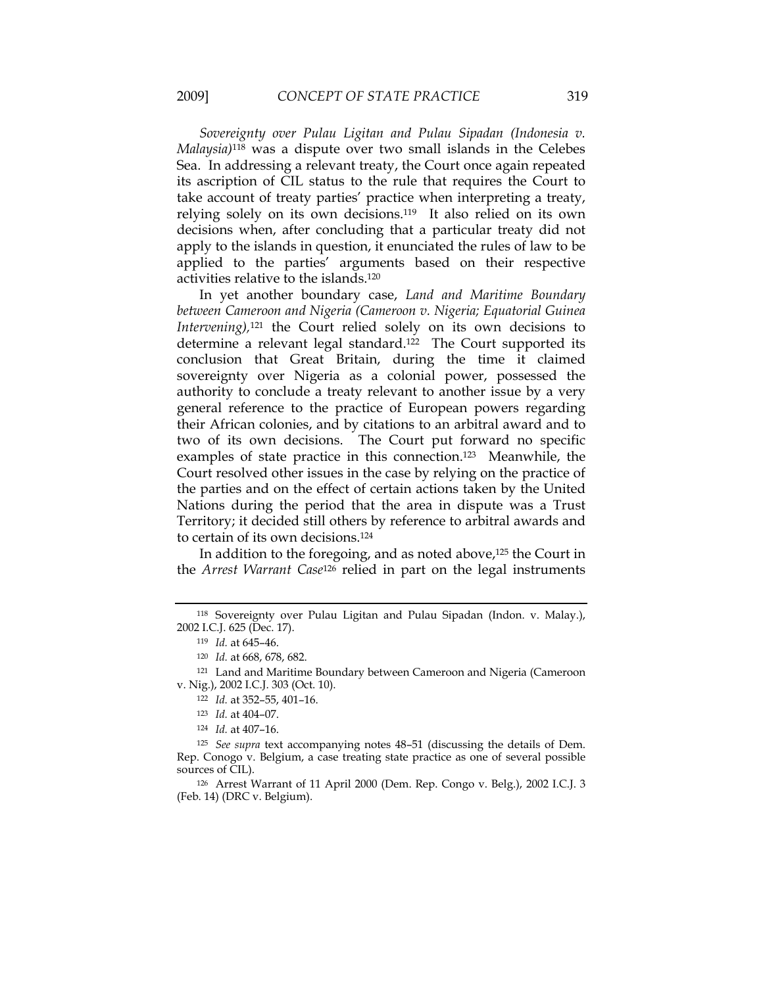*Sovereignty over Pulau Ligitan and Pulau Sipadan (Indonesia v. Malaysia)*118 was a dispute over two small islands in the Celebes Sea. In addressing a relevant treaty, the Court once again repeated its ascription of CIL status to the rule that requires the Court to take account of treaty parties' practice when interpreting a treaty, relying solely on its own decisions.119 It also relied on its own decisions when, after concluding that a particular treaty did not apply to the islands in question, it enunciated the rules of law to be applied to the parties' arguments based on their respective activities relative to the islands.120

In yet another boundary case, *Land and Maritime Boundary between Cameroon and Nigeria (Cameroon v. Nigeria; Equatorial Guinea Intervening),*121 the Court relied solely on its own decisions to determine a relevant legal standard.<sup>122</sup> The Court supported its conclusion that Great Britain, during the time it claimed sovereignty over Nigeria as a colonial power, possessed the authority to conclude a treaty relevant to another issue by a very general reference to the practice of European powers regarding their African colonies, and by citations to an arbitral award and to two of its own decisions. The Court put forward no specific examples of state practice in this connection.123 Meanwhile, the Court resolved other issues in the case by relying on the practice of the parties and on the effect of certain actions taken by the United Nations during the period that the area in dispute was a Trust Territory; it decided still others by reference to arbitral awards and to certain of its own decisions.124

In addition to the foregoing, and as noted above,<sup>125</sup> the Court in the *Arrest Warrant Case*126 relied in part on the legal instruments

<sup>121</sup> Land and Maritime Boundary between Cameroon and Nigeria (Cameroon v. Nig.), 2002 I.C.J. 303 (Oct. 10).

<sup>125</sup> *See supra* text accompanying notes 48–51 (discussing the details of Dem. Rep. Conogo v. Belgium, a case treating state practice as one of several possible sources of CIL).

<sup>126</sup> Arrest Warrant of 11 April 2000 (Dem. Rep. Congo v. Belg.), 2002 I.C.J. 3 (Feb. 14) (DRC v. Belgium).

<sup>118</sup> Sovereignty over Pulau Ligitan and Pulau Sipadan (Indon. v. Malay.), 2002 I.C.J. 625 (Dec. 17).

<sup>119</sup> *Id.* at 645–46.

<sup>120</sup> *Id.* at 668, 678, 682.

<sup>122</sup> *Id.* at 352–55, 401–16.

<sup>123</sup> *Id.* at 404–07.

<sup>124</sup> *Id.* at 407–16.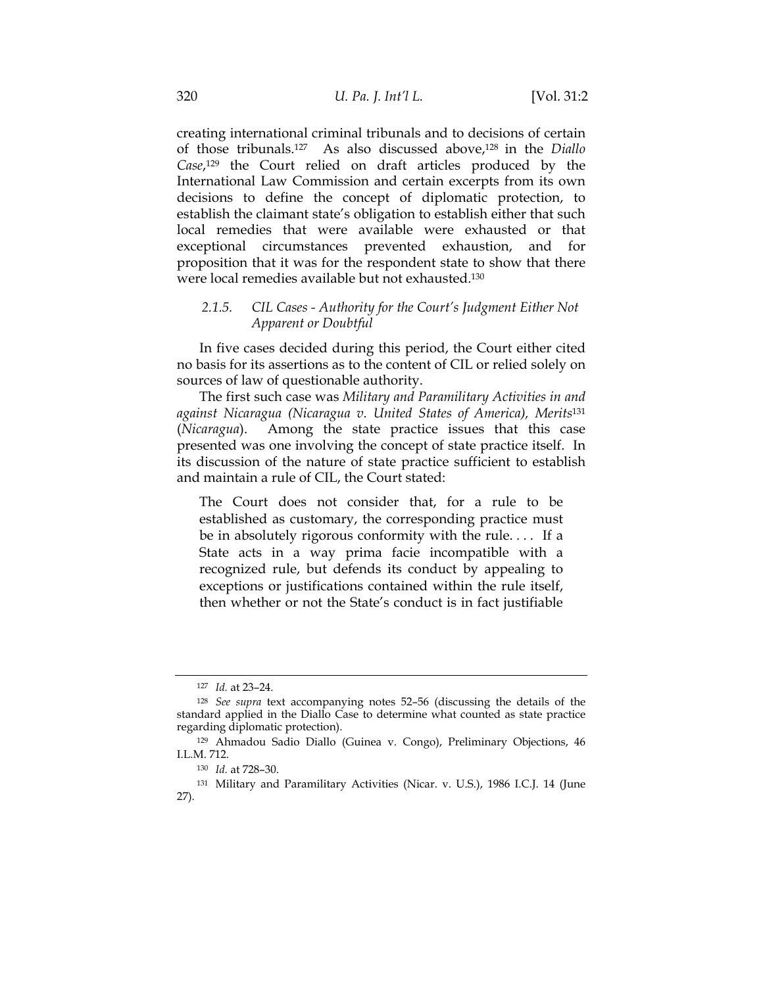creating international criminal tribunals and to decisions of certain of those tribunals.127 As also discussed above,128 in the *Diallo Case*,129 the Court relied on draft articles produced by the International Law Commission and certain excerpts from its own decisions to define the concept of diplomatic protection, to establish the claimant state's obligation to establish either that such local remedies that were available were exhausted or that exceptional circumstances prevented exhaustion, and for proposition that it was for the respondent state to show that there were local remedies available but not exhausted.130

## *2.1.5. CIL Cases - Authority for the Court's Judgment Either Not Apparent or Doubtful*

In five cases decided during this period, the Court either cited no basis for its assertions as to the content of CIL or relied solely on sources of law of questionable authority.

The first such case was *Military and Paramilitary Activities in and against Nicaragua (Nicaragua v. United States of America), Merits*<sup>131</sup> (*Nicaragua*). Among the state practice issues that this case presented was one involving the concept of state practice itself. In its discussion of the nature of state practice sufficient to establish and maintain a rule of CIL, the Court stated:

The Court does not consider that, for a rule to be established as customary, the corresponding practice must be in absolutely rigorous conformity with the rule. . . . If a State acts in a way prima facie incompatible with a recognized rule, but defends its conduct by appealing to exceptions or justifications contained within the rule itself, then whether or not the State's conduct is in fact justifiable

<sup>127</sup> *Id.* at 23–24.

<sup>128</sup> *See supra* text accompanying notes 52–56 (discussing the details of the standard applied in the Diallo Case to determine what counted as state practice regarding diplomatic protection).

<sup>129</sup> Ahmadou Sadio Diallo (Guinea v. Congo), Preliminary Objections, 46 I.L.M. 712.

<sup>130</sup> *Id.* at 728–30.

<sup>131</sup> Military and Paramilitary Activities (Nicar. v. U.S.), 1986 I.C.J. 14 (June 27).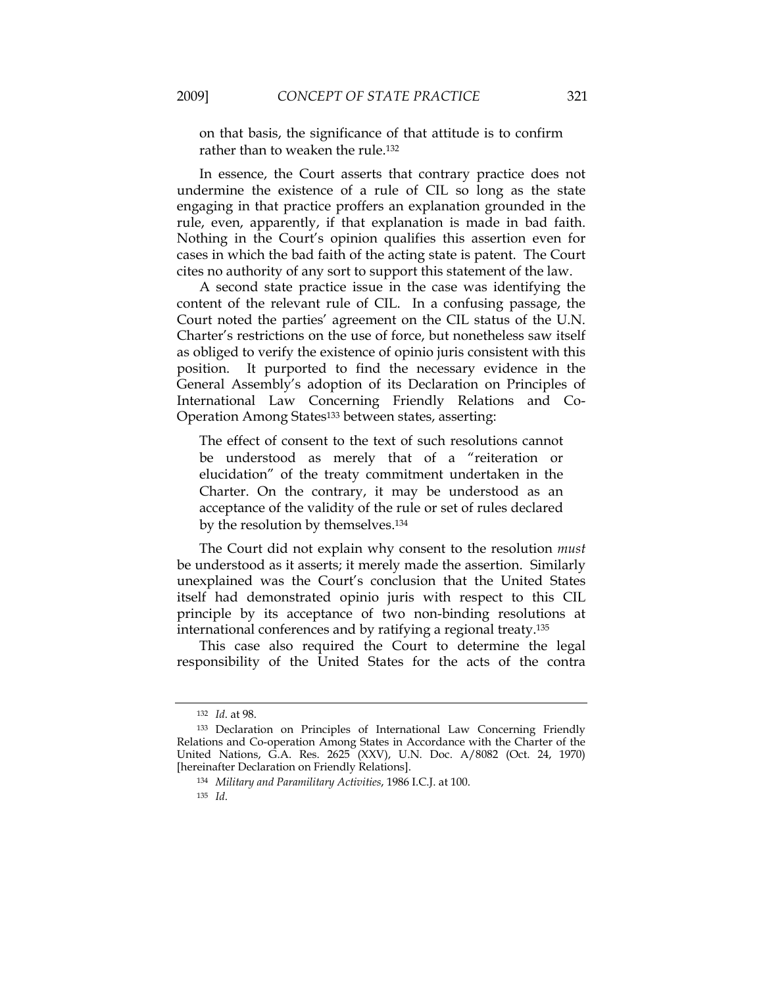on that basis, the significance of that attitude is to confirm rather than to weaken the rule.132

In essence, the Court asserts that contrary practice does not undermine the existence of a rule of CIL so long as the state engaging in that practice proffers an explanation grounded in the rule, even, apparently, if that explanation is made in bad faith. Nothing in the Court's opinion qualifies this assertion even for cases in which the bad faith of the acting state is patent. The Court cites no authority of any sort to support this statement of the law.

A second state practice issue in the case was identifying the content of the relevant rule of CIL. In a confusing passage, the Court noted the parties' agreement on the CIL status of the U.N. Charter's restrictions on the use of force, but nonetheless saw itself as obliged to verify the existence of opinio juris consistent with this position. It purported to find the necessary evidence in the General Assembly's adoption of its Declaration on Principles of International Law Concerning Friendly Relations and Co-Operation Among States133 between states, asserting:

The effect of consent to the text of such resolutions cannot be understood as merely that of a "reiteration or elucidation" of the treaty commitment undertaken in the Charter. On the contrary, it may be understood as an acceptance of the validity of the rule or set of rules declared by the resolution by themselves.134

The Court did not explain why consent to the resolution *must* be understood as it asserts; it merely made the assertion. Similarly unexplained was the Court's conclusion that the United States itself had demonstrated opinio juris with respect to this CIL principle by its acceptance of two non-binding resolutions at international conferences and by ratifying a regional treaty.135

This case also required the Court to determine the legal responsibility of the United States for the acts of the contra

<sup>135</sup> *Id*.

<sup>132</sup> *Id*. at 98.

<sup>133</sup> Declaration on Principles of International Law Concerning Friendly Relations and Co-operation Among States in Accordance with the Charter of the United Nations, G.A. Res. 2625 (XXV), U.N. Doc. A/8082 (Oct. 24, 1970) [hereinafter Declaration on Friendly Relations].

<sup>134</sup> *Military and Paramilitary Activities*, 1986 I.C.J. at 100.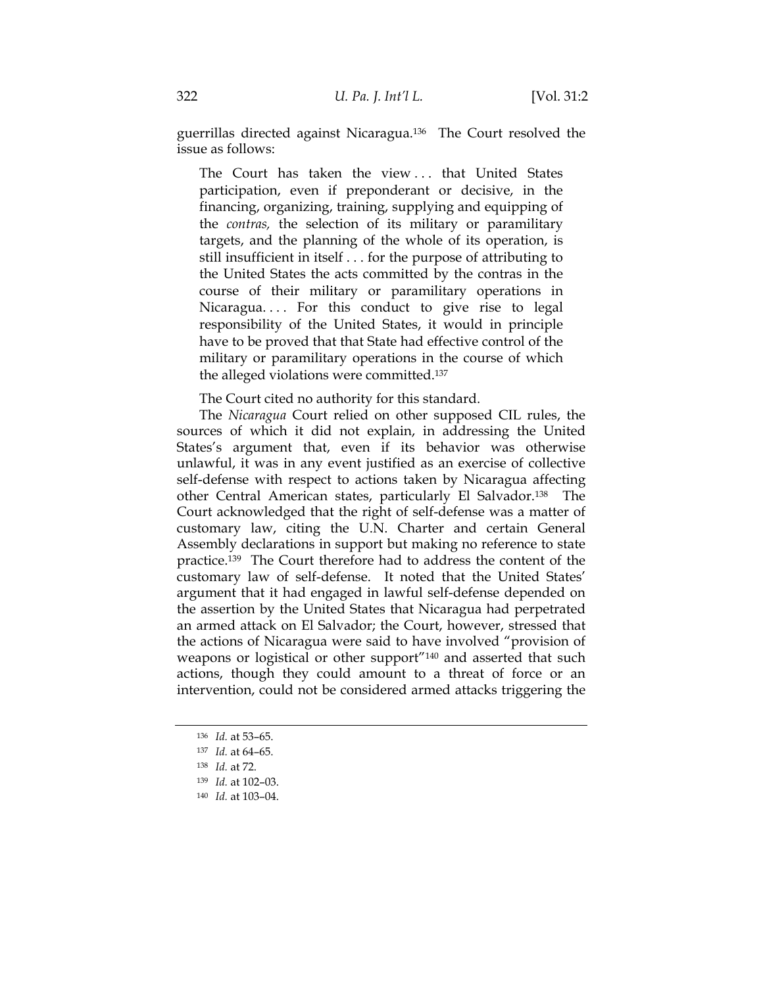guerrillas directed against Nicaragua.136 The Court resolved the issue as follows:

The Court has taken the view . . . that United States participation, even if preponderant or decisive, in the financing, organizing, training, supplying and equipping of the *contras,* the selection of its military or paramilitary targets, and the planning of the whole of its operation, is still insufficient in itself . . . for the purpose of attributing to the United States the acts committed by the contras in the course of their military or paramilitary operations in Nicaragua.... For this conduct to give rise to legal responsibility of the United States, it would in principle have to be proved that that State had effective control of the military or paramilitary operations in the course of which the alleged violations were committed.137

The Court cited no authority for this standard.

The *Nicaragua* Court relied on other supposed CIL rules, the sources of which it did not explain, in addressing the United States's argument that, even if its behavior was otherwise unlawful, it was in any event justified as an exercise of collective self-defense with respect to actions taken by Nicaragua affecting other Central American states, particularly El Salvador.138 The Court acknowledged that the right of self-defense was a matter of customary law, citing the U.N. Charter and certain General Assembly declarations in support but making no reference to state practice.139 The Court therefore had to address the content of the customary law of self-defense. It noted that the United States' argument that it had engaged in lawful self-defense depended on the assertion by the United States that Nicaragua had perpetrated an armed attack on El Salvador; the Court, however, stressed that the actions of Nicaragua were said to have involved "provision of weapons or logistical or other support"140 and asserted that such actions, though they could amount to a threat of force or an intervention, could not be considered armed attacks triggering the

<sup>136</sup> *Id.* at 53–65.

<sup>137</sup> *Id.* at 64–65.

<sup>138</sup> *Id.* at 72.

<sup>139</sup> *Id.* at 102–03.

<sup>140</sup> *Id.* at 103–04.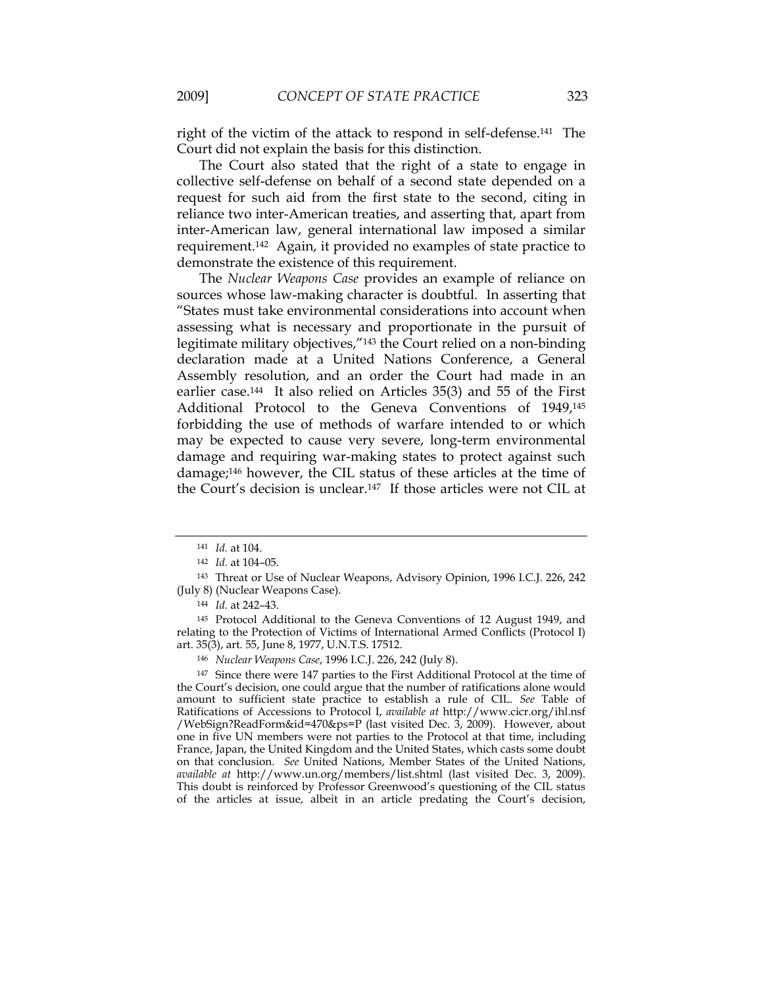right of the victim of the attack to respond in self-defense.141 The Court did not explain the basis for this distinction.

The Court also stated that the right of a state to engage in collective self-defense on behalf of a second state depended on a request for such aid from the first state to the second, citing in reliance two inter-American treaties, and asserting that, apart from inter-American law, general international law imposed a similar requirement.142 Again, it provided no examples of state practice to demonstrate the existence of this requirement.

The *Nuclear Weapons Case* provides an example of reliance on sources whose law-making character is doubtful. In asserting that "States must take environmental considerations into account when assessing what is necessary and proportionate in the pursuit of legitimate military objectives,"143 the Court relied on a non-binding declaration made at a United Nations Conference, a General Assembly resolution, and an order the Court had made in an earlier case.144 It also relied on Articles 35(3) and 55 of the First Additional Protocol to the Geneva Conventions of 1949,145 forbidding the use of methods of warfare intended to or which may be expected to cause very severe, long-term environmental damage and requiring war-making states to protect against such damage;146 however, the CIL status of these articles at the time of the Court's decision is unclear.147 If those articles were not CIL at

<sup>145</sup> Protocol Additional to the Geneva Conventions of 12 August 1949, and relating to the Protection of Victims of International Armed Conflicts (Protocol I) art. 35(3), art. 55, June 8, 1977, U.N.T.S. 17512.

<sup>147</sup> Since there were 147 parties to the First Additional Protocol at the time of the Court's decision, one could argue that the number of ratifications alone would amount to sufficient state practice to establish a rule of CIL. *See* Table of Ratifications of Accessions to Protocol I, *available at* http://www.cicr.org/ihl.nsf /WebSign?ReadForm&id=470&ps=P (last visited Dec. 3, 2009). However, about one in five UN members were not parties to the Protocol at that time, including France, Japan, the United Kingdom and the United States, which casts some doubt on that conclusion. *See* United Nations, Member States of the United Nations, *available at* http://www.un.org/members/list.shtml (last visited Dec. 3, 2009). This doubt is reinforced by Professor Greenwood's questioning of the CIL status of the articles at issue, albeit in an article predating the Court's decision,

<sup>141</sup> *Id.* at 104.

<sup>142</sup> *Id.* at 104–05.

<sup>143</sup> Threat or Use of Nuclear Weapons, Advisory Opinion, 1996 I.C.J. 226, 242 (July 8) (Nuclear Weapons Case).

<sup>144</sup> *Id.* at 242–43.

<sup>146</sup> *Nuclear Weapons Case*, 1996 I.C.J. 226, 242 (July 8).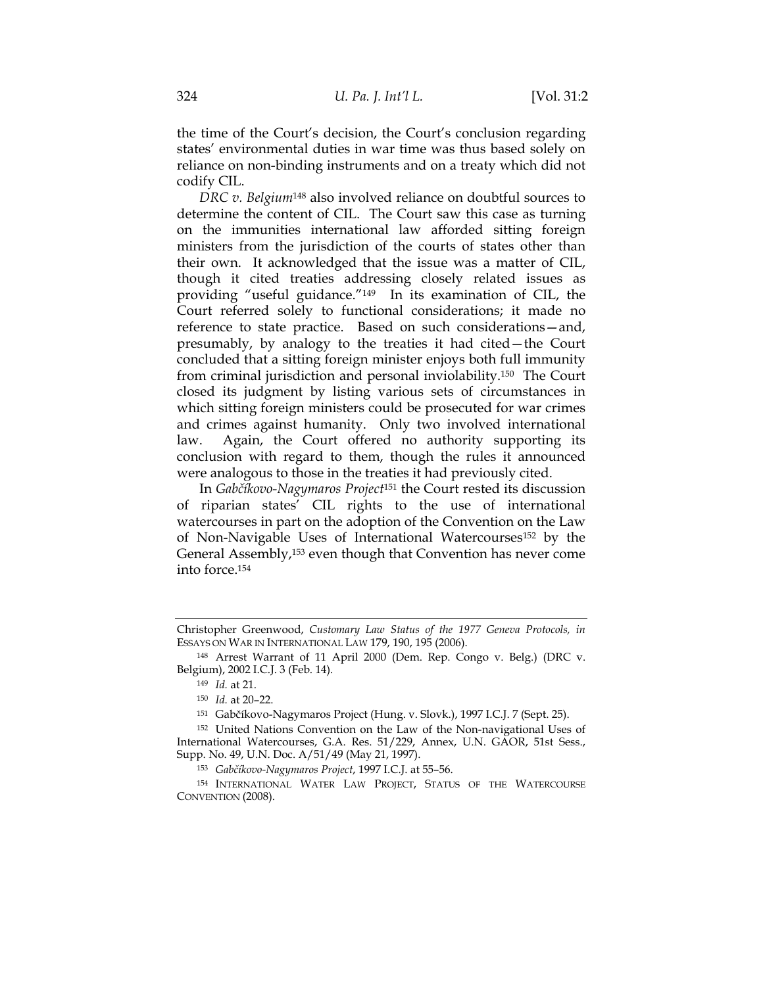the time of the Court's decision, the Court's conclusion regarding states' environmental duties in war time was thus based solely on reliance on non-binding instruments and on a treaty which did not codify CIL.

*DRC v. Belgium*148 also involved reliance on doubtful sources to determine the content of CIL. The Court saw this case as turning on the immunities international law afforded sitting foreign ministers from the jurisdiction of the courts of states other than their own. It acknowledged that the issue was a matter of CIL, though it cited treaties addressing closely related issues as providing "useful guidance."149 In its examination of CIL, the Court referred solely to functional considerations; it made no reference to state practice. Based on such considerations—and, presumably, by analogy to the treaties it had cited—the Court concluded that a sitting foreign minister enjoys both full immunity from criminal jurisdiction and personal inviolability.150 The Court closed its judgment by listing various sets of circumstances in which sitting foreign ministers could be prosecuted for war crimes and crimes against humanity. Only two involved international law. Again, the Court offered no authority supporting its conclusion with regard to them, though the rules it announced were analogous to those in the treaties it had previously cited.

In *Gabčíkovo-Nagymaros Project*151 the Court rested its discussion of riparian states' CIL rights to the use of international watercourses in part on the adoption of the Convention on the Law of Non-Navigable Uses of International Watercourses152 by the General Assembly,153 even though that Convention has never come into force.154

Christopher Greenwood, *Customary Law Status of the 1977 Geneva Protocols, in* ESSAYS ON WAR IN INTERNATIONAL LAW 179, 190, 195 (2006).

<sup>148</sup> Arrest Warrant of 11 April 2000 (Dem. Rep. Congo v. Belg.) (DRC v. Belgium), 2002 I.C.J. 3 (Feb. 14).

<sup>149</sup> *Id.* at 21.

<sup>150</sup> *Id.* at 20–22.

<sup>151</sup> Gabčíkovo-Nagymaros Project (Hung. v. Slovk.), 1997 I.C.J. 7 (Sept. 25).

<sup>152</sup> United Nations Convention on the Law of the Non-navigational Uses of International Watercourses, G.A. Res. 51/229, Annex, U.N. GAOR, 51st Sess., Supp. No. 49, U.N. Doc. A/51/49 (May 21, 1997).

<sup>153</sup> *Gabčíkovo-Nagymaros Project*, 1997 I.C.J. at 55–56.

<sup>154</sup> INTERNATIONAL WATER LAW PROJECT, STATUS OF THE WATERCOURSE CONVENTION (2008).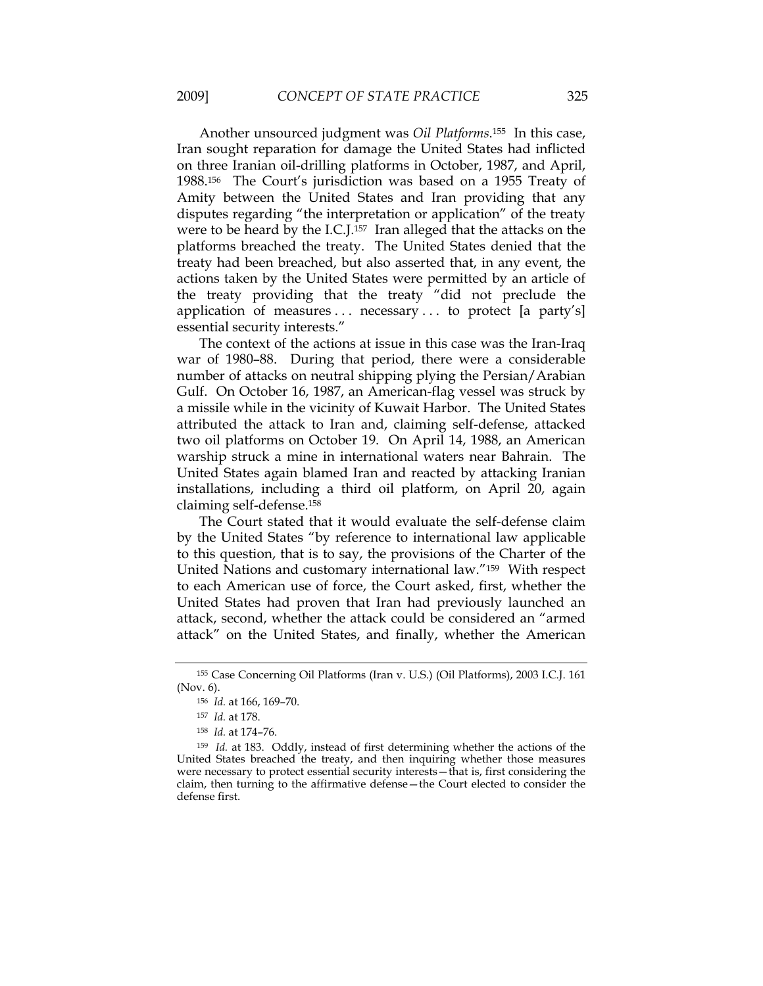Another unsourced judgment was *Oil Platforms*.155 In this case, Iran sought reparation for damage the United States had inflicted on three Iranian oil-drilling platforms in October, 1987, and April, 1988.156 The Court's jurisdiction was based on a 1955 Treaty of Amity between the United States and Iran providing that any disputes regarding "the interpretation or application" of the treaty were to be heard by the I.C.J.157 Iran alleged that the attacks on the platforms breached the treaty. The United States denied that the treaty had been breached, but also asserted that, in any event, the actions taken by the United States were permitted by an article of the treaty providing that the treaty "did not preclude the application of measures  $\dots$  necessary  $\dots$  to protect [a party's] essential security interests."

The context of the actions at issue in this case was the Iran-Iraq war of 1980–88. During that period, there were a considerable number of attacks on neutral shipping plying the Persian/Arabian Gulf. On October 16, 1987, an American-flag vessel was struck by a missile while in the vicinity of Kuwait Harbor. The United States attributed the attack to Iran and, claiming self-defense, attacked two oil platforms on October 19. On April 14, 1988, an American warship struck a mine in international waters near Bahrain. The United States again blamed Iran and reacted by attacking Iranian installations, including a third oil platform, on April 20, again claiming self-defense.158

The Court stated that it would evaluate the self-defense claim by the United States "by reference to international law applicable to this question, that is to say, the provisions of the Charter of the United Nations and customary international law."159 With respect to each American use of force, the Court asked, first, whether the United States had proven that Iran had previously launched an attack, second, whether the attack could be considered an "armed attack" on the United States, and finally, whether the American

 <sup>155</sup> Case Concerning Oil Platforms (Iran v. U.S.) (Oil Platforms), 2003 I.C.J. 161 (Nov. 6).

 <sup>156</sup> *Id.* at 166, 169–70.

 <sup>157</sup> *Id.* at 178.

 <sup>158</sup> *Id.* at 174–76.

 <sup>159</sup> *Id.* at 183. Oddly, instead of first determining whether the actions of the United States breached the treaty, and then inquiring whether those measures were necessary to protect essential security interests—that is, first considering the claim, then turning to the affirmative defense—the Court elected to consider the defense first.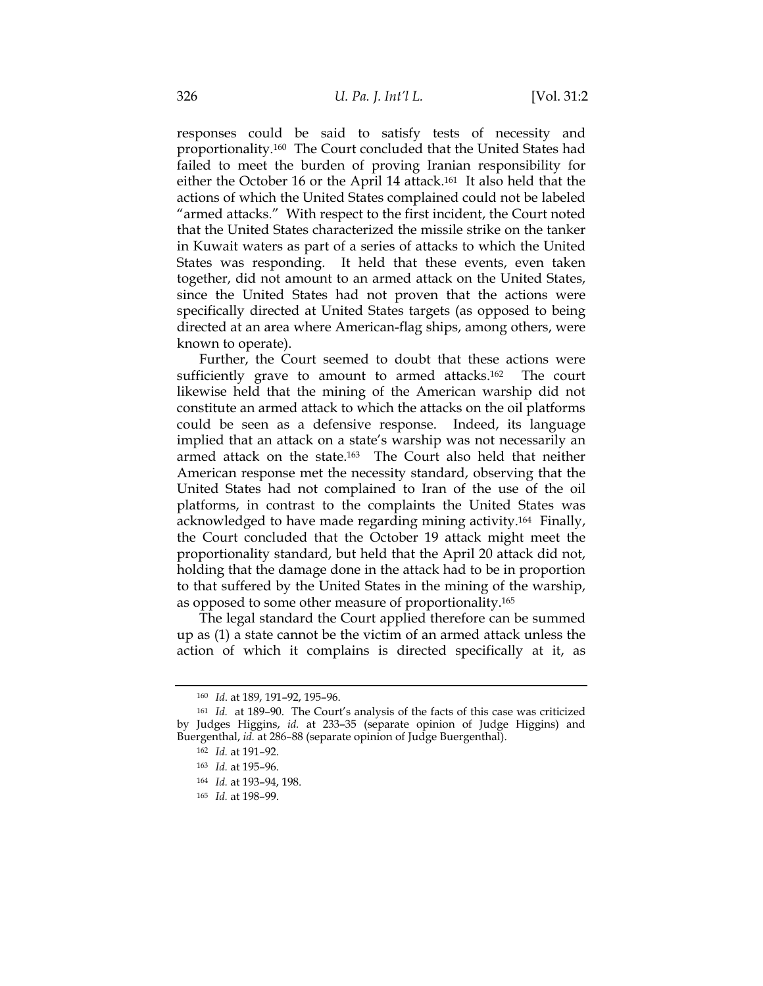responses could be said to satisfy tests of necessity and proportionality.160 The Court concluded that the United States had failed to meet the burden of proving Iranian responsibility for either the October 16 or the April 14 attack.161 It also held that the actions of which the United States complained could not be labeled "armed attacks." With respect to the first incident, the Court noted that the United States characterized the missile strike on the tanker in Kuwait waters as part of a series of attacks to which the United States was responding. It held that these events, even taken together, did not amount to an armed attack on the United States, since the United States had not proven that the actions were specifically directed at United States targets (as opposed to being directed at an area where American-flag ships, among others, were known to operate).

Further, the Court seemed to doubt that these actions were sufficiently grave to amount to armed attacks.<sup>162</sup> The court likewise held that the mining of the American warship did not constitute an armed attack to which the attacks on the oil platforms could be seen as a defensive response. Indeed, its language implied that an attack on a state's warship was not necessarily an armed attack on the state.<sup>163</sup> The Court also held that neither American response met the necessity standard, observing that the United States had not complained to Iran of the use of the oil platforms, in contrast to the complaints the United States was acknowledged to have made regarding mining activity.164 Finally, the Court concluded that the October 19 attack might meet the proportionality standard, but held that the April 20 attack did not, holding that the damage done in the attack had to be in proportion to that suffered by the United States in the mining of the warship, as opposed to some other measure of proportionality.165

The legal standard the Court applied therefore can be summed up as (1) a state cannot be the victim of an armed attack unless the action of which it complains is directed specifically at it, as

<sup>160</sup> *Id*. at 189, 191–92, 195–96.

<sup>161</sup> *Id.* at 189–90. The Court's analysis of the facts of this case was criticized by Judges Higgins, *id.* at 233–35 (separate opinion of Judge Higgins) and Buergenthal, *id.* at 286–88 (separate opinion of Judge Buergenthal).

<sup>162</sup> *Id.* at 191–92.

<sup>163</sup> *Id.* at 195–96.

<sup>164</sup> *Id.* at 193–94, 198.

<sup>165</sup> *Id.* at 198–99.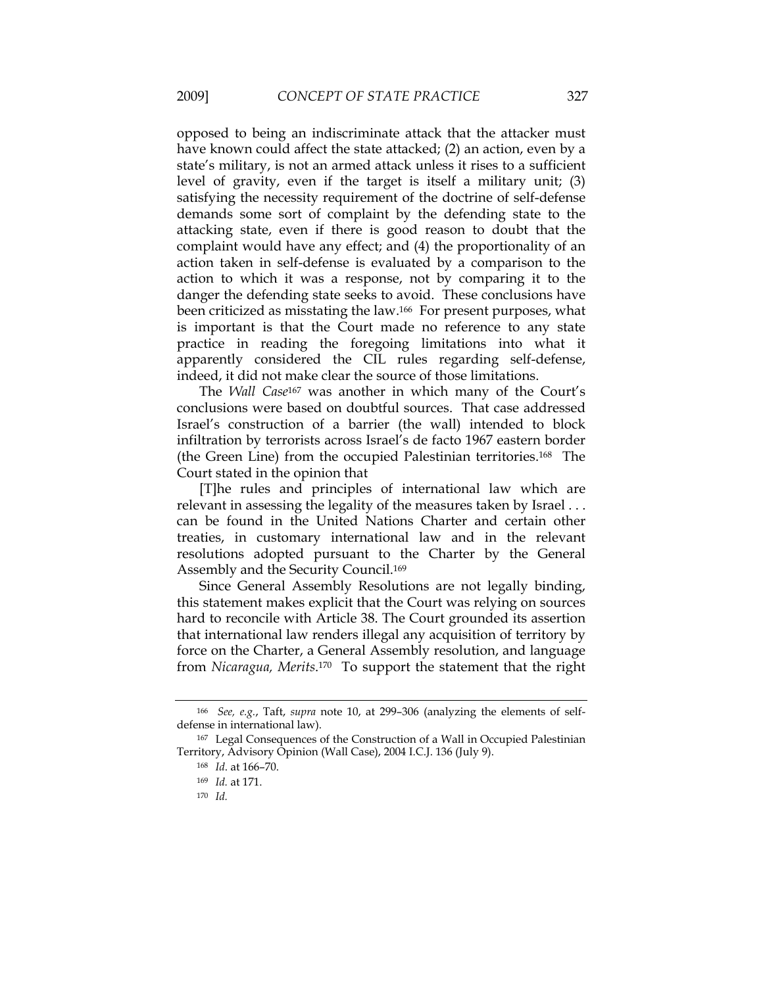opposed to being an indiscriminate attack that the attacker must have known could affect the state attacked; (2) an action, even by a state's military, is not an armed attack unless it rises to a sufficient level of gravity, even if the target is itself a military unit; (3) satisfying the necessity requirement of the doctrine of self-defense demands some sort of complaint by the defending state to the attacking state, even if there is good reason to doubt that the complaint would have any effect; and (4) the proportionality of an action taken in self-defense is evaluated by a comparison to the action to which it was a response, not by comparing it to the danger the defending state seeks to avoid. These conclusions have been criticized as misstating the law.166 For present purposes, what is important is that the Court made no reference to any state practice in reading the foregoing limitations into what it apparently considered the CIL rules regarding self-defense, indeed, it did not make clear the source of those limitations.

The *Wall Case*167 was another in which many of the Court's conclusions were based on doubtful sources. That case addressed Israel's construction of a barrier (the wall) intended to block infiltration by terrorists across Israel's de facto 1967 eastern border (the Green Line) from the occupied Palestinian territories.168 The Court stated in the opinion that

[T]he rules and principles of international law which are relevant in assessing the legality of the measures taken by Israel . . . can be found in the United Nations Charter and certain other treaties, in customary international law and in the relevant resolutions adopted pursuant to the Charter by the General Assembly and the Security Council.169

Since General Assembly Resolutions are not legally binding, this statement makes explicit that the Court was relying on sources hard to reconcile with Article 38. The Court grounded its assertion that international law renders illegal any acquisition of territory by force on the Charter, a General Assembly resolution, and language from *Nicaragua, Merits*.170 To support the statement that the right

 <sup>166</sup> *See, e.g.*, Taft, *supra* note 10, at 299–306 (analyzing the elements of selfdefense in international law).

<sup>167</sup> Legal Consequences of the Construction of a Wall in Occupied Palestinian Territory, Advisory Opinion (Wall Case), 2004 I.C.J. 136 (July 9).

<sup>168</sup> *Id*. at 166–70.

<sup>169</sup> *Id.* at 171.

<sup>170</sup> *Id.*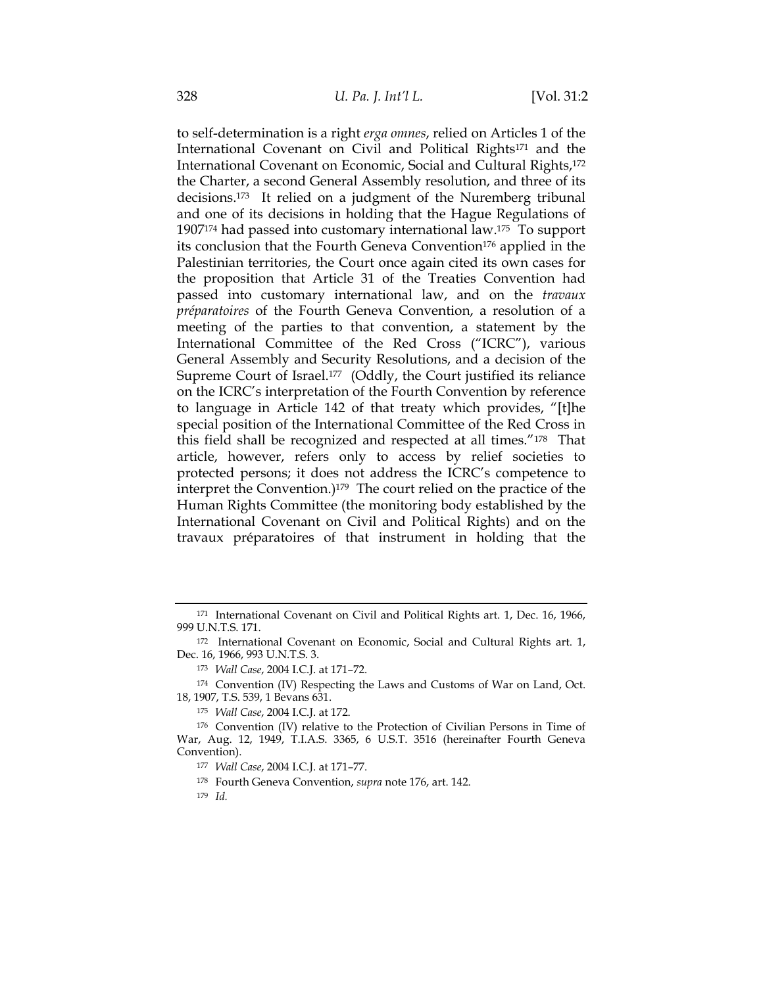to self-determination is a right *erga omnes*, relied on Articles 1 of the International Covenant on Civil and Political Rights171 and the International Covenant on Economic, Social and Cultural Rights,172 the Charter, a second General Assembly resolution, and three of its decisions.173 It relied on a judgment of the Nuremberg tribunal and one of its decisions in holding that the Hague Regulations of 1907174 had passed into customary international law.175 To support its conclusion that the Fourth Geneva Convention<sup>176</sup> applied in the Palestinian territories, the Court once again cited its own cases for the proposition that Article 31 of the Treaties Convention had passed into customary international law, and on the *travaux préparatoires* of the Fourth Geneva Convention, a resolution of a meeting of the parties to that convention, a statement by the International Committee of the Red Cross ("ICRC"), various General Assembly and Security Resolutions, and a decision of the Supreme Court of Israel.<sup>177</sup> (Oddly, the Court justified its reliance on the ICRC's interpretation of the Fourth Convention by reference to language in Article 142 of that treaty which provides, "[t]he special position of the International Committee of the Red Cross in this field shall be recognized and respected at all times."178 That article, however, refers only to access by relief societies to protected persons; it does not address the ICRC's competence to interpret the Convention.)179 The court relied on the practice of the Human Rights Committee (the monitoring body established by the International Covenant on Civil and Political Rights) and on the travaux préparatoires of that instrument in holding that the

<sup>171</sup> International Covenant on Civil and Political Rights art. 1, Dec. 16, 1966, 999 U.N.T.S. 171.

<sup>172</sup> International Covenant on Economic, Social and Cultural Rights art. 1, Dec. 16, 1966, 993 U.N.T.S. 3.

<sup>173</sup> *Wall Case*, 2004 I.C.J. at 171–72.

<sup>174</sup> Convention (IV) Respecting the Laws and Customs of War on Land, Oct. 18, 1907, T.S. 539, 1 Bevans 631.

<sup>175</sup> *Wall Case*, 2004 I.C.J. at 172.

<sup>176</sup> Convention (IV) relative to the Protection of Civilian Persons in Time of War, Aug. 12, 1949, T.I.A.S. 3365, 6 U.S.T. 3516 (hereinafter Fourth Geneva Convention).

<sup>177</sup> *Wall Case*, 2004 I.C.J. at 171–77.

<sup>178</sup> Fourth Geneva Convention, *supra* note 176, art. 142.

<sup>179</sup> *Id.*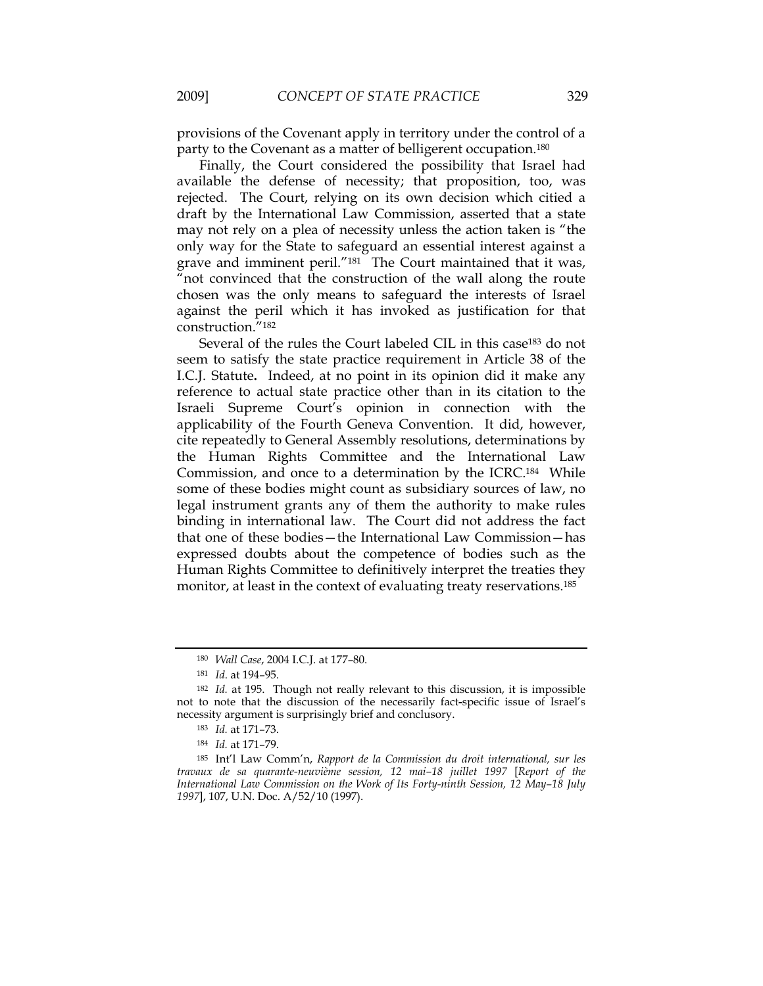provisions of the Covenant apply in territory under the control of a party to the Covenant as a matter of belligerent occupation.180

Finally, the Court considered the possibility that Israel had available the defense of necessity; that proposition, too, was rejected. The Court, relying on its own decision which citied a draft by the International Law Commission, asserted that a state may not rely on a plea of necessity unless the action taken is "the only way for the State to safeguard an essential interest against a grave and imminent peril."<sup>181</sup> The Court maintained that it was, "not convinced that the construction of the wall along the route chosen was the only means to safeguard the interests of Israel against the peril which it has invoked as justification for that construction."182

Several of the rules the Court labeled CIL in this case<sup>183</sup> do not seem to satisfy the state practice requirement in Article 38 of the I.C.J. Statute**.** Indeed, at no point in its opinion did it make any reference to actual state practice other than in its citation to the Israeli Supreme Court's opinion in connection with the applicability of the Fourth Geneva Convention. It did, however, cite repeatedly to General Assembly resolutions, determinations by the Human Rights Committee and the International Law Commission, and once to a determination by the ICRC.184 While some of these bodies might count as subsidiary sources of law, no legal instrument grants any of them the authority to make rules binding in international law. The Court did not address the fact that one of these bodies—the International Law Commission—has expressed doubts about the competence of bodies such as the Human Rights Committee to definitively interpret the treaties they monitor, at least in the context of evaluating treaty reservations.<sup>185</sup>

<sup>185</sup> Int'l Law Comm'n, *Rapport de la Commission du droit international, sur les travaux de sa quarante-neuvième session, 12 mai–18 juillet 1997* [*Report of the International Law Commission on the Work of Its Forty-ninth Session, 12 May–18 July 1997*], 107, U.N. Doc. A/52/10 (1997).

<sup>180</sup> *Wall Case*, 2004 I.C.J. at 177–80.

<sup>181</sup> *Id*. at 194–95.

<sup>182</sup> *Id.* at 195. Though not really relevant to this discussion, it is impossible not to note that the discussion of the necessarily fact**-**specific issue of Israel's necessity argument is surprisingly brief and conclusory.

<sup>183</sup> *Id.* at 171–73.

<sup>184</sup> *Id.* at 171–79.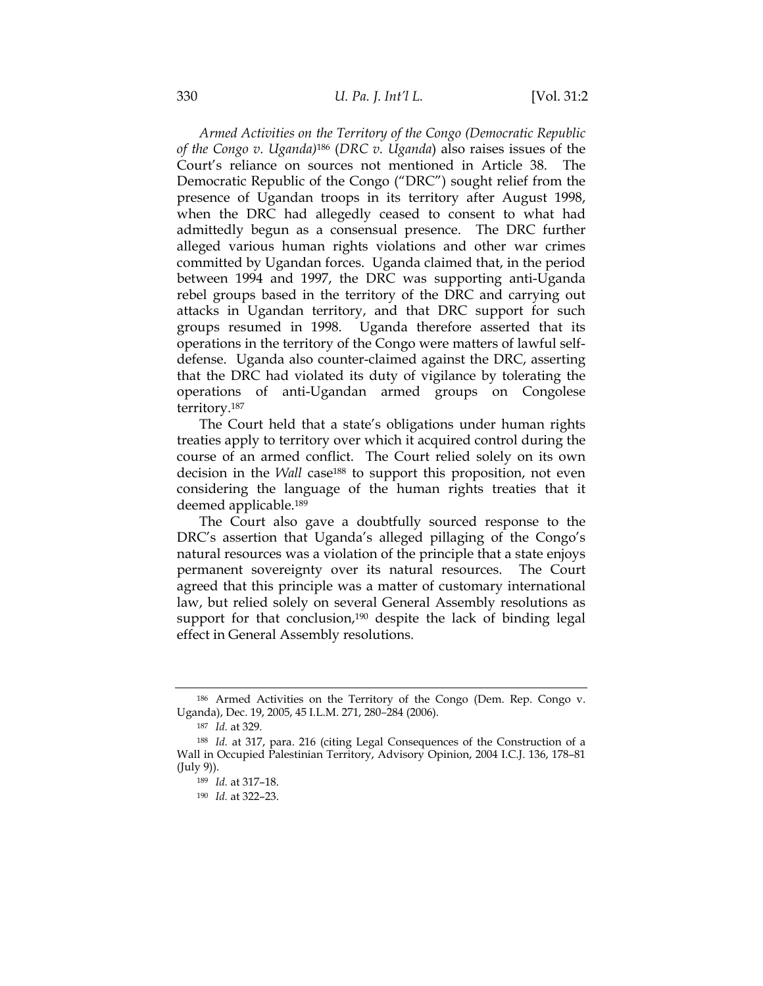*Armed Activities on the Territory of the Congo (Democratic Republic of the Congo v. Uganda)*186 (*DRC v. Uganda*) also raises issues of the Court's reliance on sources not mentioned in Article 38. The Democratic Republic of the Congo ("DRC") sought relief from the presence of Ugandan troops in its territory after August 1998, when the DRC had allegedly ceased to consent to what had admittedly begun as a consensual presence. The DRC further alleged various human rights violations and other war crimes committed by Ugandan forces. Uganda claimed that, in the period between 1994 and 1997, the DRC was supporting anti-Uganda rebel groups based in the territory of the DRC and carrying out attacks in Ugandan territory, and that DRC support for such groups resumed in 1998. Uganda therefore asserted that its operations in the territory of the Congo were matters of lawful selfdefense. Uganda also counter-claimed against the DRC, asserting that the DRC had violated its duty of vigilance by tolerating the operations of anti-Ugandan armed groups on Congolese territory.187

The Court held that a state's obligations under human rights treaties apply to territory over which it acquired control during the course of an armed conflict. The Court relied solely on its own decision in the *Wall* case188 to support this proposition, not even considering the language of the human rights treaties that it deemed applicable.189

The Court also gave a doubtfully sourced response to the DRC's assertion that Uganda's alleged pillaging of the Congo's natural resources was a violation of the principle that a state enjoys permanent sovereignty over its natural resources. The Court agreed that this principle was a matter of customary international law, but relied solely on several General Assembly resolutions as support for that conclusion,<sup>190</sup> despite the lack of binding legal effect in General Assembly resolutions.

<sup>186</sup> Armed Activities on the Territory of the Congo (Dem. Rep. Congo v. Uganda), Dec. 19, 2005, 45 I.L.M. 271, 280*–*284 (2006).

<sup>187</sup> *Id.* at 329.

<sup>188</sup> *Id.* at 317, para. 216 (citing Legal Consequences of the Construction of a Wall in Occupied Palestinian Territory, Advisory Opinion, 2004 I.C.J. 136, 178–81 (July 9)).

<sup>189</sup> *Id.* at 317–18.

<sup>190</sup> *Id.* at 322–23.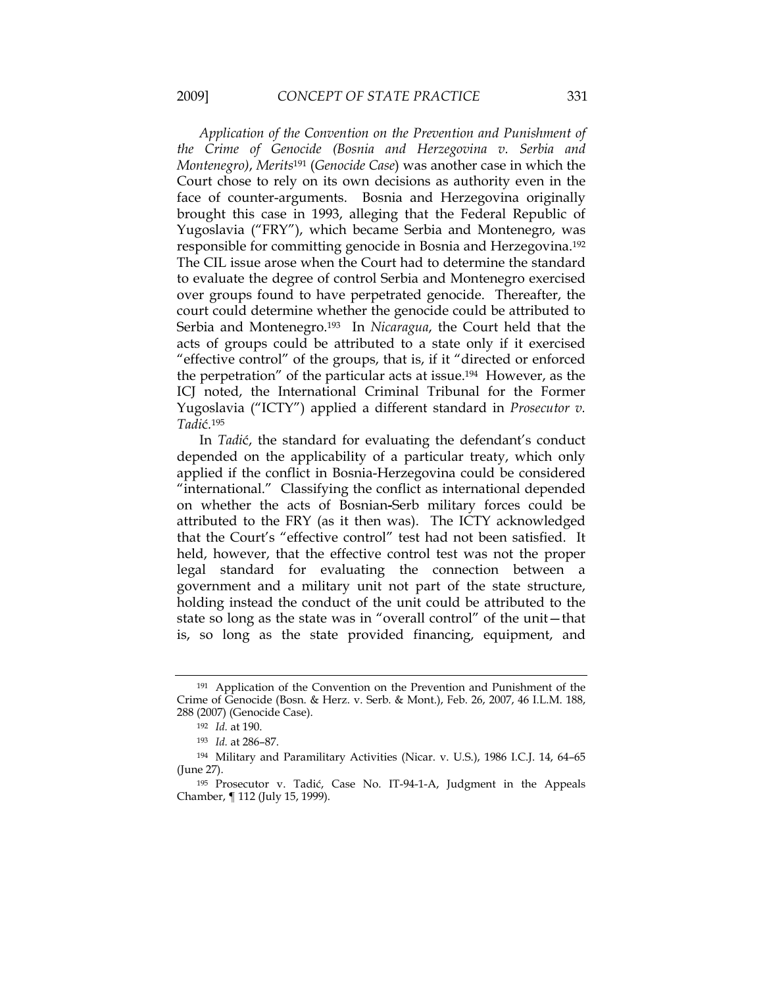*Application of the Convention on the Prevention and Punishment of the Crime of Genocide (Bosnia and Herzegovina v. Serbia and Montenegro)*, *Merits*191 (*Genocide Case*) was another case in which the Court chose to rely on its own decisions as authority even in the face of counter-arguments. Bosnia and Herzegovina originally brought this case in 1993, alleging that the Federal Republic of Yugoslavia ("FRY"), which became Serbia and Montenegro, was responsible for committing genocide in Bosnia and Herzegovina.192 The CIL issue arose when the Court had to determine the standard to evaluate the degree of control Serbia and Montenegro exercised over groups found to have perpetrated genocide. Thereafter, the court could determine whether the genocide could be attributed to Serbia and Montenegro.193 In *Nicaragua*, the Court held that the acts of groups could be attributed to a state only if it exercised "effective control" of the groups, that is, if it "directed or enforced the perpetration" of the particular acts at issue.194 However, as the ICJ noted, the International Criminal Tribunal for the Former Yugoslavia ("ICTY") applied a different standard in *Prosecutor v. Tadi*ć*.*<sup>195</sup>

In *Tadi*ć, the standard for evaluating the defendant's conduct depended on the applicability of a particular treaty, which only applied if the conflict in Bosnia-Herzegovina could be considered "international." Classifying the conflict as international depended on whether the acts of Bosnian**-**Serb military forces could be attributed to the FRY (as it then was). The ICTY acknowledged that the Court's "effective control" test had not been satisfied. It held, however, that the effective control test was not the proper legal standard for evaluating the connection between a government and a military unit not part of the state structure, holding instead the conduct of the unit could be attributed to the state so long as the state was in "overall control" of the unit—that is, so long as the state provided financing, equipment, and

<sup>191</sup> Application of the Convention on the Prevention and Punishment of the Crime of Genocide (Bosn. & Herz. v. Serb. & Mont.), Feb. 26, 2007, 46 I.L.M. 188, 288 (2007) (Genocide Case).

<sup>192</sup> *Id.* at 190.

<sup>193</sup> *Id.* at 286–87.

<sup>194</sup> Military and Paramilitary Activities (Nicar. v. U.S.), 1986 I.C.J. 14, 64–65 (June 27).

<sup>195</sup> Prosecutor v. Tadić, Case No. IT-94-1-A, Judgment in the Appeals Chamber, ¶ 112 (July 15, 1999).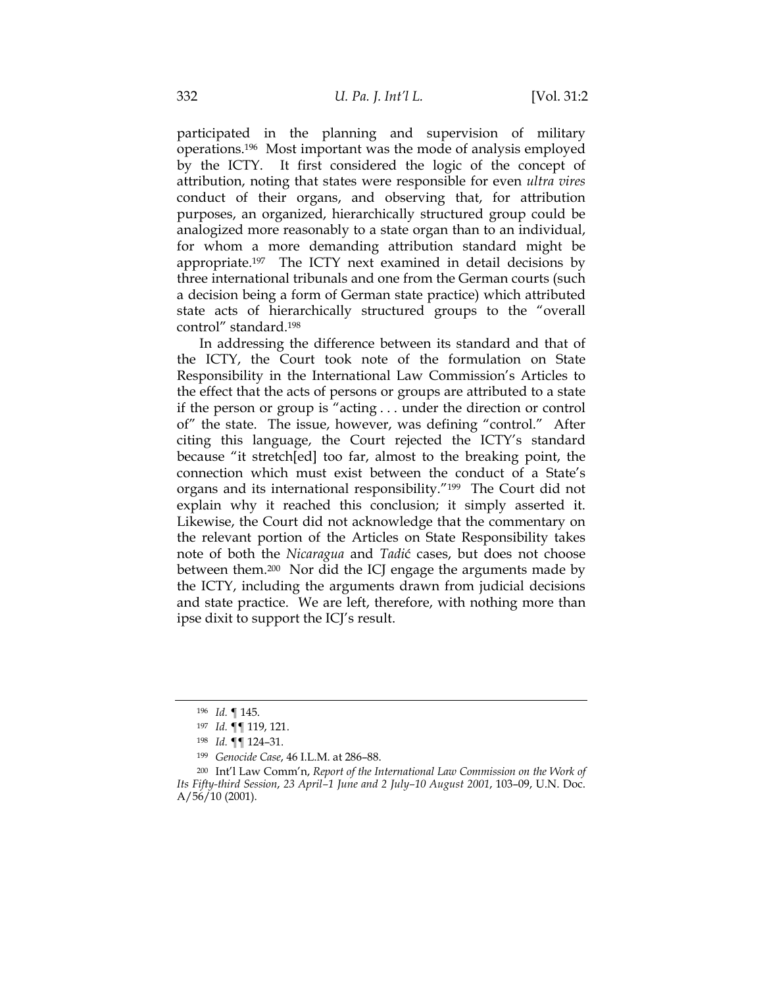participated in the planning and supervision of military operations.196 Most important was the mode of analysis employed by the ICTY. It first considered the logic of the concept of attribution, noting that states were responsible for even *ultra vires* conduct of their organs, and observing that, for attribution purposes, an organized, hierarchically structured group could be analogized more reasonably to a state organ than to an individual, for whom a more demanding attribution standard might be appropriate.197 The ICTY next examined in detail decisions by three international tribunals and one from the German courts (such a decision being a form of German state practice) which attributed state acts of hierarchically structured groups to the "overall control" standard.198

In addressing the difference between its standard and that of the ICTY, the Court took note of the formulation on State Responsibility in the International Law Commission's Articles to the effect that the acts of persons or groups are attributed to a state if the person or group is "acting . . . under the direction or control of" the state. The issue, however, was defining "control." After citing this language, the Court rejected the ICTY's standard because "it stretch[ed] too far, almost to the breaking point, the connection which must exist between the conduct of a State's organs and its international responsibility."199 The Court did not explain why it reached this conclusion; it simply asserted it. Likewise, the Court did not acknowledge that the commentary on the relevant portion of the Articles on State Responsibility takes note of both the *Nicaragua* and *Tadi*ć cases, but does not choose between them.200 Nor did the ICJ engage the arguments made by the ICTY, including the arguments drawn from judicial decisions and state practice. We are left, therefore, with nothing more than ipse dixit to support the ICJ's result.

<sup>196</sup> *Id.* ¶ 145.

<sup>197</sup> *Id.* ¶¶ 119, 121.

<sup>198</sup> *Id.* ¶¶ 124–31.

<sup>199</sup> *Genocide Case*, 46 I.L.M. at 286–88.

<sup>200</sup> Int'l Law Comm'n, *Report of the International Law Commission on the Work of Its Fifty-third Session*, *23 April–1 June and 2 July–10 August 2001*, 103–09, U.N. Doc.  $A/56/10(2001)$ .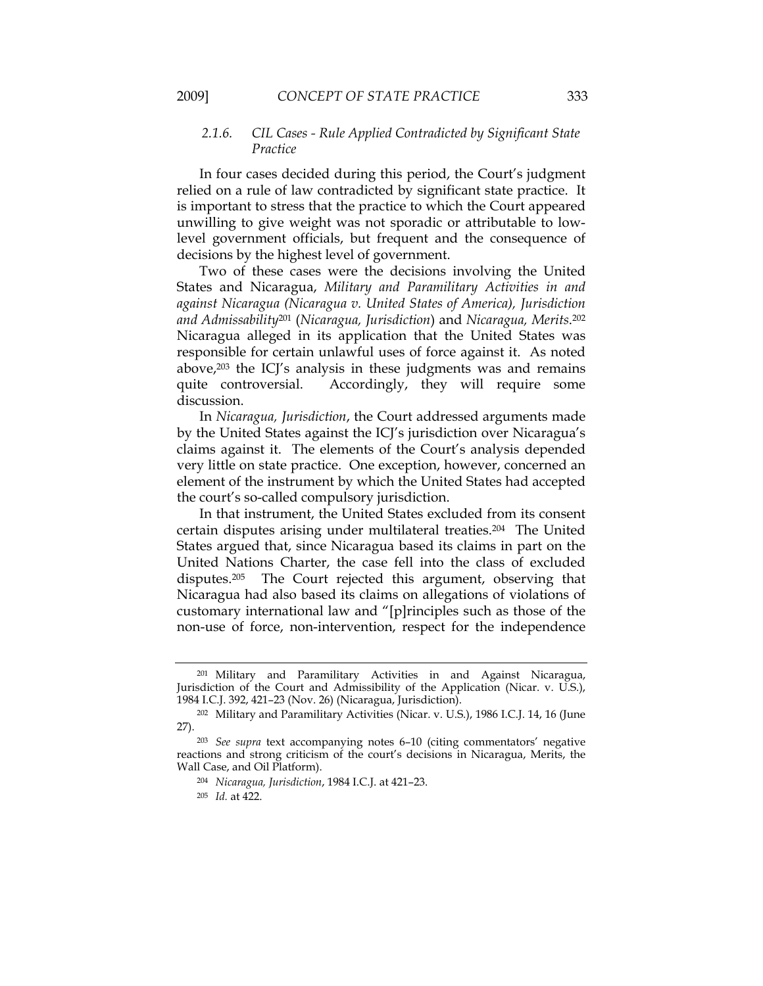# *2.1.6. CIL Cases - Rule Applied Contradicted by Significant State Practice*

In four cases decided during this period, the Court's judgment relied on a rule of law contradicted by significant state practice. It is important to stress that the practice to which the Court appeared unwilling to give weight was not sporadic or attributable to lowlevel government officials, but frequent and the consequence of decisions by the highest level of government.

Two of these cases were the decisions involving the United States and Nicaragua, *Military and Paramilitary Activities in and against Nicaragua (Nicaragua v. United States of America), Jurisdiction and Admissability*201 (*Nicaragua, Jurisdiction*) and *Nicaragua, Merits*.202 Nicaragua alleged in its application that the United States was responsible for certain unlawful uses of force against it. As noted above,203 the ICJ's analysis in these judgments was and remains quite controversial. Accordingly, they will require some discussion.

In *Nicaragua, Jurisdiction*, the Court addressed arguments made by the United States against the ICJ's jurisdiction over Nicaragua's claims against it. The elements of the Court's analysis depended very little on state practice. One exception, however, concerned an element of the instrument by which the United States had accepted the court's so-called compulsory jurisdiction.

In that instrument, the United States excluded from its consent certain disputes arising under multilateral treaties.204 The United States argued that, since Nicaragua based its claims in part on the United Nations Charter, the case fell into the class of excluded disputes.205 The Court rejected this argument, observing that Nicaragua had also based its claims on allegations of violations of customary international law and "[p]rinciples such as those of the non-use of force, non-intervention, respect for the independence

<sup>201</sup> Military and Paramilitary Activities in and Against Nicaragua, Jurisdiction of the Court and Admissibility of the Application (Nicar. v. U.S.), 1984 I.C.J. 392, 421–23 (Nov. 26) (Nicaragua, Jurisdiction).

<sup>202</sup> Military and Paramilitary Activities (Nicar. v. U.S.), 1986 I.C.J. 14, 16 (June 27).

<sup>203</sup> *See supra* text accompanying notes 6–10 (citing commentators' negative reactions and strong criticism of the court's decisions in Nicaragua, Merits, the Wall Case, and Oil Platform).

<sup>204</sup> *Nicaragua, Jurisdiction*, 1984 I.C.J. at 421–23.

<sup>205</sup> *Id.* at 422.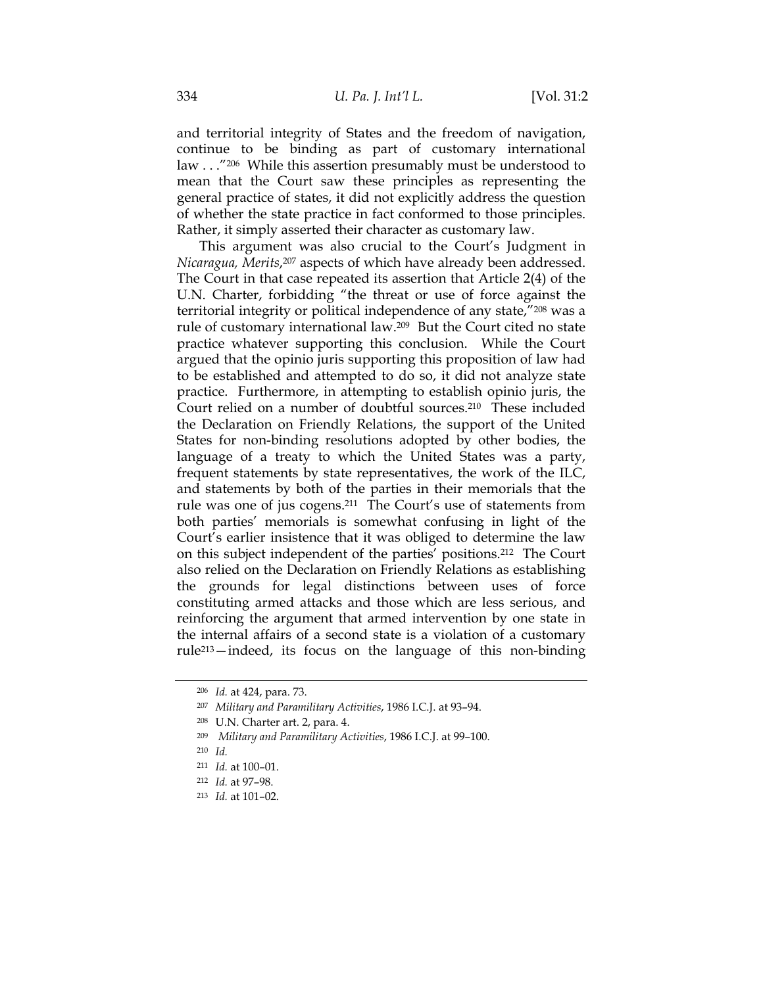and territorial integrity of States and the freedom of navigation, continue to be binding as part of customary international law . . . "206 While this assertion presumably must be understood to mean that the Court saw these principles as representing the general practice of states, it did not explicitly address the question of whether the state practice in fact conformed to those principles. Rather, it simply asserted their character as customary law.

This argument was also crucial to the Court's Judgment in *Nicaragua, Merits*,207 aspects of which have already been addressed. The Court in that case repeated its assertion that Article 2(4) of the U.N. Charter, forbidding "the threat or use of force against the territorial integrity or political independence of any state,"208 was a rule of customary international law.209 But the Court cited no state practice whatever supporting this conclusion. While the Court argued that the opinio juris supporting this proposition of law had to be established and attempted to do so, it did not analyze state practice. Furthermore, in attempting to establish opinio juris, the Court relied on a number of doubtful sources.210 These included the Declaration on Friendly Relations, the support of the United States for non-binding resolutions adopted by other bodies, the language of a treaty to which the United States was a party, frequent statements by state representatives, the work of the ILC, and statements by both of the parties in their memorials that the rule was one of jus cogens.211 The Court's use of statements from both parties' memorials is somewhat confusing in light of the Court's earlier insistence that it was obliged to determine the law on this subject independent of the parties' positions.212 The Court also relied on the Declaration on Friendly Relations as establishing the grounds for legal distinctions between uses of force constituting armed attacks and those which are less serious, and reinforcing the argument that armed intervention by one state in the internal affairs of a second state is a violation of a customary rule213—indeed, its focus on the language of this non-binding

<sup>206</sup> *Id.* at 424, para. 73.

<sup>207</sup> *Military and Paramilitary Activities*, 1986 I.C.J. at 93–94.

<sup>208</sup> U.N. Charter art. 2, para. 4.

<sup>209</sup> *Military and Paramilitary Activities*, 1986 I.C.J. at 99–100.

<sup>210</sup> *Id.*

<sup>211</sup> *Id.* at 100–01.

<sup>212</sup> *Id.* at 97–98.

<sup>213</sup> *Id.* at 101–02.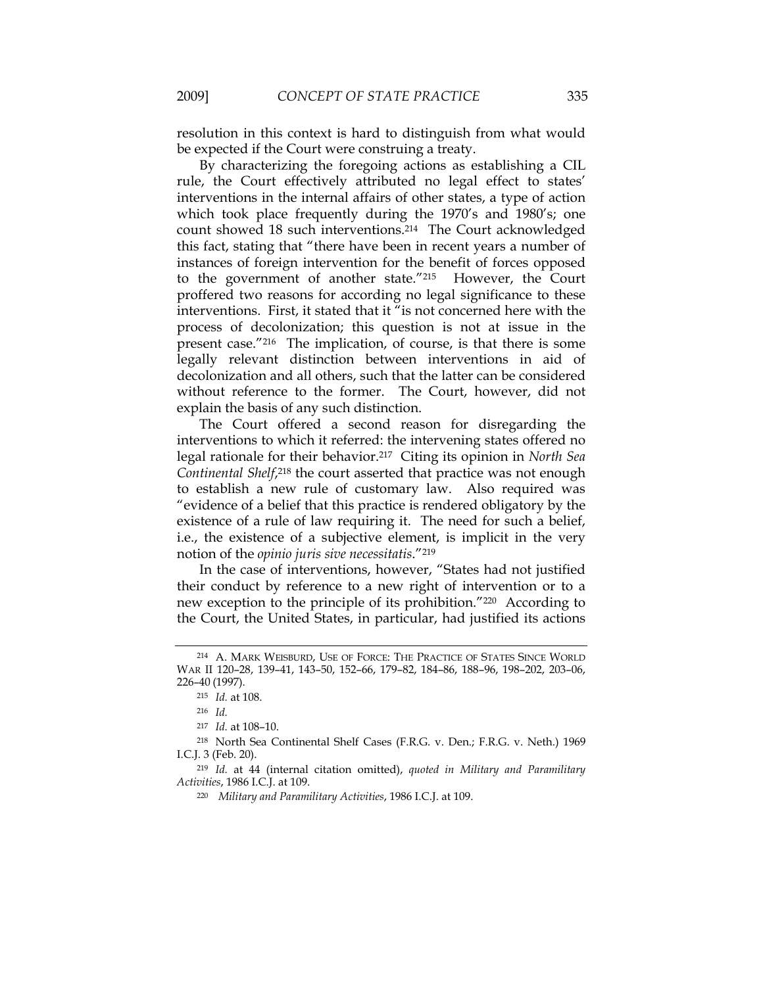resolution in this context is hard to distinguish from what would be expected if the Court were construing a treaty.

By characterizing the foregoing actions as establishing a CIL rule, the Court effectively attributed no legal effect to states' interventions in the internal affairs of other states, a type of action which took place frequently during the 1970's and 1980's; one count showed 18 such interventions.214 The Court acknowledged this fact, stating that "there have been in recent years a number of instances of foreign intervention for the benefit of forces opposed to the government of another state."215 However, the Court proffered two reasons for according no legal significance to these interventions. First, it stated that it "is not concerned here with the process of decolonization; this question is not at issue in the present case."216 The implication, of course, is that there is some legally relevant distinction between interventions in aid of decolonization and all others, such that the latter can be considered without reference to the former. The Court, however, did not explain the basis of any such distinction.

The Court offered a second reason for disregarding the interventions to which it referred: the intervening states offered no legal rationale for their behavior.217 Citing its opinion in *North Sea Continental Shelf*,218 the court asserted that practice was not enough to establish a new rule of customary law. Also required was "evidence of a belief that this practice is rendered obligatory by the existence of a rule of law requiring it. The need for such a belief, i.e., the existence of a subjective element, is implicit in the very notion of the *opinio juris sive necessitatis*."219

In the case of interventions, however, "States had not justified their conduct by reference to a new right of intervention or to a new exception to the principle of its prohibition."220 According to the Court, the United States, in particular, had justified its actions

<sup>214</sup> A. MARK WEISBURD, USE OF FORCE: THE PRACTICE OF STATES SINCE WORLD WAR II 120–28, 139–41, 143–50, 152–66, 179–82, 184–86, 188–96, 198–202, 203–06, 226–40 (1997).

<sup>215</sup> *Id.* at 108.

<sup>216</sup> *Id.* 

<sup>217</sup> *Id.* at 108–10.

<sup>218</sup> North Sea Continental Shelf Cases (F.R.G. v. Den.; F.R.G. v. Neth.) 1969 I.C.J. 3 (Feb. 20).

<sup>219</sup> *Id.* at 44 (internal citation omitted), *quoted in Military and Paramilitary Activities*, 1986 I.C.J. at 109.

 <sup>220</sup> *Military and Paramilitary Activities*, 1986 I.C.J. at 109.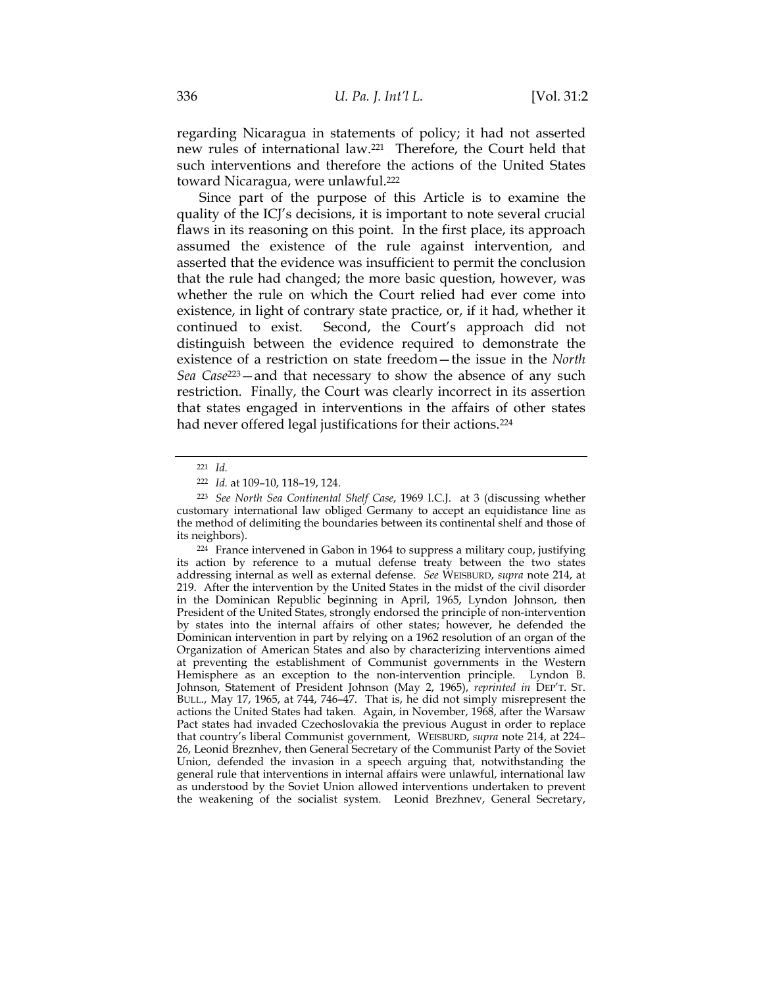regarding Nicaragua in statements of policy; it had not asserted new rules of international law.221 Therefore, the Court held that such interventions and therefore the actions of the United States toward Nicaragua, were unlawful.222

Since part of the purpose of this Article is to examine the quality of the ICJ's decisions, it is important to note several crucial flaws in its reasoning on this point. In the first place, its approach assumed the existence of the rule against intervention, and asserted that the evidence was insufficient to permit the conclusion that the rule had changed; the more basic question, however, was whether the rule on which the Court relied had ever come into existence, in light of contrary state practice, or, if it had, whether it continued to exist. Second, the Court's approach did not distinguish between the evidence required to demonstrate the existence of a restriction on state freedom—the issue in the *North Sea Case*223—and that necessary to show the absence of any such restriction. Finally, the Court was clearly incorrect in its assertion that states engaged in interventions in the affairs of other states had never offered legal justifications for their actions.224

<sup>221</sup> *Id.*

<sup>222</sup> *Id.* at 109–10, 118–19, 124.

<sup>223</sup> *See North Sea Continental Shelf Case*, 1969 I.C.J. at 3 (discussing whether customary international law obliged Germany to accept an equidistance line as the method of delimiting the boundaries between its continental shelf and those of its neighbors).

<sup>224</sup> France intervened in Gabon in 1964 to suppress a military coup, justifying its action by reference to a mutual defense treaty between the two states addressing internal as well as external defense. *See* WEISBURD, *supra* note 214, at 219. After the intervention by the United States in the midst of the civil disorder in the Dominican Republic beginning in April, 1965, Lyndon Johnson, then President of the United States, strongly endorsed the principle of non-intervention by states into the internal affairs of other states; however, he defended the Dominican intervention in part by relying on a 1962 resolution of an organ of the Organization of American States and also by characterizing interventions aimed at preventing the establishment of Communist governments in the Western Hemisphere as an exception to the non-intervention principle. Lyndon B. Johnson, Statement of President Johnson (May 2, 1965), *reprinted in* DEP'T. ST. BULL., May 17, 1965, at 744, 746–47.That is, he did not simply misrepresent the actions the United States had taken. Again, in November, 1968, after the Warsaw Pact states had invaded Czechoslovakia the previous August in order to replace that country's liberal Communist government, WEISBURD, *supra* note 214, at 224– 26, Leonid Breznhev, then General Secretary of the Communist Party of the Soviet Union, defended the invasion in a speech arguing that, notwithstanding the general rule that interventions in internal affairs were unlawful, international law as understood by the Soviet Union allowed interventions undertaken to prevent the weakening of the socialist system. Leonid Brezhnev, General Secretary,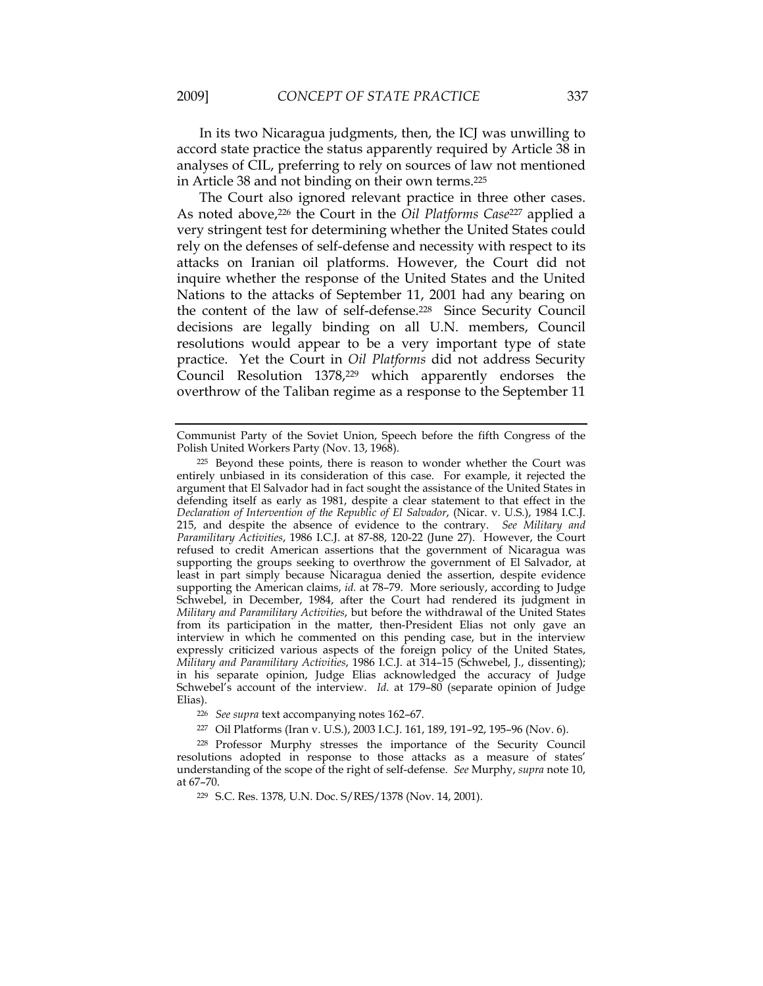In its two Nicaragua judgments, then, the ICJ was unwilling to accord state practice the status apparently required by Article 38 in analyses of CIL, preferring to rely on sources of law not mentioned in Article 38 and not binding on their own terms.225

The Court also ignored relevant practice in three other cases. As noted above,226 the Court in the *Oil Platforms Case*227 applied a very stringent test for determining whether the United States could rely on the defenses of self-defense and necessity with respect to its attacks on Iranian oil platforms. However, the Court did not inquire whether the response of the United States and the United Nations to the attacks of September 11, 2001 had any bearing on the content of the law of self-defense.228 Since Security Council decisions are legally binding on all U.N. members, Council resolutions would appear to be a very important type of state practice. Yet the Court in *Oil Platforms* did not address Security Council Resolution 1378,<sup>229</sup> which apparently endorses the overthrow of the Taliban regime as a response to the September 11

Communist Party of the Soviet Union, Speech before the fifth Congress of the Polish United Workers Party (Nov. 13, 1968).

<sup>225</sup> Beyond these points, there is reason to wonder whether the Court was entirely unbiased in its consideration of this case. For example, it rejected the argument that El Salvador had in fact sought the assistance of the United States in defending itself as early as 1981, despite a clear statement to that effect in the *Declaration of Intervention of the Republic of El Salvador*, (Nicar. v. U.S.), 1984 I.C.J. 215, and despite the absence of evidence to the contrary. *See Military and Paramilitary Activities*, 1986 I.C.J. at 87-88, 120-22 (June 27). However, the Court refused to credit American assertions that the government of Nicaragua was supporting the groups seeking to overthrow the government of El Salvador, at least in part simply because Nicaragua denied the assertion, despite evidence supporting the American claims, *id.* at 78–79. More seriously, according to Judge Schwebel, in December, 1984, after the Court had rendered its judgment in *Military and Paramilitary Activities*, but before the withdrawal of the United States from its participation in the matter, then-President Elias not only gave an interview in which he commented on this pending case, but in the interview expressly criticized various aspects of the foreign policy of the United States, *Military and Paramilitary Activities*, 1986 I.C.J. at 314–15 (Schwebel, J., dissenting); in his separate opinion, Judge Elias acknowledged the accuracy of Judge Schwebel's account of the interview. *Id.* at 179-80 (separate opinion of Judge Elias).

<sup>226</sup> *See supra* text accompanying notes 162–67.

<sup>227</sup> Oil Platforms (Iran v. U.S.), 2003 I.C.J. 161, 189, 191–92, 195–96 (Nov. 6).

<sup>228</sup> Professor Murphy stresses the importance of the Security Council resolutions adopted in response to those attacks as a measure of states' understanding of the scope of the right of self-defense. *See* Murphy, *supra* note 10, at 67–70.

<sup>229</sup> S.C. Res. 1378, U.N. Doc. S/RES/1378 (Nov. 14, 2001).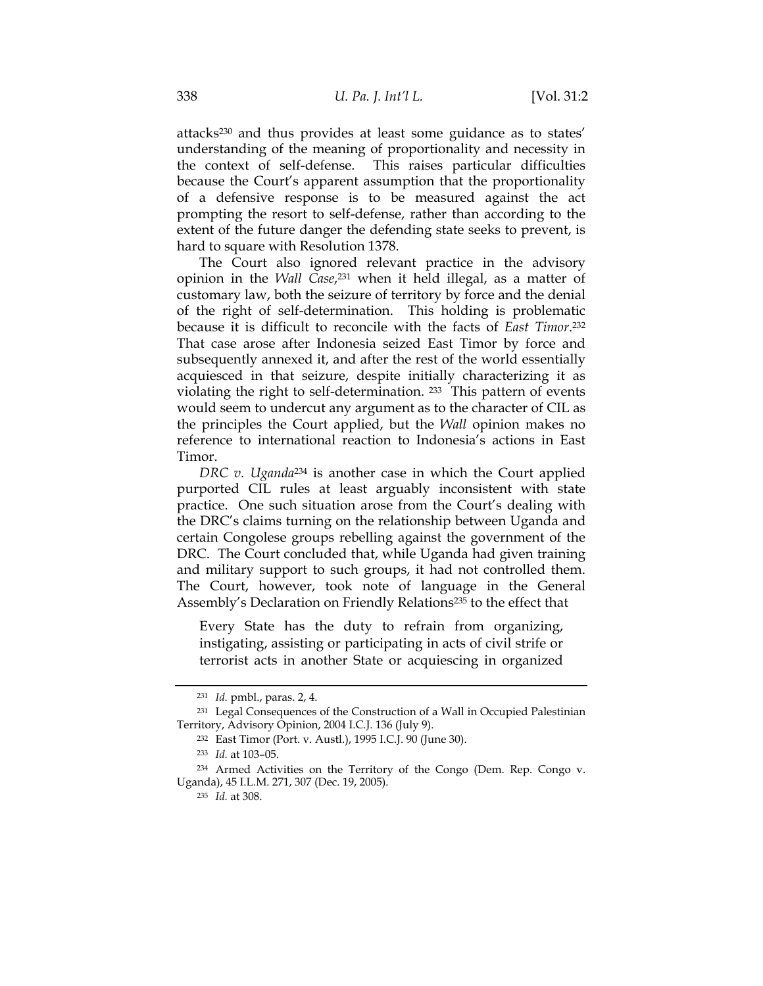attacks230 and thus provides at least some guidance as to states' understanding of the meaning of proportionality and necessity in the context of self-defense. This raises particular difficulties because the Court's apparent assumption that the proportionality of a defensive response is to be measured against the act prompting the resort to self-defense, rather than according to the extent of the future danger the defending state seeks to prevent, is hard to square with Resolution 1378.

The Court also ignored relevant practice in the advisory opinion in the *Wall Case*,231 when it held illegal, as a matter of customary law, both the seizure of territory by force and the denial of the right of self-determination. This holding is problematic because it is difficult to reconcile with the facts of *East Timor*.232 That case arose after Indonesia seized East Timor by force and subsequently annexed it, and after the rest of the world essentially acquiesced in that seizure, despite initially characterizing it as violating the right to self-determination. 233 This pattern of events would seem to undercut any argument as to the character of CIL as the principles the Court applied, but the *Wall* opinion makes no reference to international reaction to Indonesia's actions in East Timor.

*DRC v. Uganda*234 is another case in which the Court applied purported CIL rules at least arguably inconsistent with state practice. One such situation arose from the Court's dealing with the DRC's claims turning on the relationship between Uganda and certain Congolese groups rebelling against the government of the DRC. The Court concluded that, while Uganda had given training and military support to such groups, it had not controlled them. The Court, however, took note of language in the General Assembly's Declaration on Friendly Relations<sup>235</sup> to the effect that

Every State has the duty to refrain from organizing, instigating, assisting or participating in acts of civil strife or terrorist acts in another State or acquiescing in organized

<sup>231</sup> *Id.* pmbl., paras. 2, 4.

<sup>231</sup> Legal Consequences of the Construction of a Wall in Occupied Palestinian Territory, Advisory Opinion, 2004 I.C.J. 136 (July 9).

<sup>232</sup> East Timor (Port. v. Austl.), 1995 I.C.J. 90 (June 30).

<sup>233</sup> *Id.* at 103–05.

<sup>234</sup> Armed Activities on the Territory of the Congo (Dem. Rep. Congo v. Uganda), 45 I.L.M. 271, 307 (Dec. 19, 2005).

<sup>235</sup> *Id.* at 308.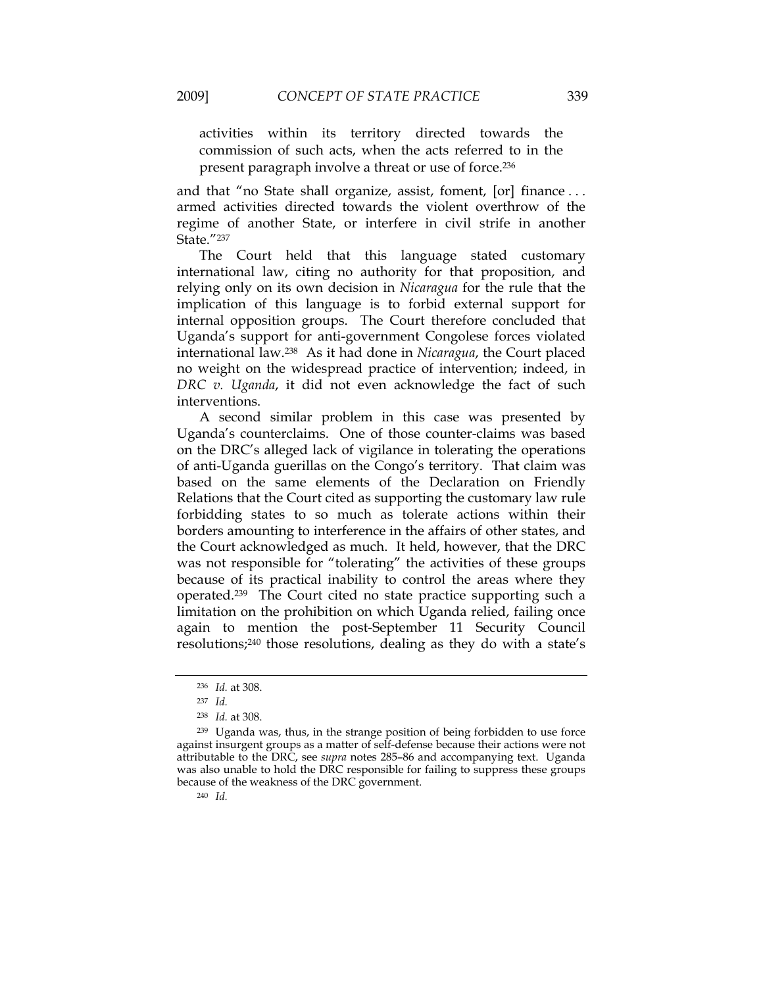activities within its territory directed towards the commission of such acts, when the acts referred to in the

present paragraph involve a threat or use of force.236

and that "no State shall organize, assist, foment, [or] finance . . . armed activities directed towards the violent overthrow of the regime of another State, or interfere in civil strife in another State."237

The Court held that this language stated customary international law, citing no authority for that proposition, and relying only on its own decision in *Nicaragua* for the rule that the implication of this language is to forbid external support for internal opposition groups. The Court therefore concluded that Uganda's support for anti-government Congolese forces violated international law.238 As it had done in *Nicaragua*, the Court placed no weight on the widespread practice of intervention; indeed, in *DRC v. Uganda*, it did not even acknowledge the fact of such interventions.

A second similar problem in this case was presented by Uganda's counterclaims. One of those counter-claims was based on the DRC's alleged lack of vigilance in tolerating the operations of anti-Uganda guerillas on the Congo's territory. That claim was based on the same elements of the Declaration on Friendly Relations that the Court cited as supporting the customary law rule forbidding states to so much as tolerate actions within their borders amounting to interference in the affairs of other states, and the Court acknowledged as much. It held, however, that the DRC was not responsible for "tolerating" the activities of these groups because of its practical inability to control the areas where they operated.239 The Court cited no state practice supporting such a limitation on the prohibition on which Uganda relied, failing once again to mention the post-September 11 Security Council resolutions;240 those resolutions, dealing as they do with a state's

<sup>240</sup> *Id.*

<sup>236</sup> *Id.* at 308.

<sup>237</sup> *Id.*

<sup>238</sup> *Id.* at 308.

<sup>239</sup> Uganda was, thus, in the strange position of being forbidden to use force against insurgent groups as a matter of self-defense because their actions were not attributable to the DRC, see *supra* notes 285–86 and accompanying text. Uganda was also unable to hold the DRC responsible for failing to suppress these groups because of the weakness of the DRC government.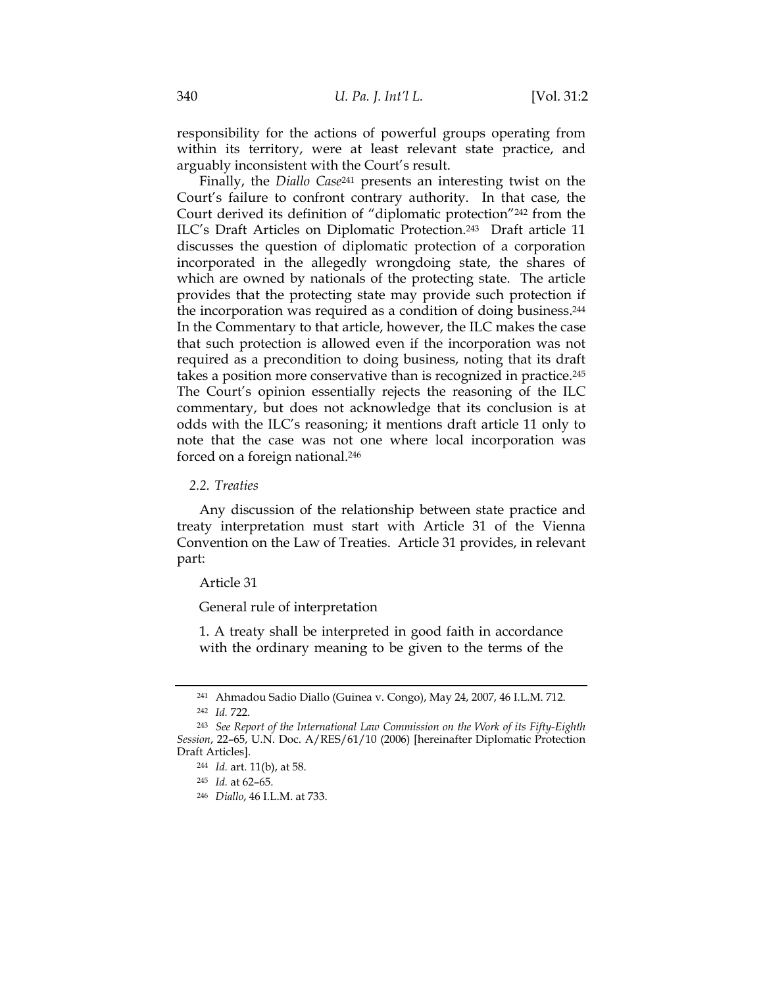responsibility for the actions of powerful groups operating from within its territory, were at least relevant state practice, and arguably inconsistent with the Court's result.

Finally, the *Diallo Case*241 presents an interesting twist on the Court's failure to confront contrary authority. In that case, the Court derived its definition of "diplomatic protection"242 from the ILC's Draft Articles on Diplomatic Protection.243 Draft article 11 discusses the question of diplomatic protection of a corporation incorporated in the allegedly wrongdoing state, the shares of which are owned by nationals of the protecting state. The article provides that the protecting state may provide such protection if the incorporation was required as a condition of doing business.244 In the Commentary to that article, however, the ILC makes the case that such protection is allowed even if the incorporation was not required as a precondition to doing business, noting that its draft takes a position more conservative than is recognized in practice.245 The Court's opinion essentially rejects the reasoning of the ILC commentary, but does not acknowledge that its conclusion is at odds with the ILC's reasoning; it mentions draft article 11 only to note that the case was not one where local incorporation was forced on a foreign national.246

# *2.2. Treaties*

Any discussion of the relationship between state practice and treaty interpretation must start with Article 31 of the Vienna Convention on the Law of Treaties. Article 31 provides, in relevant part:

#### Article 31

General rule of interpretation

1. A treaty shall be interpreted in good faith in accordance with the ordinary meaning to be given to the terms of the

<sup>241</sup> Ahmadou Sadio Diallo (Guinea v. Congo), May 24, 2007, 46 I.L.M. 712. <sup>242</sup> *Id.* 722.

<sup>243</sup> *See Report of the International Law Commission on the Work of its Fifty-Eighth Session*, 22–65, U.N. Doc. A/RES/61/10 (2006) [hereinafter Diplomatic Protection Draft Articles].

<sup>244</sup> *Id.* art. 11(b), at 58.

<sup>245</sup> *Id.* at 62–65.

<sup>246</sup> *Diallo*, 46 I.L.M. at 733.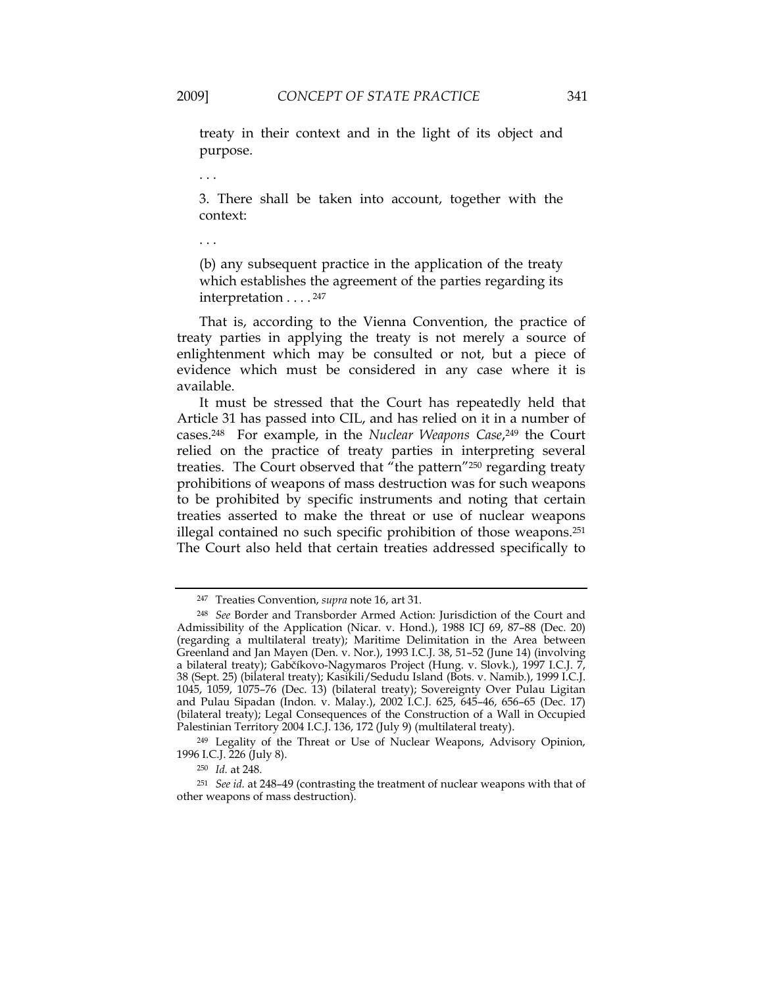treaty in their context and in the light of its object and purpose.

. . .

3. There shall be taken into account, together with the context:

. . .

(b) any subsequent practice in the application of the treaty which establishes the agreement of the parties regarding its interpretation . . . . 247

That is, according to the Vienna Convention, the practice of treaty parties in applying the treaty is not merely a source of enlightenment which may be consulted or not, but a piece of evidence which must be considered in any case where it is available.

It must be stressed that the Court has repeatedly held that Article 31 has passed into CIL, and has relied on it in a number of cases.248For example, in the *Nuclear Weapons Case*,249 the Court relied on the practice of treaty parties in interpreting several treaties. The Court observed that "the pattern"<sup>250</sup> regarding treaty prohibitions of weapons of mass destruction was for such weapons to be prohibited by specific instruments and noting that certain treaties asserted to make the threat or use of nuclear weapons illegal contained no such specific prohibition of those weapons.251 The Court also held that certain treaties addressed specifically to

<sup>247</sup> Treaties Convention, *supra* note 16, art 31.

<sup>248</sup> *See* Border and Transborder Armed Action: Jurisdiction of the Court and Admissibility of the Application (Nicar. v. Hond.), 1988 ICJ 69, 87–88 (Dec. 20) (regarding a multilateral treaty); Maritime Delimitation in the Area between Greenland and Jan Mayen (Den. v. Nor.), 1993 I.C.J. 38, 51–52 (June 14) (involving a bilateral treaty); Gabčíkovo-Nagymaros Project (Hung. v. Slovk.), 1997 I.C.J. 7, 38 (Sept. 25) (bilateral treaty); Kasikili/Sedudu Island (Bots. v. Namib.), 1999 I.C.J. 1045, 1059, 1075–76 (Dec. 13) (bilateral treaty); Sovereignty Over Pulau Ligitan and Pulau Sipadan (Indon. v. Malay.), 2002 I.C.J. 625, 645–46, 656–65 (Dec. 17) (bilateral treaty); Legal Consequences of the Construction of a Wall in Occupied Palestinian Territory 2004 I.C.J. 136, 172 (July 9) (multilateral treaty).

<sup>249</sup> Legality of the Threat or Use of Nuclear Weapons, Advisory Opinion, 1996 I.C.J. 226 (July 8).

<sup>250</sup> *Id.* at 248.

<sup>251</sup> *See id.* at 248–49 (contrasting the treatment of nuclear weapons with that of other weapons of mass destruction).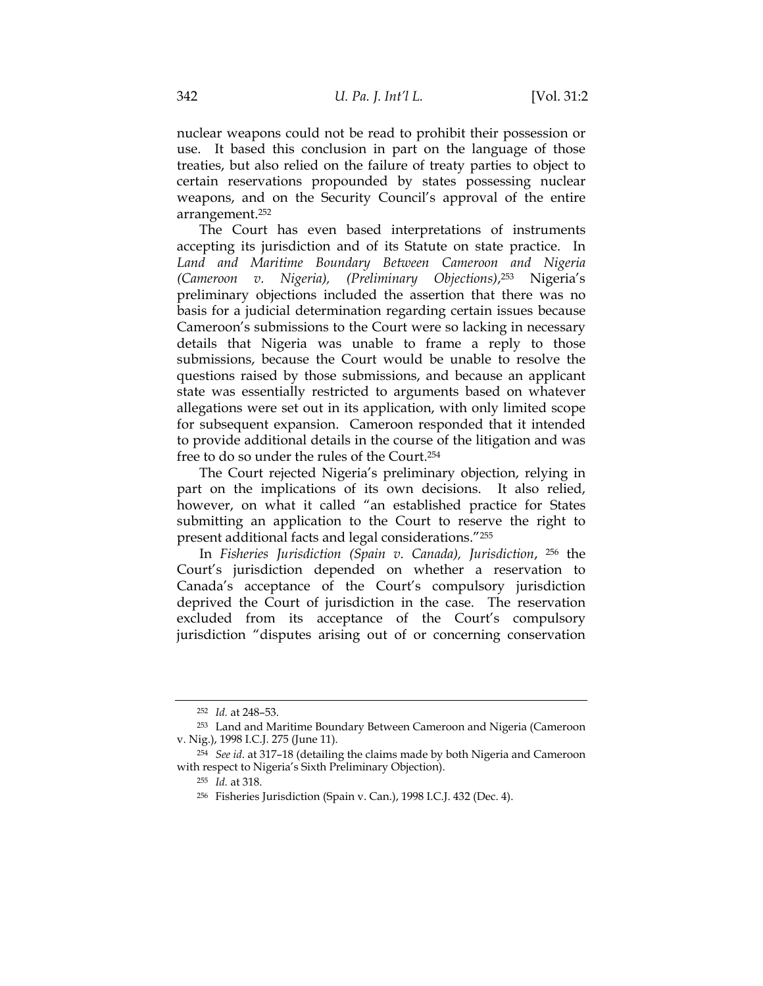nuclear weapons could not be read to prohibit their possession or use. It based this conclusion in part on the language of those treaties, but also relied on the failure of treaty parties to object to certain reservations propounded by states possessing nuclear weapons, and on the Security Council's approval of the entire arrangement.252

The Court has even based interpretations of instruments accepting its jurisdiction and of its Statute on state practice. In *Land and Maritime Boundary Between Cameroon and Nigeria (Cameroon v. Nigeria), (Preliminary Objections)*,253 Nigeria's preliminary objections included the assertion that there was no basis for a judicial determination regarding certain issues because Cameroon's submissions to the Court were so lacking in necessary details that Nigeria was unable to frame a reply to those submissions, because the Court would be unable to resolve the questions raised by those submissions, and because an applicant state was essentially restricted to arguments based on whatever allegations were set out in its application, with only limited scope for subsequent expansion. Cameroon responded that it intended to provide additional details in the course of the litigation and was free to do so under the rules of the Court.254

The Court rejected Nigeria's preliminary objection, relying in part on the implications of its own decisions.It also relied, however, on what it called "an established practice for States submitting an application to the Court to reserve the right to present additional facts and legal considerations."255

In *Fisheries Jurisdiction (Spain v. Canada), Jurisdiction*, 256 the Court's jurisdiction depended on whether a reservation to Canada's acceptance of the Court's compulsory jurisdiction deprived the Court of jurisdiction in the case. The reservation excluded from its acceptance of the Court's compulsory jurisdiction "disputes arising out of or concerning conservation

<sup>252</sup> *Id.* at 248–53.

<sup>253</sup> Land and Maritime Boundary Between Cameroon and Nigeria (Cameroon v. Nig.), 1998 I.C.J. 275 (June 11).

<sup>254</sup> *See id*. at 317–18 (detailing the claims made by both Nigeria and Cameroon with respect to Nigeria's Sixth Preliminary Objection).

<sup>255</sup> *Id.* at 318.

<sup>256</sup> Fisheries Jurisdiction (Spain v. Can.), 1998 I.C.J. 432 (Dec. 4).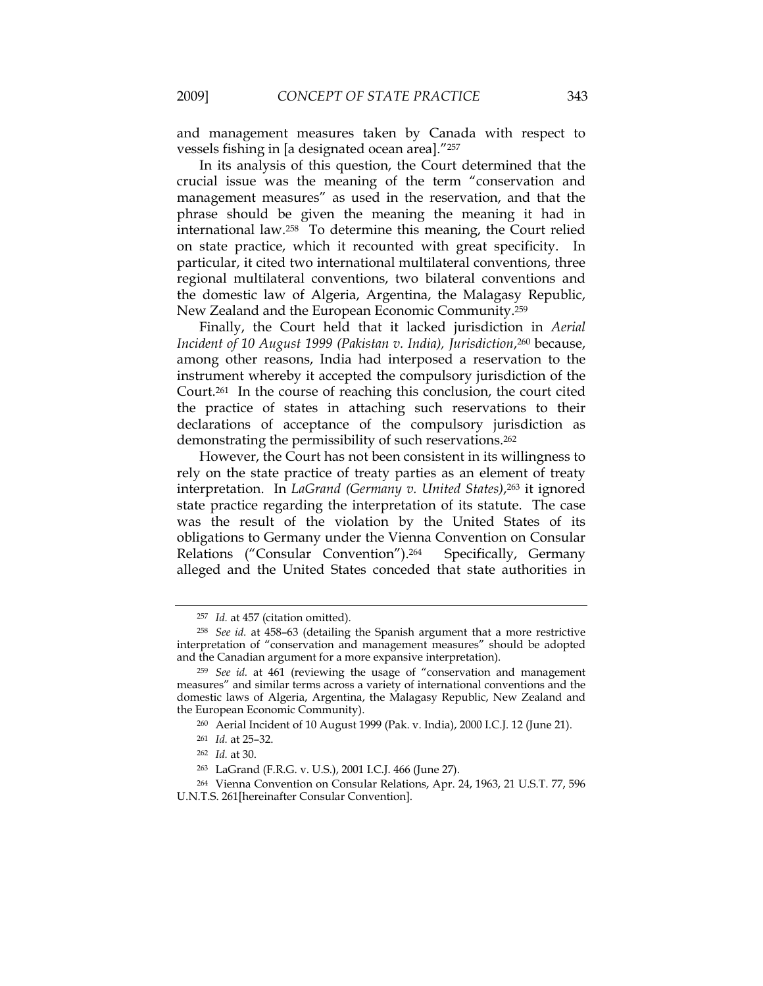and management measures taken by Canada with respect to vessels fishing in [a designated ocean area]."257

In its analysis of this question, the Court determined that the crucial issue was the meaning of the term "conservation and management measures" as used in the reservation, and that the phrase should be given the meaning the meaning it had in international law.258 To determine this meaning, the Court relied on state practice, which it recounted with great specificity. In particular, it cited two international multilateral conventions, three regional multilateral conventions, two bilateral conventions and the domestic law of Algeria, Argentina, the Malagasy Republic, New Zealand and the European Economic Community.259

Finally, the Court held that it lacked jurisdiction in *Aerial*  Incident of 10 August 1999 (Pakistan v. India), Jurisdiction,<sup>260</sup> because, among other reasons, India had interposed a reservation to the instrument whereby it accepted the compulsory jurisdiction of the Court.261 In the course of reaching this conclusion, the court cited the practice of states in attaching such reservations to their declarations of acceptance of the compulsory jurisdiction as demonstrating the permissibility of such reservations.<sup>262</sup>

However, the Court has not been consistent in its willingness to rely on the state practice of treaty parties as an element of treaty interpretation. In *LaGrand (Germany v. United States)*,263 it ignored state practice regarding the interpretation of its statute. The case was the result of the violation by the United States of its obligations to Germany under the Vienna Convention on Consular Relations ("Consular Convention").<sup>264</sup> Specifically, Germany alleged and the United States conceded that state authorities in

<sup>257</sup> *Id.* at 457 (citation omitted).

<sup>258</sup> *See id.* at 458–63 (detailing the Spanish argument that a more restrictive interpretation of "conservation and management measures" should be adopted and the Canadian argument for a more expansive interpretation).

<sup>259</sup> *See id.* at 461 (reviewing the usage of "conservation and management measures" and similar terms across a variety of international conventions and the domestic laws of Algeria, Argentina, the Malagasy Republic, New Zealand and the European Economic Community).

<sup>260</sup> Aerial Incident of 10 August 1999 (Pak. v. India), 2000 I.C.J. 12 (June 21).

<sup>261</sup> *Id.* at 25–32.

<sup>262</sup> *Id.* at 30.

<sup>263</sup> LaGrand (F.R.G. v. U.S.), 2001 I.C.J. 466 (June 27).

<sup>264</sup> Vienna Convention on Consular Relations, Apr. 24, 1963, 21 U.S.T. 77, 596 U.N.T.S. 261[hereinafter Consular Convention].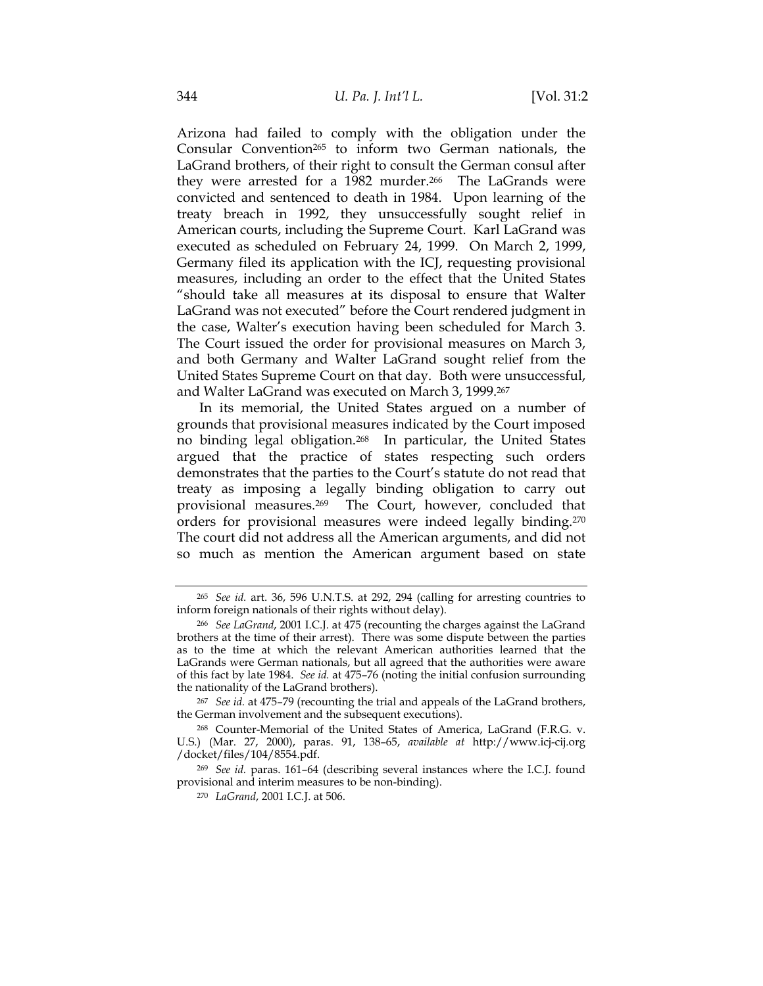Arizona had failed to comply with the obligation under the Consular Convention265 to inform two German nationals, the LaGrand brothers, of their right to consult the German consul after they were arrested for a 1982 murder.266 The LaGrands were convicted and sentenced to death in 1984. Upon learning of the treaty breach in 1992, they unsuccessfully sought relief in American courts, including the Supreme Court. Karl LaGrand was executed as scheduled on February 24, 1999. On March 2, 1999, Germany filed its application with the ICJ, requesting provisional measures, including an order to the effect that the United States "should take all measures at its disposal to ensure that Walter LaGrand was not executed" before the Court rendered judgment in the case, Walter's execution having been scheduled for March 3. The Court issued the order for provisional measures on March 3, and both Germany and Walter LaGrand sought relief from the United States Supreme Court on that day. Both were unsuccessful, and Walter LaGrand was executed on March 3, 1999.267

In its memorial, the United States argued on a number of grounds that provisional measures indicated by the Court imposed no binding legal obligation.268 In particular, the United States argued that the practice of states respecting such orders demonstrates that the parties to the Court's statute do not read that treaty as imposing a legally binding obligation to carry out provisional measures.269 The Court, however, concluded that orders for provisional measures were indeed legally binding.270 The court did not address all the American arguments, and did not so much as mention the American argument based on state

<sup>265</sup> *See id.* art. 36, 596 U.N.T.S. at 292, 294 (calling for arresting countries to inform foreign nationals of their rights without delay).

<sup>266</sup> *See LaGrand*, 2001 I.C.J. at 475 (recounting the charges against the LaGrand brothers at the time of their arrest). There was some dispute between the parties as to the time at which the relevant American authorities learned that the LaGrands were German nationals, but all agreed that the authorities were aware of this fact by late 1984. *See id.* at 475–76 (noting the initial confusion surrounding the nationality of the LaGrand brothers).

<sup>267</sup> *See id.* at 475–79 (recounting the trial and appeals of the LaGrand brothers, the German involvement and the subsequent executions).

<sup>268</sup> Counter-Memorial of the United States of America, LaGrand (F.R.G. v. U.S.) (Mar. 27, 2000), paras. 91, 138–65, *available at* http://www.icj-cij.org /docket/files/104/8554.pdf.

<sup>269</sup> *See id.* paras. 161–64 (describing several instances where the I.C.J. found provisional and interim measures to be non-binding).

<sup>270</sup> *LaGrand*, 2001 I.C.J. at 506.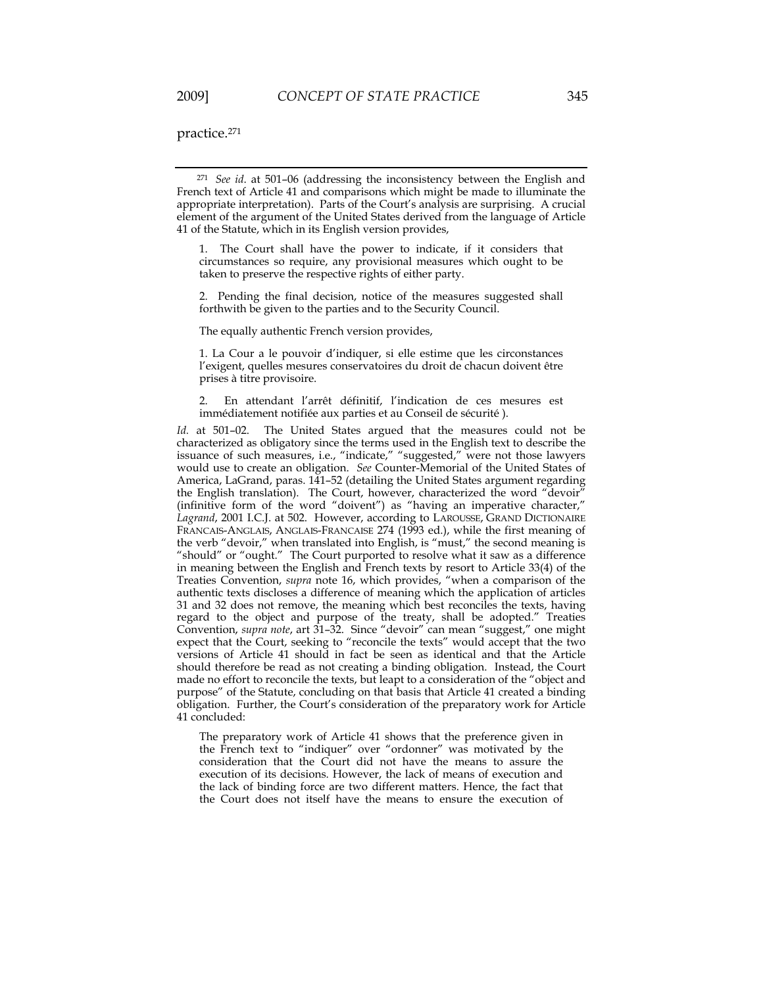practice.271

<sup>271</sup> *See id*. at 501–06 (addressing the inconsistency between the English and French text of Article 41 and comparisons which might be made to illuminate the appropriate interpretation). Parts of the Court's analysis are surprising. A crucial element of the argument of the United States derived from the language of Article 41 of the Statute, which in its English version provides,

1. The Court shall have the power to indicate, if it considers that circumstances so require, any provisional measures which ought to be taken to preserve the respective rights of either party.

2. Pending the final decision, notice of the measures suggested shall forthwith be given to the parties and to the Security Council.

The equally authentic French version provides,

1. La Cour a le pouvoir d'indiquer, si elle estime que les circonstances l'exigent, quelles mesures conservatoires du droit de chacun doivent être prises à titre provisoire.

2. En attendant l'arrêt définitif, l'indication de ces mesures est immédiatement notifiée aux parties et au Conseil de sécurité ).

*Id.* at 501–02. The United States argued that the measures could not be characterized as obligatory since the terms used in the English text to describe the issuance of such measures, i.e., "indicate," "suggested," were not those lawyers would use to create an obligation. *See* Counter-Memorial of the United States of America, LaGrand, paras. 141-52 (detailing the United States argument regarding the English translation). The Court, however, characterized the word "devoir" (infinitive form of the word "doivent") as "having an imperative character," *Lagrand*, 2001 I.C.J. at 502. However, according to LAROUSSE, GRAND DICTIONAIRE FRANCAIS-ANGLAIS, ANGLAIS-FRANCAISE 274 (1993 ed.), while the first meaning of the verb "devoir," when translated into English, is "must," the second meaning is "should" or "ought." The Court purported to resolve what it saw as a difference in meaning between the English and French texts by resort to Article 33(4) of the Treaties Convention, *supra* note 16, which provides, "when a comparison of the authentic texts discloses a difference of meaning which the application of articles 31 and 32 does not remove, the meaning which best reconciles the texts, having regard to the object and purpose of the treaty, shall be adopted." Treaties Convention, *supra note*, art 31–32. Since "devoir" can mean "suggest," one might expect that the Court, seeking to "reconcile the texts" would accept that the two versions of Article 41 should in fact be seen as identical and that the Article should therefore be read as not creating a binding obligation. Instead, the Court made no effort to reconcile the texts, but leapt to a consideration of the "object and purpose" of the Statute, concluding on that basis that Article 41 created a binding obligation. Further, the Court's consideration of the preparatory work for Article 41 concluded:

The preparatory work of Article 41 shows that the preference given in the French text to "indiquer" over "ordonner" was motivated by the consideration that the Court did not have the means to assure the execution of its decisions. However, the lack of means of execution and the lack of binding force are two different matters. Hence, the fact that the Court does not itself have the means to ensure the execution of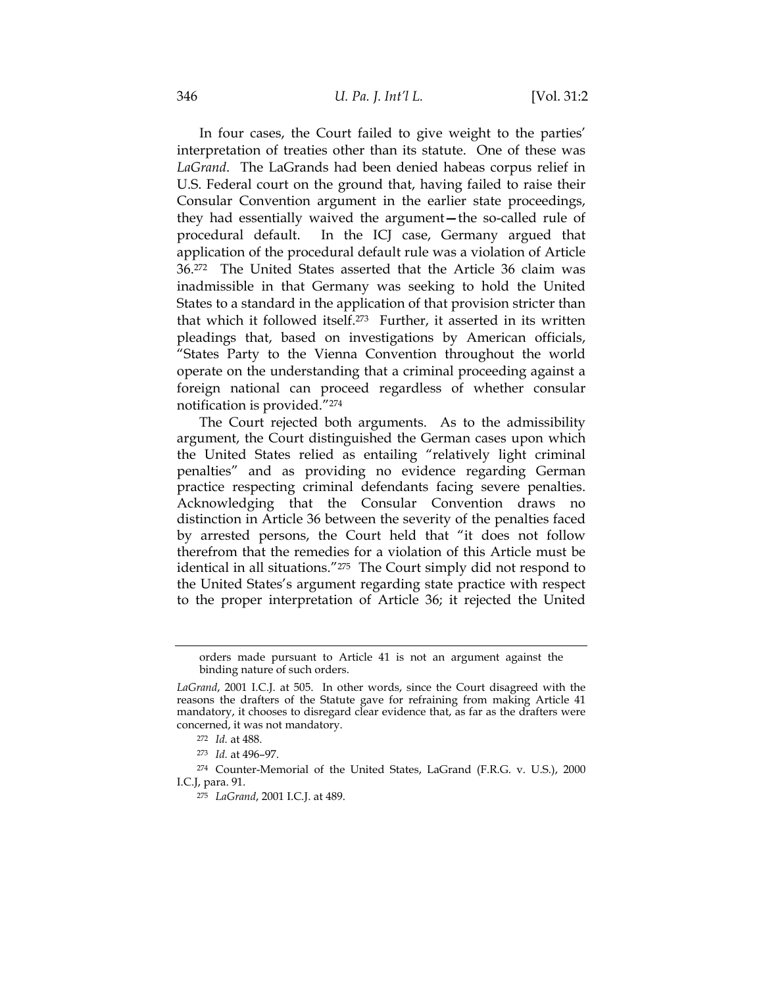In four cases, the Court failed to give weight to the parties' interpretation of treaties other than its statute. One of these was *LaGrand*. The LaGrands had been denied habeas corpus relief in U.S. Federal court on the ground that, having failed to raise their Consular Convention argument in the earlier state proceedings, they had essentially waived the argument**—**the so-called rule of procedural default. In the ICJ case, Germany argued that application of the procedural default rule was a violation of Article 36.272 The United States asserted that the Article 36 claim was inadmissible in that Germany was seeking to hold the United States to a standard in the application of that provision stricter than that which it followed itself.273 Further, it asserted in its written pleadings that, based on investigations by American officials, "States Party to the Vienna Convention throughout the world operate on the understanding that a criminal proceeding against a foreign national can proceed regardless of whether consular notification is provided."274

The Court rejected both arguments. As to the admissibility argument, the Court distinguished the German cases upon which the United States relied as entailing "relatively light criminal penalties" and as providing no evidence regarding German practice respecting criminal defendants facing severe penalties. Acknowledging that the Consular Convention draws no distinction in Article 36 between the severity of the penalties faced by arrested persons, the Court held that "it does not follow therefrom that the remedies for a violation of this Article must be identical in all situations."275 The Court simply did not respond to the United States's argument regarding state practice with respect to the proper interpretation of Article 36; it rejected the United

orders made pursuant to Article 41 is not an argument against the binding nature of such orders.

*LaGrand*, 2001 I.C.J. at 505. In other words, since the Court disagreed with the reasons the drafters of the Statute gave for refraining from making Article 41 mandatory, it chooses to disregard clear evidence that, as far as the drafters were concerned, it was not mandatory.

<sup>272</sup> *Id.* at 488.

<sup>273</sup> *Id.* at 496–97.

<sup>274</sup> Counter-Memorial of the United States, LaGrand (F.R.G. v. U.S.), 2000 I.C.J, para. 91.

<sup>275</sup> *LaGrand*, 2001 I.C.J. at 489.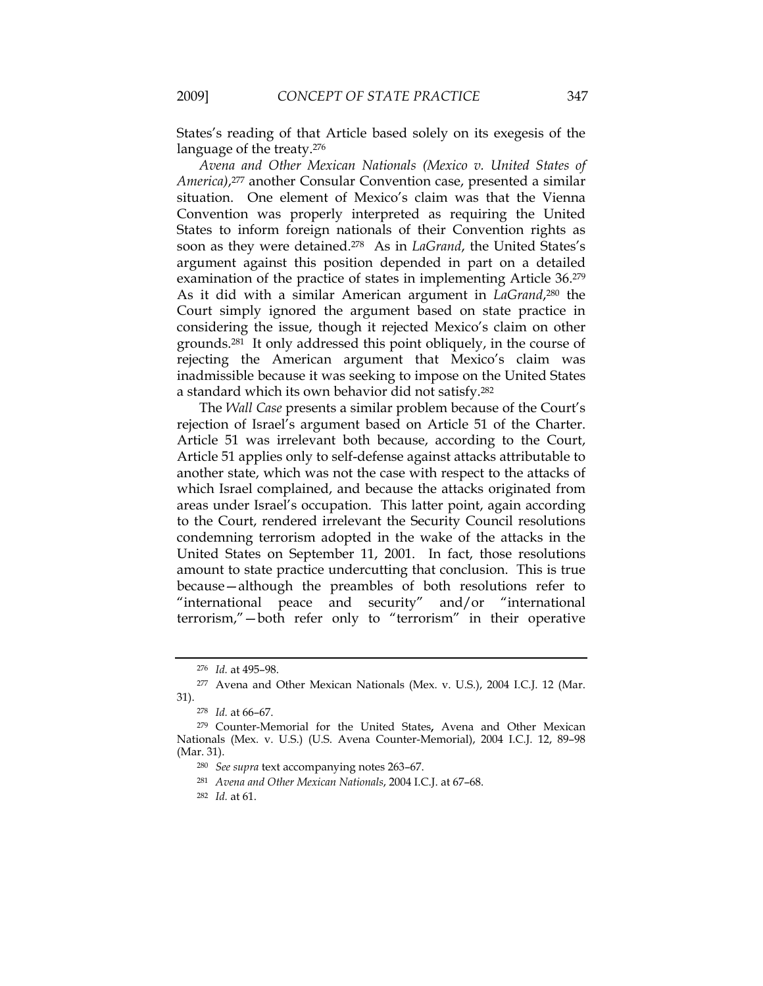States's reading of that Article based solely on its exegesis of the language of the treaty.276

*Avena and Other Mexican Nationals (Mexico v. United States of America)*,277 another Consular Convention case, presented a similar situation. One element of Mexico's claim was that the Vienna Convention was properly interpreted as requiring the United States to inform foreign nationals of their Convention rights as soon as they were detained.278 As in *LaGrand*, the United States's argument against this position depended in part on a detailed examination of the practice of states in implementing Article 36.279 As it did with a similar American argument in *LaGrand*,280 the Court simply ignored the argument based on state practice in considering the issue, though it rejected Mexico's claim on other grounds.281 It only addressed this point obliquely, in the course of rejecting the American argument that Mexico's claim was inadmissible because it was seeking to impose on the United States a standard which its own behavior did not satisfy.282

The *Wall Case* presents a similar problem because of the Court's rejection of Israel's argument based on Article 51 of the Charter. Article 51 was irrelevant both because, according to the Court, Article 51 applies only to self-defense against attacks attributable to another state, which was not the case with respect to the attacks of which Israel complained, and because the attacks originated from areas under Israel's occupation. This latter point, again according to the Court, rendered irrelevant the Security Council resolutions condemning terrorism adopted in the wake of the attacks in the United States on September 11, 2001. In fact, those resolutions amount to state practice undercutting that conclusion. This is true because—although the preambles of both resolutions refer to "international peace and security" and/or "international terrorism,"—both refer only to "terrorism" in their operative

<sup>276</sup> *Id.* at 495–98.

<sup>277</sup> Avena and Other Mexican Nationals (Mex. v. U.S.), 2004 I.C.J. 12 (Mar. 31).

<sup>278</sup> *Id.* at 66–67.

<sup>279</sup> Counter-Memorial for the United States**,** Avena and Other Mexican Nationals (Mex. v. U.S.) (U.S. Avena Counter-Memorial), 2004 I.C.J. 12, 89–98 (Mar. 31).

<sup>280</sup> *See supra* text accompanying notes 263–67.

<sup>281</sup> *Avena and Other Mexican Nationals*, 2004 I.C.J. at 67–68.

<sup>282</sup> *Id.* at 61.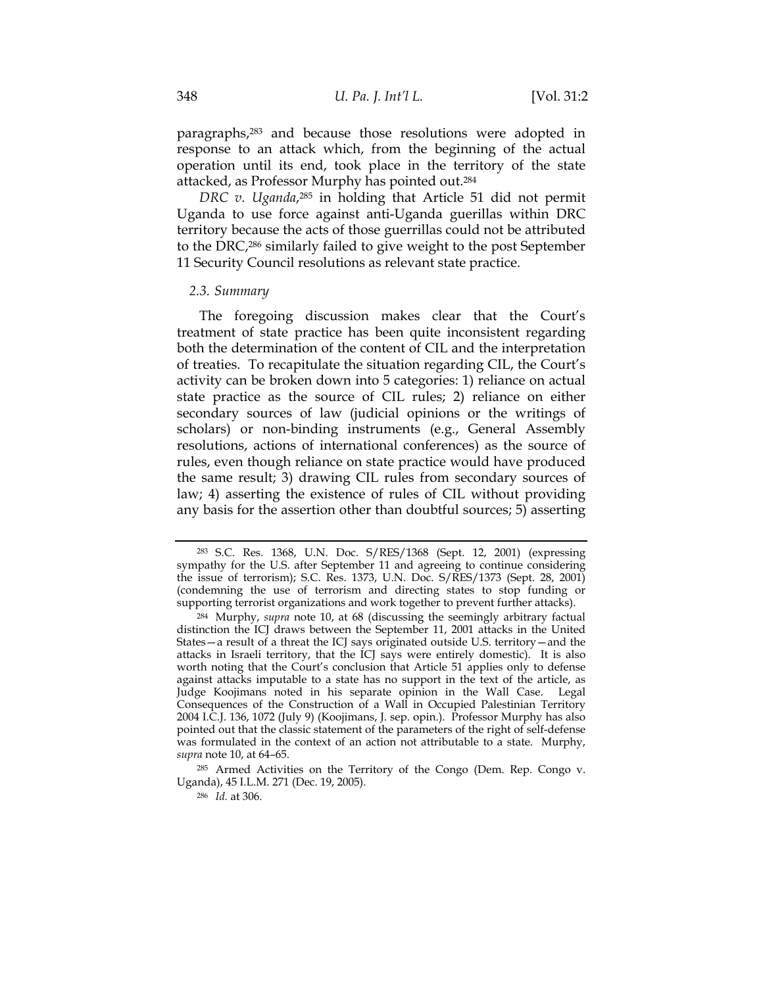paragraphs,283 and because those resolutions were adopted in response to an attack which, from the beginning of the actual operation until its end, took place in the territory of the state attacked, as Professor Murphy has pointed out.284

*DRC v. Uganda*,285 in holding that Article 51 did not permit Uganda to use force against anti-Uganda guerillas within DRC territory because the acts of those guerrillas could not be attributed to the DRC,286 similarly failed to give weight to the post September 11 Security Council resolutions as relevant state practice.

#### *2.3. Summary*

The foregoing discussion makes clear that the Court's treatment of state practice has been quite inconsistent regarding both the determination of the content of CIL and the interpretation of treaties. To recapitulate the situation regarding CIL, the Court's activity can be broken down into 5 categories: 1) reliance on actual state practice as the source of CIL rules; 2) reliance on either secondary sources of law (judicial opinions or the writings of scholars) or non-binding instruments (e.g., General Assembly resolutions, actions of international conferences) as the source of rules, even though reliance on state practice would have produced the same result; 3) drawing CIL rules from secondary sources of law; 4) asserting the existence of rules of CIL without providing any basis for the assertion other than doubtful sources; 5) asserting

<sup>283</sup> S.C. Res. 1368, U.N. Doc. S/RES/1368 (Sept. 12, 2001) (expressing sympathy for the U.S. after September 11 and agreeing to continue considering the issue of terrorism); S.C. Res. 1373, U.N. Doc. S/RES/1373 (Sept. 28, 2001) (condemning the use of terrorism and directing states to stop funding or supporting terrorist organizations and work together to prevent further attacks).

<sup>284</sup> Murphy, *supra* note 10, at 68 (discussing the seemingly arbitrary factual distinction the ICJ draws between the September 11, 2001 attacks in the United States—a result of a threat the ICJ says originated outside U.S. territory—and the attacks in Israeli territory, that the ICJ says were entirely domestic). It is also worth noting that the Court's conclusion that Article 51 applies only to defense against attacks imputable to a state has no support in the text of the article, as Judge Koojimans noted in his separate opinion in the Wall Case.Legal Consequences of the Construction of a Wall in Occupied Palestinian Territory 2004 I.C.J. 136, 1072 (July 9) (Koojimans, J. sep. opin.). Professor Murphy has also pointed out that the classic statement of the parameters of the right of self-defense was formulated in the context of an action not attributable to a state.Murphy, *supra* note 10, at 64–65.

<sup>285</sup> Armed Activities on the Territory of the Congo (Dem. Rep. Congo v. Uganda), 45 I.L.M. 271 (Dec. 19, 2005).

<sup>286</sup> *Id.* at 306.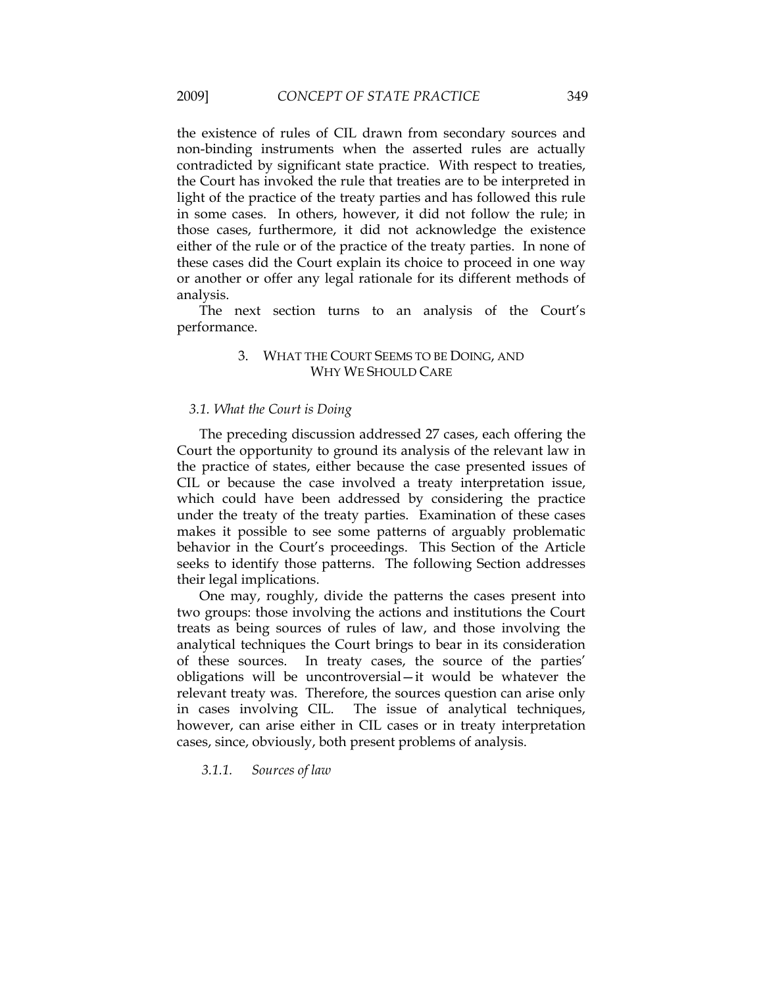the existence of rules of CIL drawn from secondary sources and non-binding instruments when the asserted rules are actually contradicted by significant state practice. With respect to treaties, the Court has invoked the rule that treaties are to be interpreted in light of the practice of the treaty parties and has followed this rule in some cases. In others, however, it did not follow the rule; in those cases, furthermore, it did not acknowledge the existence either of the rule or of the practice of the treaty parties. In none of these cases did the Court explain its choice to proceed in one way or another or offer any legal rationale for its different methods of analysis.

The next section turns to an analysis of the Court's performance.

# 3. WHAT THE COURT SEEMS TO BE DOING, AND WHY WE SHOULD CARE

# *3.1. What the Court is Doing*

The preceding discussion addressed 27 cases, each offering the Court the opportunity to ground its analysis of the relevant law in the practice of states, either because the case presented issues of CIL or because the case involved a treaty interpretation issue, which could have been addressed by considering the practice under the treaty of the treaty parties. Examination of these cases makes it possible to see some patterns of arguably problematic behavior in the Court's proceedings. This Section of the Article seeks to identify those patterns. The following Section addresses their legal implications.

One may, roughly, divide the patterns the cases present into two groups: those involving the actions and institutions the Court treats as being sources of rules of law, and those involving the analytical techniques the Court brings to bear in its consideration of these sources. In treaty cases, the source of the parties' obligations will be uncontroversial—it would be whatever the relevant treaty was. Therefore, the sources question can arise only in cases involving CIL. The issue of analytical techniques, however, can arise either in CIL cases or in treaty interpretation cases, since, obviously, both present problems of analysis.

*3.1.1. Sources of law*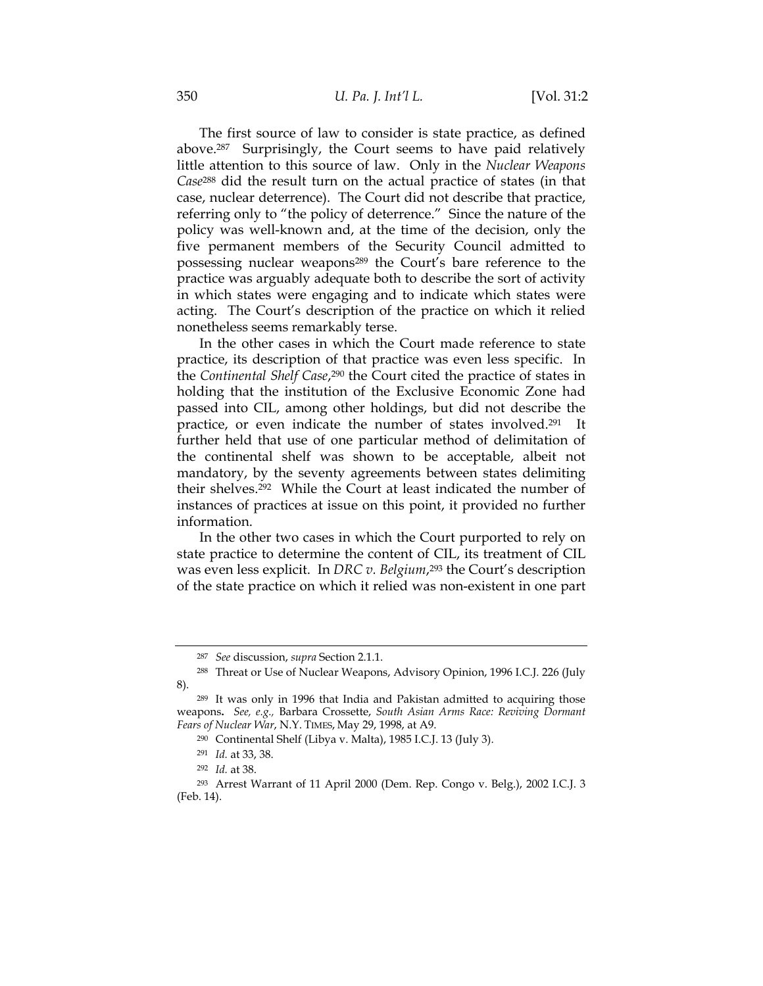The first source of law to consider is state practice, as defined above.287 Surprisingly, the Court seems to have paid relatively little attention to this source of law. Only in the *Nuclear Weapons Case*288 did the result turn on the actual practice of states (in that case, nuclear deterrence). The Court did not describe that practice, referring only to "the policy of deterrence." Since the nature of the policy was well-known and, at the time of the decision, only the five permanent members of the Security Council admitted to possessing nuclear weapons289 the Court's bare reference to the practice was arguably adequate both to describe the sort of activity in which states were engaging and to indicate which states were acting. The Court's description of the practice on which it relied nonetheless seems remarkably terse.

In the other cases in which the Court made reference to state practice, its description of that practice was even less specific. In the *Continental Shelf Case*,290 the Court cited the practice of states in holding that the institution of the Exclusive Economic Zone had passed into CIL, among other holdings, but did not describe the practice, or even indicate the number of states involved.291 It further held that use of one particular method of delimitation of the continental shelf was shown to be acceptable, albeit not mandatory, by the seventy agreements between states delimiting their shelves.292 While the Court at least indicated the number of instances of practices at issue on this point, it provided no further information.

In the other two cases in which the Court purported to rely on state practice to determine the content of CIL, its treatment of CIL was even less explicit. In *DRC v. Belgium*,<sup>293</sup> the Court's description of the state practice on which it relied was non-existent in one part

<sup>287</sup> *See* discussion, *supra* Section 2.1.1.

<sup>288</sup> Threat or Use of Nuclear Weapons, Advisory Opinion, 1996 I.C.J. 226 (July 8).

<sup>289</sup> It was only in 1996 that India and Pakistan admitted to acquiring those weapons**.** *See, e.g.,* Barbara Crossette, *South Asian Arms Race: Reviving Dormant Fears of Nuclear War*, N.Y. TIMES, May 29, 1998, at A9.

<sup>290</sup> Continental Shelf (Libya v. Malta), 1985 I.C.J. 13 (July 3).

<sup>291</sup> *Id.* at 33, 38.

<sup>292</sup> *Id.* at 38.

<sup>293</sup> Arrest Warrant of 11 April 2000 (Dem. Rep. Congo v. Belg.), 2002 I.C.J. 3 (Feb. 14).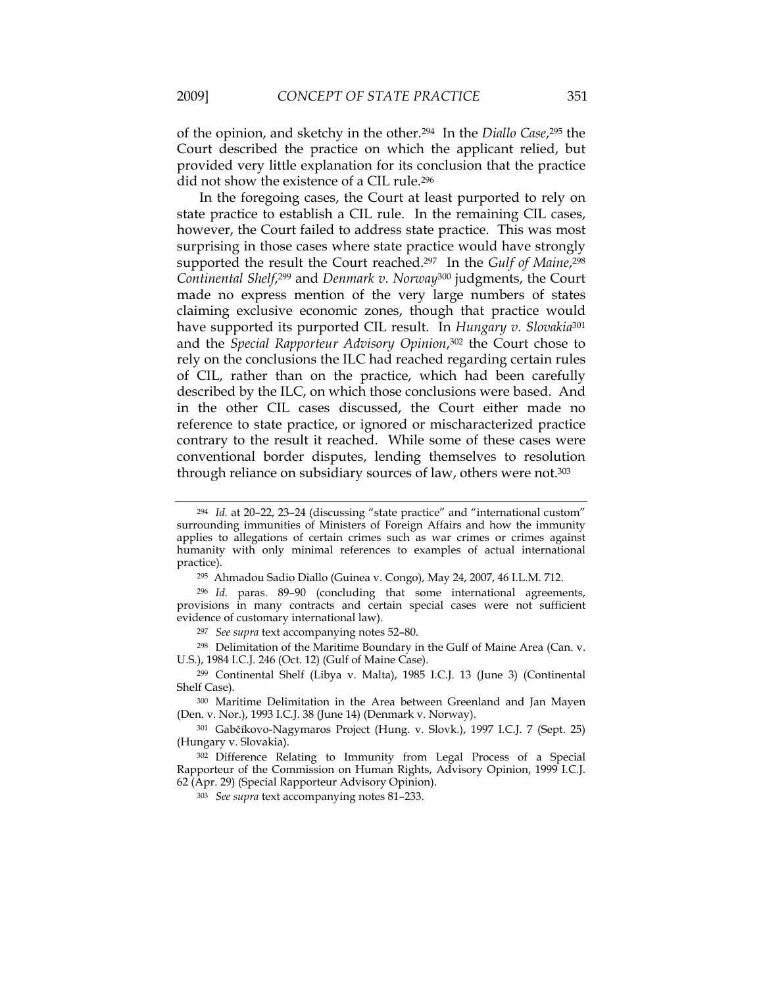of the opinion, and sketchy in the other.294 In the *Diallo Case*,295 the Court described the practice on which the applicant relied, but provided very little explanation for its conclusion that the practice did not show the existence of a CIL rule.296

In the foregoing cases, the Court at least purported to rely on state practice to establish a CIL rule. In the remaining CIL cases, however, the Court failed to address state practice. This was most surprising in those cases where state practice would have strongly supported the result the Court reached.297 In the *Gulf of Maine*,298 *Continental Shelf*,299 and *Denmark v. Norway*300 judgments, the Court made no express mention of the very large numbers of states claiming exclusive economic zones, though that practice would have supported its purported CIL result. In *Hungary v. Slovakia*<sup>301</sup> and the *Special Rapporteur Advisory Opinion*,302 the Court chose to rely on the conclusions the ILC had reached regarding certain rules of CIL, rather than on the practice, which had been carefully described by the ILC, on which those conclusions were based. And in the other CIL cases discussed, the Court either made no reference to state practice, or ignored or mischaracterized practice contrary to the result it reached. While some of these cases were conventional border disputes, lending themselves to resolution through reliance on subsidiary sources of law, others were not.<sup>303</sup>

<sup>294</sup> *Id.* at 20–22, 23–24 (discussing "state practice" and "international custom" surrounding immunities of Ministers of Foreign Affairs and how the immunity applies to allegations of certain crimes such as war crimes or crimes against humanity with only minimal references to examples of actual international practice).

<sup>295</sup>Ahmadou Sadio Diallo (Guinea v. Congo), May 24, 2007, 46 I.L.M. 712.

<sup>296</sup> *Id*. paras. 89–90 (concluding that some international agreements, provisions in many contracts and certain special cases were not sufficient evidence of customary international law).

<sup>297</sup> *See supra* text accompanying notes 52–80.

<sup>298</sup> Delimitation of the Maritime Boundary in the Gulf of Maine Area (Can. v. U.S.), 1984 I.C.J. 246 (Oct. 12) (Gulf of Maine Case).

<sup>299</sup> Continental Shelf (Libya v. Malta), 1985 I.C.J. 13 (June 3) (Continental Shelf Case).

<sup>300</sup> Maritime Delimitation in the Area between Greenland and Jan Mayen (Den. v. Nor.), 1993 I.C.J. 38 (June 14) (Denmark v. Norway).

<sup>301</sup> Gabčíkovo-Nagymaros Project (Hung. v. Slovk.), 1997 I.C.J. 7 (Sept. 25) (Hungary v. Slovakia).

<sup>302</sup> Difference Relating to Immunity from Legal Process of a Special Rapporteur of the Commission on Human Rights, Advisory Opinion, 1999 I.C.J. 62 (Apr. 29) (Special Rapporteur Advisory Opinion).

<sup>303</sup> *See supra* text accompanying notes 81–233.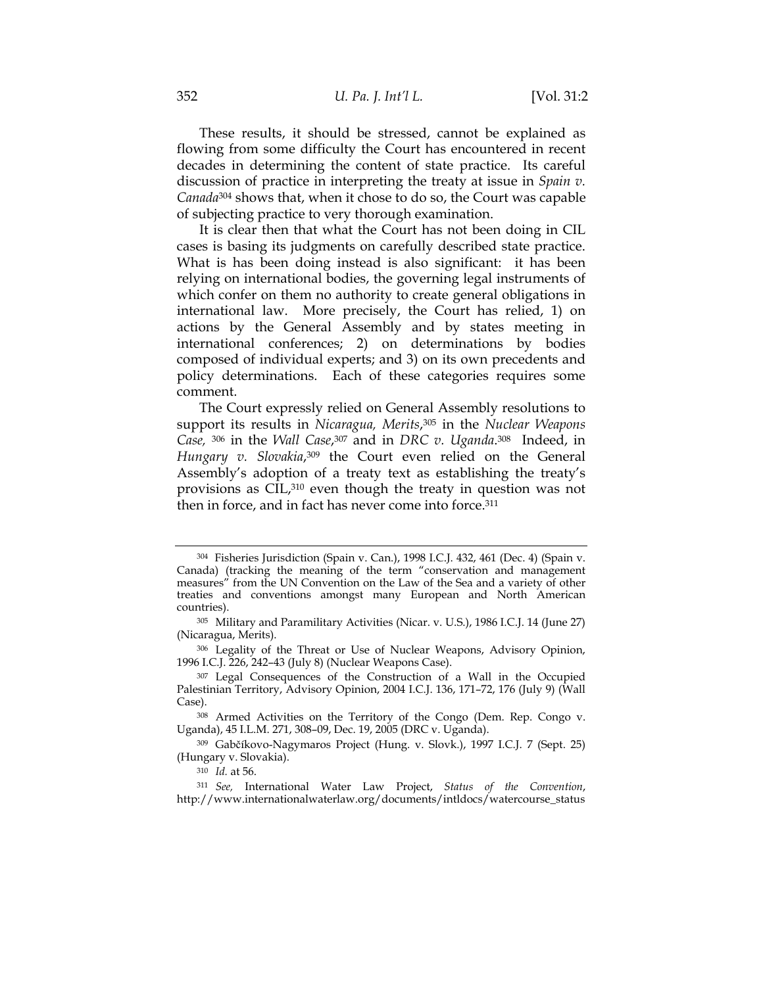These results, it should be stressed, cannot be explained as flowing from some difficulty the Court has encountered in recent decades in determining the content of state practice. Its careful discussion of practice in interpreting the treaty at issue in *Spain v. Canada*304 shows that, when it chose to do so, the Court was capable of subjecting practice to very thorough examination.

It is clear then that what the Court has not been doing in CIL cases is basing its judgments on carefully described state practice. What is has been doing instead is also significant: it has been relying on international bodies, the governing legal instruments of which confer on them no authority to create general obligations in international law. More precisely, the Court has relied, 1) on actions by the General Assembly and by states meeting in international conferences; 2) on determinations by bodies composed of individual experts; and 3) on its own precedents and policy determinations. Each of these categories requires some comment.

The Court expressly relied on General Assembly resolutions to support its results in *Nicaragua, Merits*,305 in the *Nuclear Weapons Case,* 306 in the *Wall Case*,307 and in *DRC v. Uganda*.308 Indeed, in *Hungary v. Slovakia*,<sup>309</sup> the Court even relied on the General Assembly's adoption of a treaty text as establishing the treaty's provisions as CIL,310 even though the treaty in question was not then in force, and in fact has never come into force.<sup>311</sup>

 <sup>304</sup> Fisheries Jurisdiction (Spain v. Can.), 1998 I.C.J. 432, 461 (Dec. 4) (Spain v. Canada) (tracking the meaning of the term "conservation and management measures" from the UN Convention on the Law of the Sea and a variety of other treaties and conventions amongst many European and North American countries).

<sup>305</sup> Military and Paramilitary Activities (Nicar. v. U.S.), 1986 I.C.J. 14 (June 27) (Nicaragua, Merits).

<sup>306</sup> Legality of the Threat or Use of Nuclear Weapons, Advisory Opinion, 1996 I.C.J. 226, 242–43 (July 8) (Nuclear Weapons Case).

<sup>307</sup> Legal Consequences of the Construction of a Wall in the Occupied Palestinian Territory, Advisory Opinion, 2004 I.C.J. 136, 171–72, 176 (July 9) (Wall Case).

<sup>308</sup> Armed Activities on the Territory of the Congo (Dem. Rep. Congo v. Uganda), 45 I.L.M. 271, 308–09, Dec. 19, 2005 (DRC v. Uganda).

<sup>309</sup> Gabčíkovo-Nagymaros Project (Hung. v. Slovk.), 1997 I.C.J. 7 (Sept. 25) (Hungary v. Slovakia).

<sup>310</sup> *Id.* at 56.

<sup>311</sup> *See,* International Water Law Project, *Status of the Convention*, http://www.internationalwaterlaw.org/documents/intldocs/watercourse\_status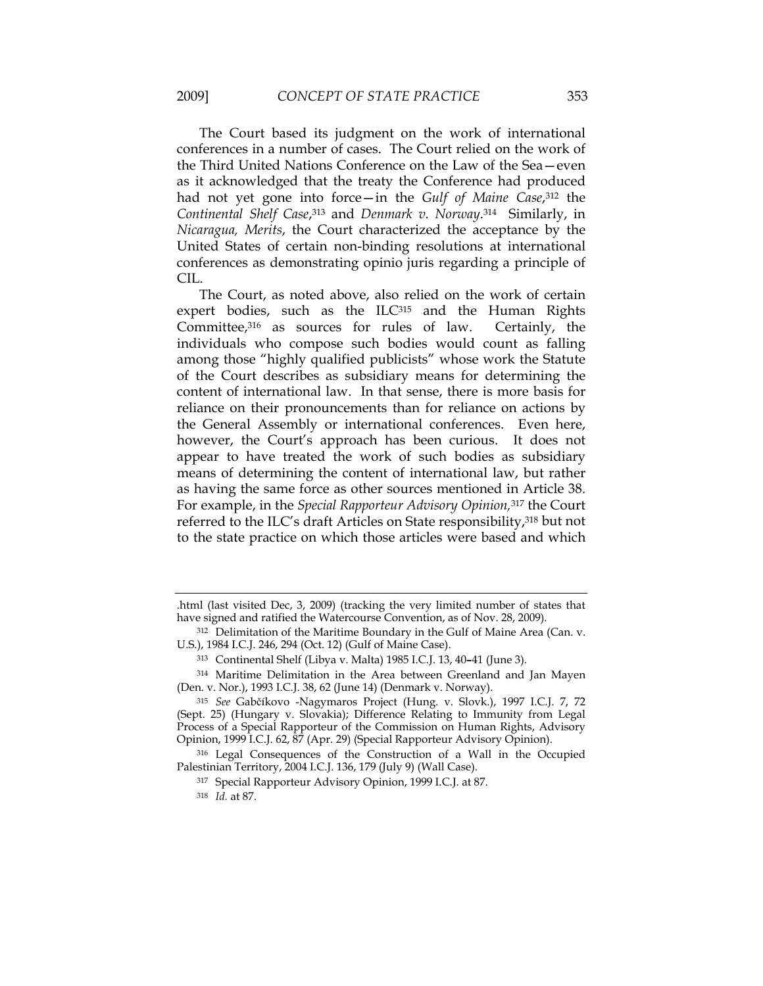The Court based its judgment on the work of international conferences in a number of cases. The Court relied on the work of the Third United Nations Conference on the Law of the Sea—even as it acknowledged that the treaty the Conference had produced had not yet gone into force—in the *Gulf of Maine Case*,312 the *Continental Shelf Case*,313 and *Denmark v. Norway*.314 Similarly, in *Nicaragua, Merits*, the Court characterized the acceptance by the United States of certain non-binding resolutions at international conferences as demonstrating opinio juris regarding a principle of CIL.

The Court, as noted above, also relied on the work of certain expert bodies, such as the ILC<sup>315</sup> and the Human Rights Committee,316 as sources for rules of law. Certainly, the individuals who compose such bodies would count as falling among those "highly qualified publicists" whose work the Statute of the Court describes as subsidiary means for determining the content of international law. In that sense, there is more basis for reliance on their pronouncements than for reliance on actions by the General Assembly or international conferences. Even here, however, the Court's approach has been curious. It does not appear to have treated the work of such bodies as subsidiary means of determining the content of international law, but rather as having the same force as other sources mentioned in Article 38. For example, in the *Special Rapporteur Advisory Opinion,*317 the Court referred to the ILC's draft Articles on State responsibility,318 but not to the state practice on which those articles were based and which

<sup>.</sup>html (last visited Dec, 3, 2009) (tracking the very limited number of states that have signed and ratified the Watercourse Convention, as of Nov. 28, 2009).

<sup>312</sup> Delimitation of the Maritime Boundary in the Gulf of Maine Area (Can. v. U.S.), 1984 I.C.J. 246, 294 (Oct. 12) (Gulf of Maine Case).

<sup>313</sup> Continental Shelf (Libya v. Malta) 1985 I.C.J. 13, 40**–**41 (June 3).

<sup>314</sup> Maritime Delimitation in the Area between Greenland and Jan Mayen (Den. v. Nor.), 1993 I.C.J. 38, 62 (June 14) (Denmark v. Norway).

<sup>315</sup> *See* Gabčíkovo -Nagymaros Project (Hung. v. Slovk.), 1997 I.C.J. 7, 72 (Sept. 25) (Hungary v. Slovakia); Difference Relating to Immunity from Legal Process of a Special Rapporteur of the Commission on Human Rights, Advisory Opinion, 1999 I.C.J. 62, 87 (Apr. 29) (Special Rapporteur Advisory Opinion).

<sup>316</sup> Legal Consequences of the Construction of a Wall in the Occupied Palestinian Territory, 2004 I.C.J. 136, 179 (July 9) (Wall Case).

<sup>317</sup> Special Rapporteur Advisory Opinion, 1999 I.C.J. at 87.

<sup>318</sup> *Id.* at 87.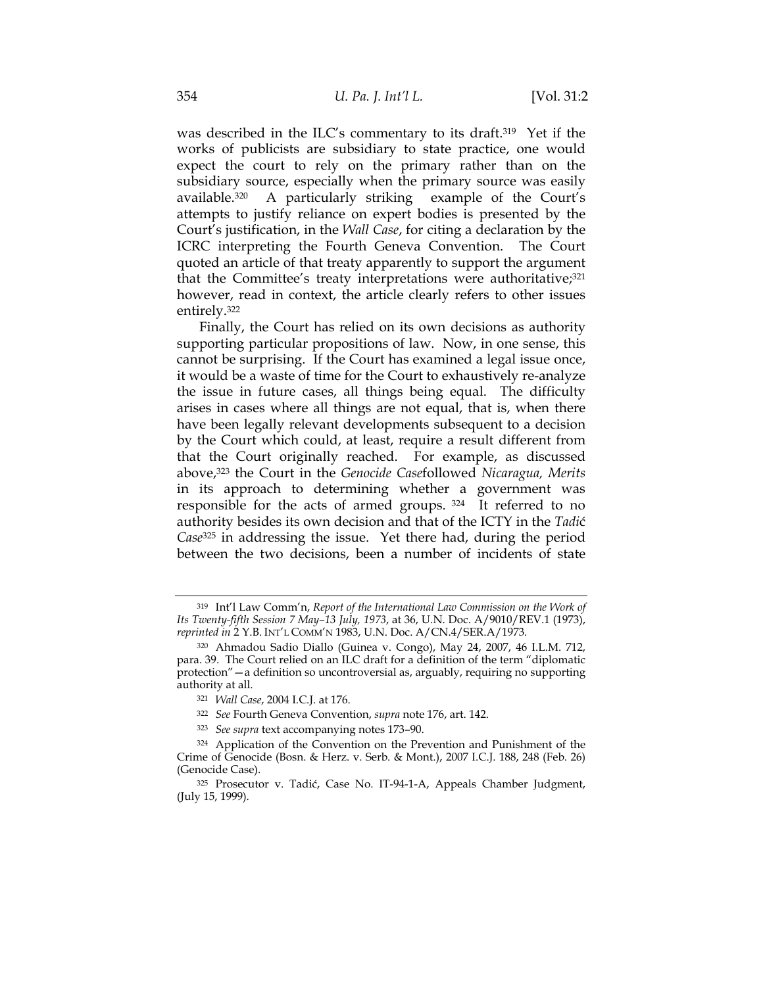was described in the ILC's commentary to its draft.319 Yet if the works of publicists are subsidiary to state practice, one would expect the court to rely on the primary rather than on the subsidiary source, especially when the primary source was easily available.320 A particularly striking example of the Court's attempts to justify reliance on expert bodies is presented by the Court's justification, in the *Wall Case*, for citing a declaration by the ICRC interpreting the Fourth Geneva Convention. The Court quoted an article of that treaty apparently to support the argument that the Committee's treaty interpretations were authoritative; $321$ however, read in context, the article clearly refers to other issues entirely.322

Finally, the Court has relied on its own decisions as authority supporting particular propositions of law. Now, in one sense, this cannot be surprising. If the Court has examined a legal issue once, it would be a waste of time for the Court to exhaustively re-analyze the issue in future cases, all things being equal. The difficulty arises in cases where all things are not equal, that is, when there have been legally relevant developments subsequent to a decision by the Court which could, at least, require a result different from that the Court originally reached. For example, as discussed above,323 the Court in the *Genocide Case*followed *Nicaragua, Merits* in its approach to determining whether a government was responsible for the acts of armed groups. 324 It referred to no authority besides its own decision and that of the ICTY in the *Tadi*ć *Case*325 in addressing the issue. Yet there had, during the period between the two decisions, been a number of incidents of state

<sup>319</sup> Int'l Law Comm'n, *Report of the International Law Commission on the Work of Its Twenty-fifth Session 7 May–13 July, 1973*, at 36, U.N. Doc. A/9010/REV.1 (1973), *reprinted in* 2 Y.B. INT'L COMM'N 1983, U.N. Doc. A/CN.4/SER.A/1973.

<sup>320</sup> Ahmadou Sadio Diallo (Guinea v. Congo), May 24, 2007, 46 I.L.M. 712, para. 39. The Court relied on an ILC draft for a definition of the term "diplomatic protection"—a definition so uncontroversial as, arguably, requiring no supporting authority at all.

<sup>321</sup> *Wall Case*, 2004 I.C.J. at 176.

<sup>322</sup> *See* Fourth Geneva Convention, *supra* note 176, art. 142.

<sup>323</sup> *See supra* text accompanying notes 173–90.

<sup>324</sup> Application of the Convention on the Prevention and Punishment of the Crime of Genocide (Bosn. & Herz. v. Serb. & Mont.), 2007 I.C.J. 188, 248 (Feb. 26) (Genocide Case).

<sup>325</sup> Prosecutor v. Tadić, Case No. IT-94-1-A, Appeals Chamber Judgment, (July 15, 1999).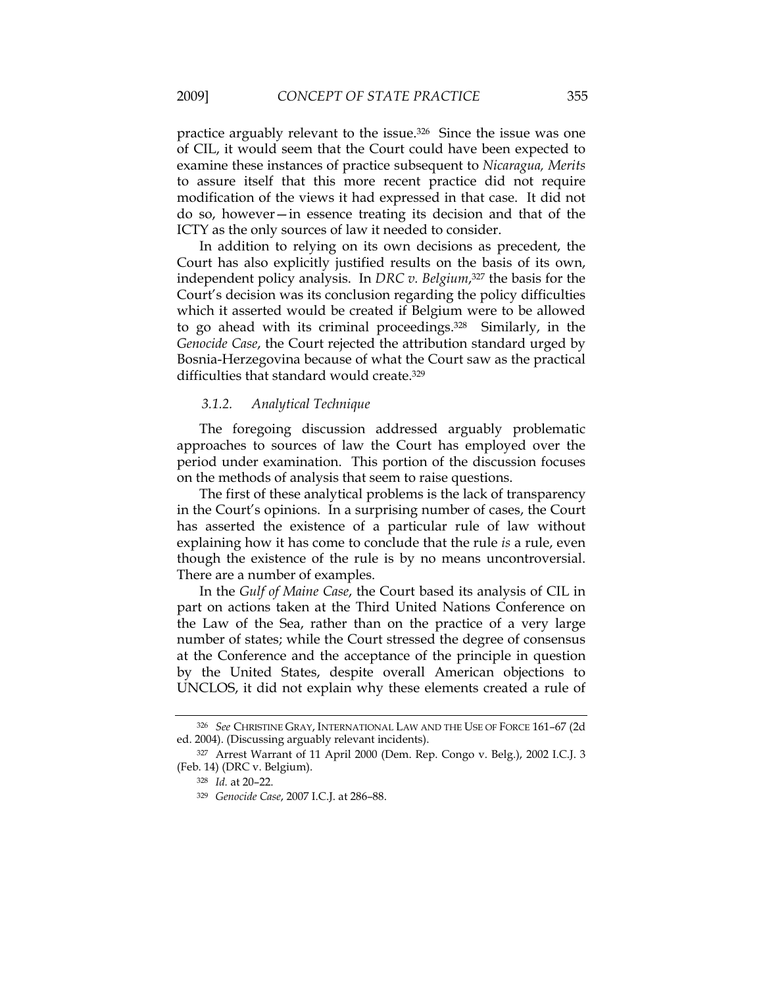practice arguably relevant to the issue.326 Since the issue was one of CIL, it would seem that the Court could have been expected to examine these instances of practice subsequent to *Nicaragua, Merits* to assure itself that this more recent practice did not require modification of the views it had expressed in that case. It did not do so, however—in essence treating its decision and that of the ICTY as the only sources of law it needed to consider.

In addition to relying on its own decisions as precedent, the Court has also explicitly justified results on the basis of its own, independent policy analysis. In *DRC v. Belgium*,<sup>327</sup> the basis for the Court's decision was its conclusion regarding the policy difficulties which it asserted would be created if Belgium were to be allowed to go ahead with its criminal proceedings.328 Similarly, in the *Genocide Case*, the Court rejected the attribution standard urged by Bosnia-Herzegovina because of what the Court saw as the practical difficulties that standard would create.329

# *3.1.2. Analytical Technique*

The foregoing discussion addressed arguably problematic approaches to sources of law the Court has employed over the period under examination. This portion of the discussion focuses on the methods of analysis that seem to raise questions.

The first of these analytical problems is the lack of transparency in the Court's opinions. In a surprising number of cases, the Court has asserted the existence of a particular rule of law without explaining how it has come to conclude that the rule *is* a rule, even though the existence of the rule is by no means uncontroversial. There are a number of examples.

In the *Gulf of Maine Case*, the Court based its analysis of CIL in part on actions taken at the Third United Nations Conference on the Law of the Sea, rather than on the practice of a very large number of states; while the Court stressed the degree of consensus at the Conference and the acceptance of the principle in question by the United States, despite overall American objections to UNCLOS, it did not explain why these elements created a rule of

<sup>326</sup> *See* CHRISTINE GRAY, INTERNATIONAL LAW AND THE USE OF FORCE 161–67 (2d ed. 2004). (Discussing arguably relevant incidents).

<sup>327</sup> Arrest Warrant of 11 April 2000 (Dem. Rep. Congo v. Belg.), 2002 I.C.J. 3 (Feb. 14) (DRC v. Belgium).

<sup>328</sup> *Id.* at 20–22.

<sup>329</sup> *Genocide Case*, 2007 I.C.J. at 286–88.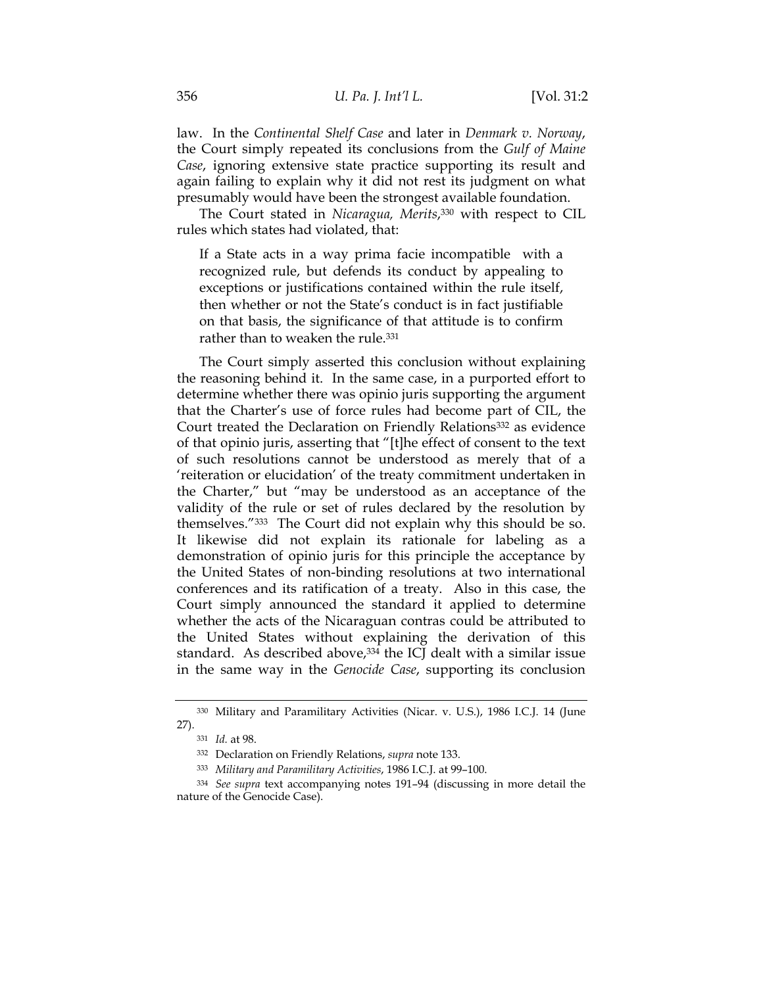law. In the *Continental Shelf Case* and later in *Denmark v. Norway*, the Court simply repeated its conclusions from the *Gulf of Maine Case*, ignoring extensive state practice supporting its result and again failing to explain why it did not rest its judgment on what presumably would have been the strongest available foundation.

The Court stated in *Nicaragua, Merits*,330 with respect to CIL rules which states had violated, that:

If a State acts in a way prima facie incompatible with a recognized rule, but defends its conduct by appealing to exceptions or justifications contained within the rule itself, then whether or not the State's conduct is in fact justifiable on that basis, the significance of that attitude is to confirm rather than to weaken the rule.<sup>331</sup>

The Court simply asserted this conclusion without explaining the reasoning behind it. In the same case, in a purported effort to determine whether there was opinio juris supporting the argument that the Charter's use of force rules had become part of CIL, the Court treated the Declaration on Friendly Relations<sup>332</sup> as evidence of that opinio juris, asserting that "[t]he effect of consent to the text of such resolutions cannot be understood as merely that of a 'reiteration or elucidation' of the treaty commitment undertaken in the Charter," but "may be understood as an acceptance of the validity of the rule or set of rules declared by the resolution by themselves."333 The Court did not explain why this should be so. It likewise did not explain its rationale for labeling as a demonstration of opinio juris for this principle the acceptance by the United States of non-binding resolutions at two international conferences and its ratification of a treaty. Also in this case, the Court simply announced the standard it applied to determine whether the acts of the Nicaraguan contras could be attributed to the United States without explaining the derivation of this standard. As described above,<sup>334</sup> the ICJ dealt with a similar issue in the same way in the *Genocide Case*, supporting its conclusion

<sup>330</sup> Military and Paramilitary Activities (Nicar. v. U.S.), 1986 I.C.J. 14 (June 27).

<sup>331</sup> *Id.* at 98.

<sup>332</sup> Declaration on Friendly Relations, *supra* note 133.

<sup>333</sup> *Military and Paramilitary Activities*, 1986 I.C.J. at 99–100.

<sup>334</sup> *See supra* text accompanying notes 191–94 (discussing in more detail the nature of the Genocide Case).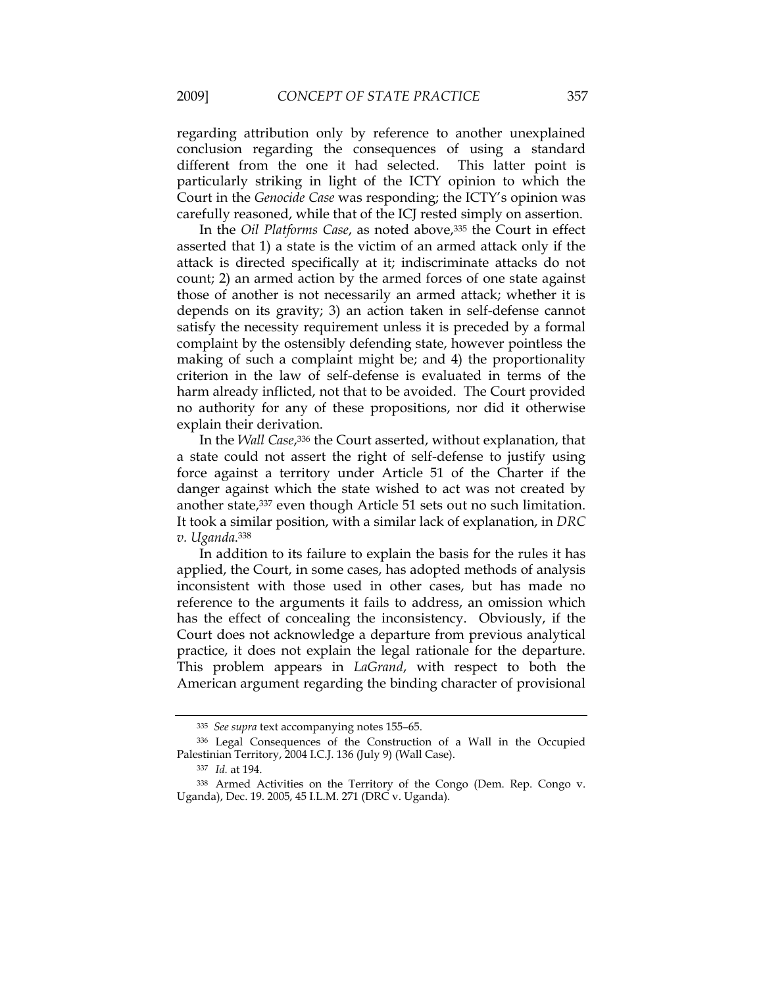regarding attribution only by reference to another unexplained conclusion regarding the consequences of using a standard different from the one it had selected. This latter point is particularly striking in light of the ICTY opinion to which the Court in the *Genocide Case* was responding; the ICTY's opinion was carefully reasoned, while that of the ICJ rested simply on assertion.

In the *Oil Platforms Case*, as noted above,335 the Court in effect asserted that 1) a state is the victim of an armed attack only if the attack is directed specifically at it; indiscriminate attacks do not count; 2) an armed action by the armed forces of one state against those of another is not necessarily an armed attack; whether it is depends on its gravity; 3) an action taken in self-defense cannot satisfy the necessity requirement unless it is preceded by a formal complaint by the ostensibly defending state, however pointless the making of such a complaint might be; and 4) the proportionality criterion in the law of self-defense is evaluated in terms of the harm already inflicted, not that to be avoided. The Court provided no authority for any of these propositions, nor did it otherwise explain their derivation.

In the *Wall Case*,336 the Court asserted, without explanation, that a state could not assert the right of self-defense to justify using force against a territory under Article 51 of the Charter if the danger against which the state wished to act was not created by another state,337 even though Article 51 sets out no such limitation. It took a similar position, with a similar lack of explanation, in *DRC v. Uganda*.338

In addition to its failure to explain the basis for the rules it has applied, the Court, in some cases, has adopted methods of analysis inconsistent with those used in other cases, but has made no reference to the arguments it fails to address, an omission which has the effect of concealing the inconsistency. Obviously, if the Court does not acknowledge a departure from previous analytical practice, it does not explain the legal rationale for the departure. This problem appears in *LaGrand*, with respect to both the American argument regarding the binding character of provisional

 <sup>335</sup> *See supra* text accompanying notes 155–65.

<sup>336</sup> Legal Consequences of the Construction of a Wall in the Occupied Palestinian Territory, 2004 I.C.J. 136 (July 9) (Wall Case).

<sup>337</sup> *Id.* at 194.

<sup>338</sup> Armed Activities on the Territory of the Congo (Dem. Rep. Congo v. Uganda), Dec. 19. 2005, 45 I.L.M. 271 (DRC v. Uganda).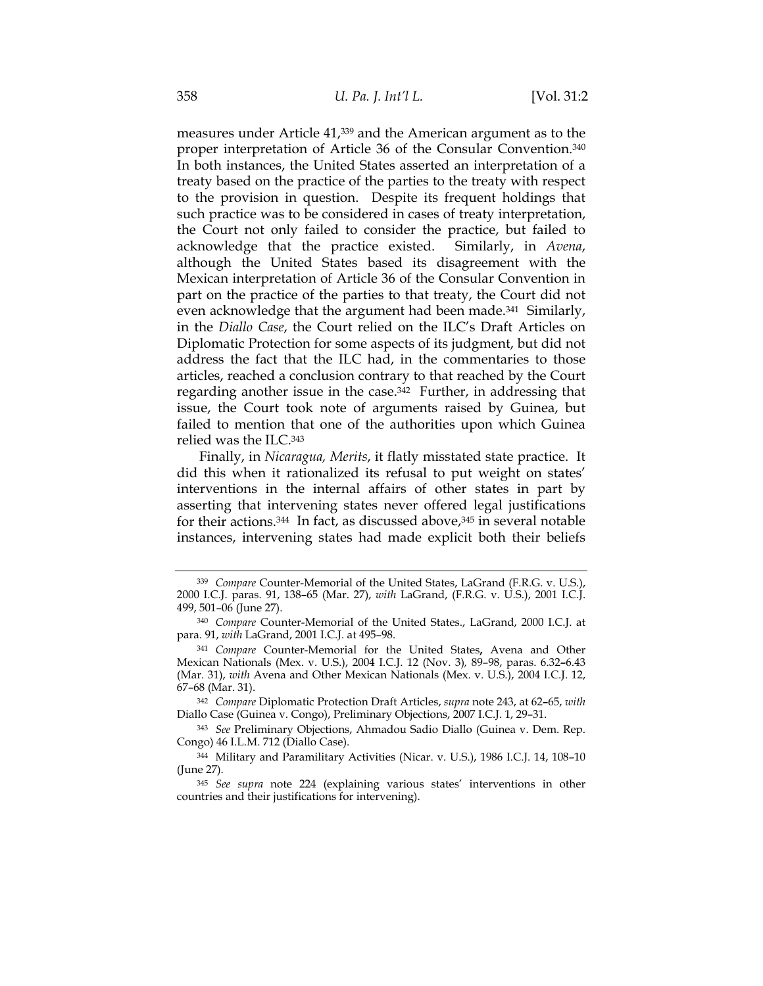measures under Article 41,339 and the American argument as to the proper interpretation of Article 36 of the Consular Convention.340 In both instances, the United States asserted an interpretation of a treaty based on the practice of the parties to the treaty with respect to the provision in question. Despite its frequent holdings that such practice was to be considered in cases of treaty interpretation, the Court not only failed to consider the practice, but failed to acknowledge that the practice existed. Similarly, in *Avena*, although the United States based its disagreement with the Mexican interpretation of Article 36 of the Consular Convention in part on the practice of the parties to that treaty, the Court did not even acknowledge that the argument had been made.<sup>341</sup> Similarly, in the *Diallo Case*, the Court relied on the ILC's Draft Articles on Diplomatic Protection for some aspects of its judgment, but did not address the fact that the ILC had, in the commentaries to those articles, reached a conclusion contrary to that reached by the Court regarding another issue in the case.342 Further, in addressing that issue, the Court took note of arguments raised by Guinea, but failed to mention that one of the authorities upon which Guinea relied was the ILC.343

Finally, in *Nicaragua, Merits*, it flatly misstated state practice. It did this when it rationalized its refusal to put weight on states' interventions in the internal affairs of other states in part by asserting that intervening states never offered legal justifications for their actions. $344$  In fact, as discussed above, $345$  in several notable instances, intervening states had made explicit both their beliefs

<sup>342</sup> *Compare* Diplomatic Protection Draft Articles, *supra* note 243, at 62**–**65, *with* Diallo Case (Guinea v. Congo), Preliminary Objections, 2007 I.C.J. 1, 29–31.

<sup>343</sup> *See* Preliminary Objections, Ahmadou Sadio Diallo (Guinea v. Dem. Rep. Congo) 46 I.L.M. 712 (Diallo Case).

<sup>339</sup> *Compare* Counter-Memorial of the United States, LaGrand (F.R.G. v. U.S.), 2000 I.C.J. paras. 91, 138**–**65 (Mar. 27), *with* LaGrand, (F.R.G. v. U.S.), 2001 I.C.J. 499, 501–06 (June 27).

<sup>340</sup> *Compare* Counter-Memorial of the United States., LaGrand, 2000 I.C.J. at para. 91, *with* LaGrand, 2001 I.C.J. at 495–98.

<sup>341</sup> *Compare* Counter-Memorial for the United States**,** Avena and Other Mexican Nationals (Mex. v. U.S.), 2004 I.C.J. 12 (Nov. 3)*,* 89–98, paras. 6.32**–**6.43 (Mar. 31), *with* Avena and Other Mexican Nationals (Mex. v. U.S.), 2004 I.C.J. 12, 67–68 (Mar. 31).

<sup>344</sup> Military and Paramilitary Activities (Nicar. v. U.S.), 1986 I.C.J. 14, 108–10 (June 27).

<sup>345</sup> *See supra* note 224 (explaining various states' interventions in other countries and their justifications for intervening).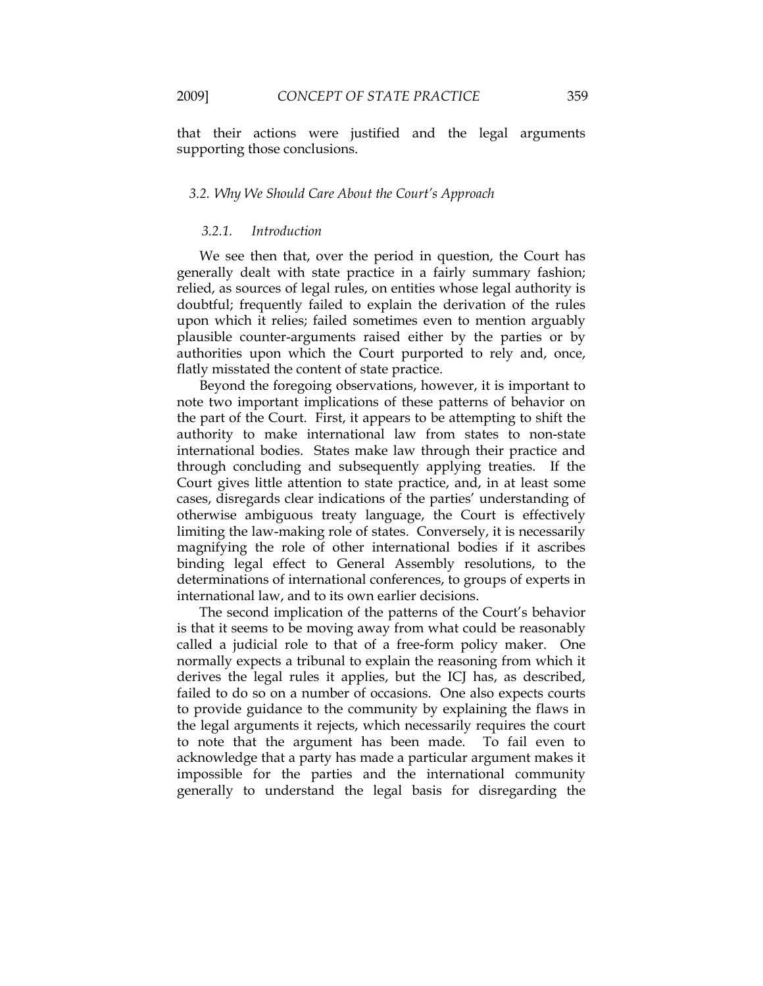that their actions were justified and the legal arguments supporting those conclusions.

#### *3.2. Why We Should Care About the Court's Approach*

# *3.2.1. Introduction*

We see then that, over the period in question, the Court has generally dealt with state practice in a fairly summary fashion; relied, as sources of legal rules, on entities whose legal authority is doubtful; frequently failed to explain the derivation of the rules upon which it relies; failed sometimes even to mention arguably plausible counter-arguments raised either by the parties or by authorities upon which the Court purported to rely and, once, flatly misstated the content of state practice.

Beyond the foregoing observations, however, it is important to note two important implications of these patterns of behavior on the part of the Court. First, it appears to be attempting to shift the authority to make international law from states to non-state international bodies. States make law through their practice and through concluding and subsequently applying treaties. If the Court gives little attention to state practice, and, in at least some cases, disregards clear indications of the parties' understanding of otherwise ambiguous treaty language, the Court is effectively limiting the law-making role of states. Conversely, it is necessarily magnifying the role of other international bodies if it ascribes binding legal effect to General Assembly resolutions, to the determinations of international conferences, to groups of experts in international law, and to its own earlier decisions.

The second implication of the patterns of the Court's behavior is that it seems to be moving away from what could be reasonably called a judicial role to that of a free-form policy maker. One normally expects a tribunal to explain the reasoning from which it derives the legal rules it applies, but the ICJ has, as described, failed to do so on a number of occasions. One also expects courts to provide guidance to the community by explaining the flaws in the legal arguments it rejects, which necessarily requires the court to note that the argument has been made. To fail even to acknowledge that a party has made a particular argument makes it impossible for the parties and the international community generally to understand the legal basis for disregarding the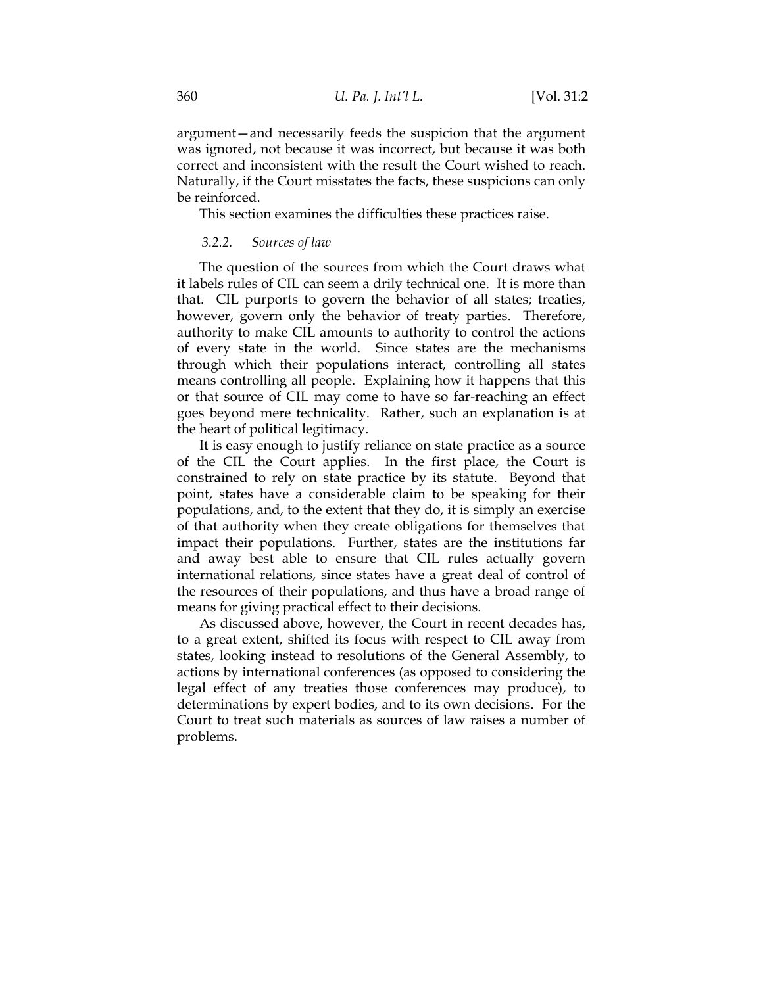argument—and necessarily feeds the suspicion that the argument was ignored, not because it was incorrect, but because it was both correct and inconsistent with the result the Court wished to reach. Naturally, if the Court misstates the facts, these suspicions can only be reinforced.

This section examines the difficulties these practices raise.

# *3.2.2. Sources of law*

The question of the sources from which the Court draws what it labels rules of CIL can seem a drily technical one. It is more than that. CIL purports to govern the behavior of all states; treaties, however, govern only the behavior of treaty parties. Therefore, authority to make CIL amounts to authority to control the actions of every state in the world. Since states are the mechanisms through which their populations interact, controlling all states means controlling all people. Explaining how it happens that this or that source of CIL may come to have so far-reaching an effect goes beyond mere technicality. Rather, such an explanation is at the heart of political legitimacy.

It is easy enough to justify reliance on state practice as a source of the CIL the Court applies. In the first place, the Court is constrained to rely on state practice by its statute. Beyond that point, states have a considerable claim to be speaking for their populations, and, to the extent that they do, it is simply an exercise of that authority when they create obligations for themselves that impact their populations. Further, states are the institutions far and away best able to ensure that CIL rules actually govern international relations, since states have a great deal of control of the resources of their populations, and thus have a broad range of means for giving practical effect to their decisions.

As discussed above, however, the Court in recent decades has, to a great extent, shifted its focus with respect to CIL away from states, looking instead to resolutions of the General Assembly, to actions by international conferences (as opposed to considering the legal effect of any treaties those conferences may produce), to determinations by expert bodies, and to its own decisions. For the Court to treat such materials as sources of law raises a number of problems.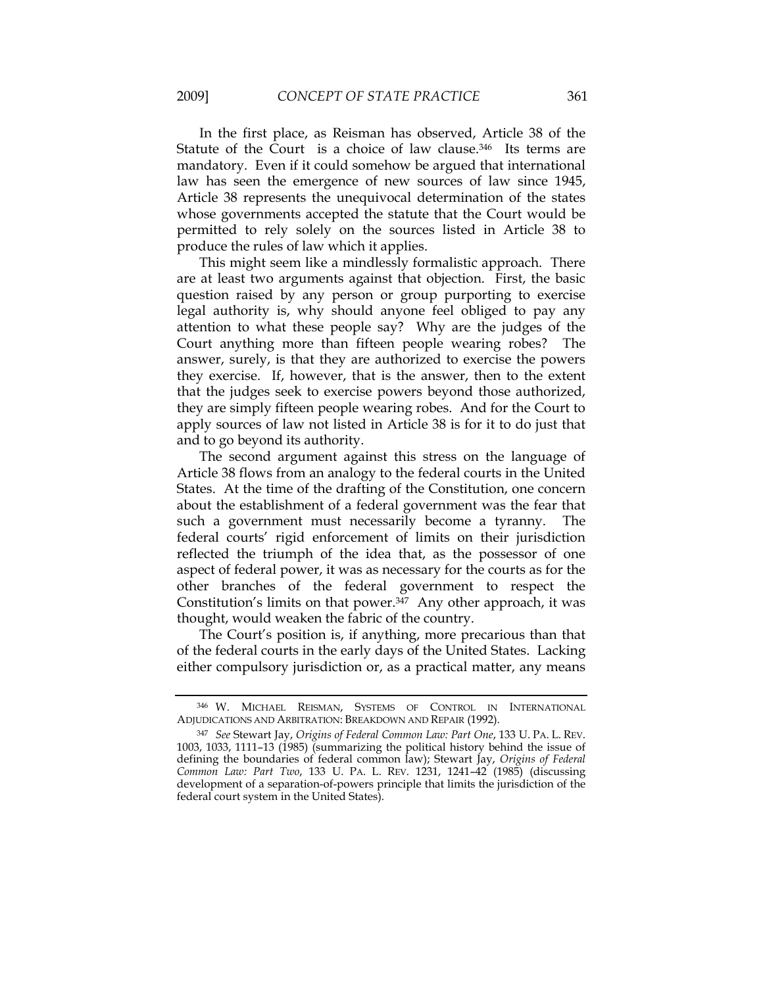In the first place, as Reisman has observed, Article 38 of the Statute of the Court is a choice of law clause.<sup>346</sup> Its terms are mandatory. Even if it could somehow be argued that international law has seen the emergence of new sources of law since 1945, Article 38 represents the unequivocal determination of the states whose governments accepted the statute that the Court would be permitted to rely solely on the sources listed in Article 38 to produce the rules of law which it applies.

This might seem like a mindlessly formalistic approach. There are at least two arguments against that objection. First, the basic question raised by any person or group purporting to exercise legal authority is, why should anyone feel obliged to pay any attention to what these people say? Why are the judges of the Court anything more than fifteen people wearing robes? The answer, surely, is that they are authorized to exercise the powers they exercise. If, however, that is the answer, then to the extent that the judges seek to exercise powers beyond those authorized, they are simply fifteen people wearing robes. And for the Court to apply sources of law not listed in Article 38 is for it to do just that and to go beyond its authority.

The second argument against this stress on the language of Article 38 flows from an analogy to the federal courts in the United States. At the time of the drafting of the Constitution, one concern about the establishment of a federal government was the fear that such a government must necessarily become a tyranny. The federal courts' rigid enforcement of limits on their jurisdiction reflected the triumph of the idea that, as the possessor of one aspect of federal power, it was as necessary for the courts as for the other branches of the federal government to respect the Constitution's limits on that power.<sup>347</sup> Any other approach, it was thought, would weaken the fabric of the country.

The Court's position is, if anything, more precarious than that of the federal courts in the early days of the United States. Lacking either compulsory jurisdiction or, as a practical matter, any means

<sup>346</sup> W. MICHAEL REISMAN, SYSTEMS OF CONTROL IN INTERNATIONAL ADJUDICATIONS AND ARBITRATION: BREAKDOWN AND REPAIR (1992).

<sup>347</sup> *See* Stewart Jay, *Origins of Federal Common Law: Part One*, 133 U. PA. L. REV. 1003, 1033, 1111–13 (1985) (summarizing the political history behind the issue of defining the boundaries of federal common law); Stewart Jay, *Origins of Federal Common Law: Part Two*, 133 U. PA. L. REV. 1231, 1241–42 (1985) (discussing development of a separation-of-powers principle that limits the jurisdiction of the federal court system in the United States).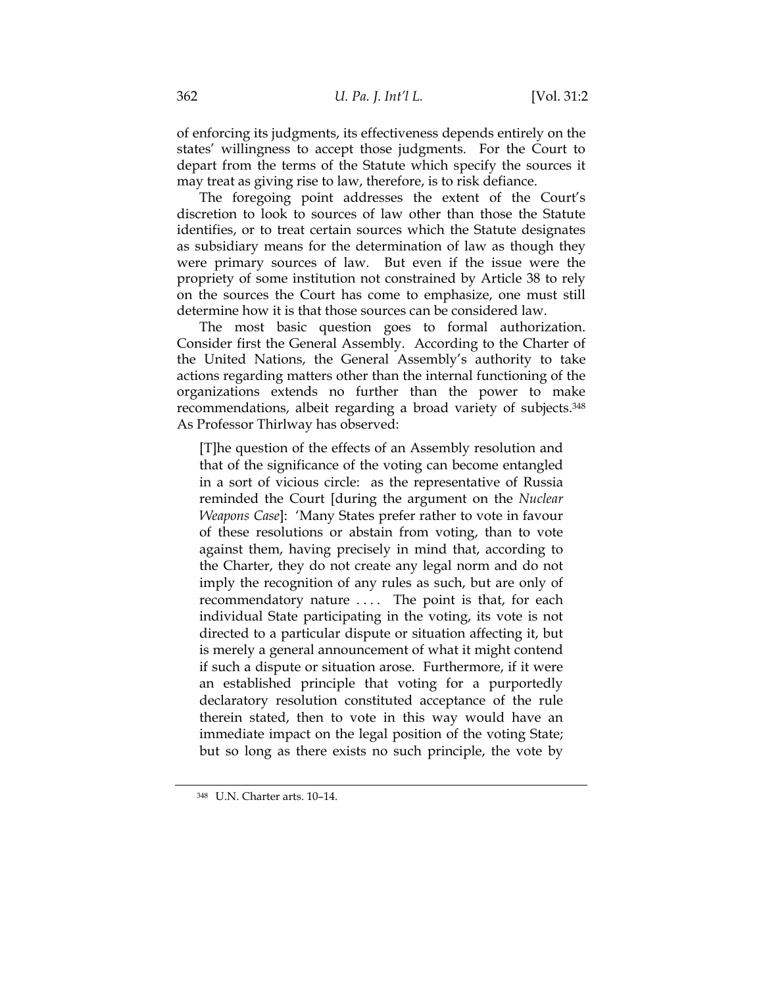of enforcing its judgments, its effectiveness depends entirely on the states' willingness to accept those judgments. For the Court to depart from the terms of the Statute which specify the sources it may treat as giving rise to law, therefore, is to risk defiance.

The foregoing point addresses the extent of the Court's discretion to look to sources of law other than those the Statute identifies, or to treat certain sources which the Statute designates as subsidiary means for the determination of law as though they were primary sources of law. But even if the issue were the propriety of some institution not constrained by Article 38 to rely on the sources the Court has come to emphasize, one must still determine how it is that those sources can be considered law.

The most basic question goes to formal authorization. Consider first the General Assembly. According to the Charter of the United Nations, the General Assembly's authority to take actions regarding matters other than the internal functioning of the organizations extends no further than the power to make recommendations, albeit regarding a broad variety of subjects.348 As Professor Thirlway has observed:

[T]he question of the effects of an Assembly resolution and that of the significance of the voting can become entangled in a sort of vicious circle: as the representative of Russia reminded the Court [during the argument on the *Nuclear Weapons Case*]: 'Many States prefer rather to vote in favour of these resolutions or abstain from voting, than to vote against them, having precisely in mind that, according to the Charter, they do not create any legal norm and do not imply the recognition of any rules as such, but are only of recommendatory nature .... The point is that, for each individual State participating in the voting, its vote is not directed to a particular dispute or situation affecting it, but is merely a general announcement of what it might contend if such a dispute or situation arose. Furthermore, if it were an established principle that voting for a purportedly declaratory resolution constituted acceptance of the rule therein stated, then to vote in this way would have an immediate impact on the legal position of the voting State; but so long as there exists no such principle, the vote by

<sup>348</sup> U.N. Charter arts. 10–14.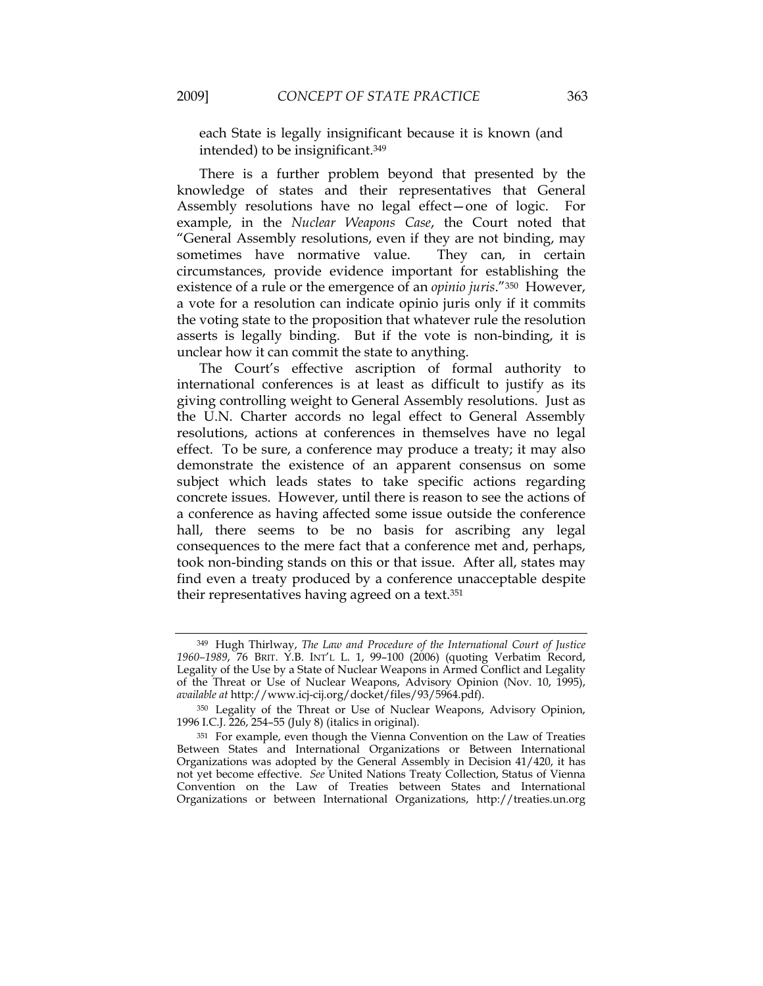each State is legally insignificant because it is known (and intended) to be insignificant.349

There is a further problem beyond that presented by the knowledge of states and their representatives that General Assembly resolutions have no legal effect—one of logic. For example, in the *Nuclear Weapons Case*, the Court noted that "General Assembly resolutions, even if they are not binding, may sometimes have normative value. They can, in certain circumstances, provide evidence important for establishing the existence of a rule or the emergence of an *opinio juris*."350 However, a vote for a resolution can indicate opinio juris only if it commits the voting state to the proposition that whatever rule the resolution asserts is legally binding. But if the vote is non-binding, it is unclear how it can commit the state to anything.

The Court's effective ascription of formal authority to international conferences is at least as difficult to justify as its giving controlling weight to General Assembly resolutions. Just as the U.N. Charter accords no legal effect to General Assembly resolutions, actions at conferences in themselves have no legal effect. To be sure, a conference may produce a treaty; it may also demonstrate the existence of an apparent consensus on some subject which leads states to take specific actions regarding concrete issues. However, until there is reason to see the actions of a conference as having affected some issue outside the conference hall, there seems to be no basis for ascribing any legal consequences to the mere fact that a conference met and, perhaps, took non-binding stands on this or that issue. After all, states may find even a treaty produced by a conference unacceptable despite their representatives having agreed on a text.351

<sup>349</sup> Hugh Thirlway, *The Law and Procedure of the International Court of Justice 1960–1989*, 76 BRIT. Y.B. INT'L L. 1, 99–100 (2006) (quoting Verbatim Record, Legality of the Use by a State of Nuclear Weapons in Armed Conflict and Legality of the Threat or Use of Nuclear Weapons, Advisory Opinion (Nov. 10, 1995), *available at* http://www.icj-cij.org/docket/files/93/5964.pdf).

<sup>350</sup> Legality of the Threat or Use of Nuclear Weapons, Advisory Opinion, 1996 I.C.J. 226, 254–55 (July 8) (italics in original).

<sup>351</sup> For example, even though the Vienna Convention on the Law of Treaties Between States and International Organizations or Between International Organizations was adopted by the General Assembly in Decision 41/420, it has not yet become effective. *See* United Nations Treaty Collection, Status of Vienna Convention on the Law of Treaties between States and International Organizations or between International Organizations, http://treaties.un.org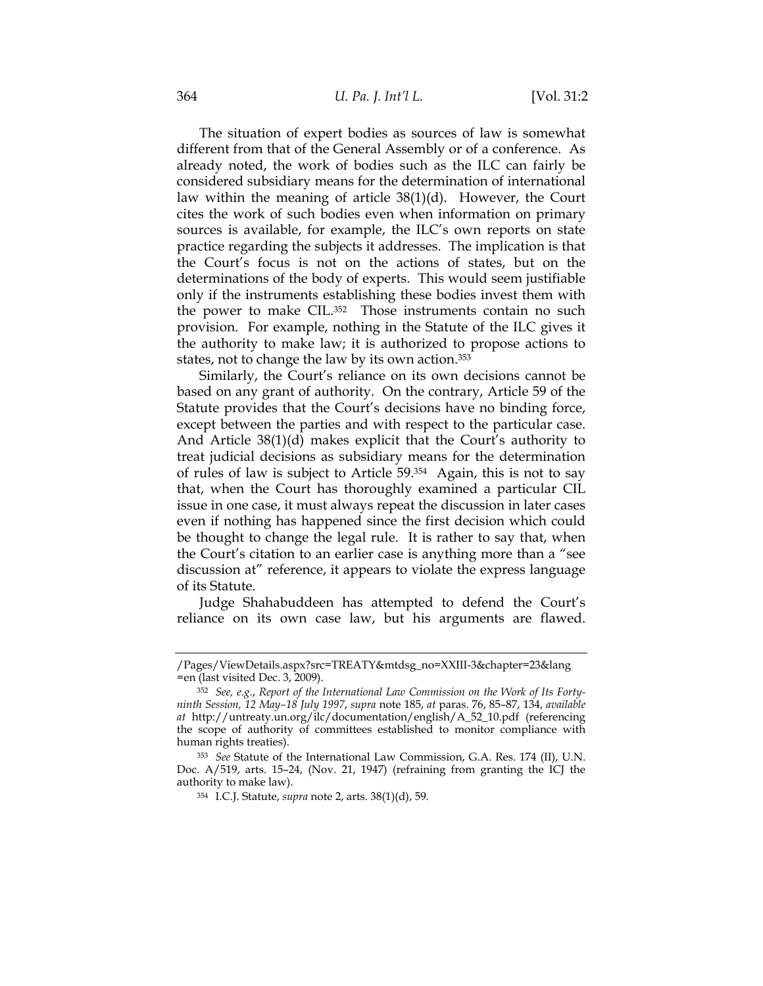The situation of expert bodies as sources of law is somewhat different from that of the General Assembly or of a conference. As already noted, the work of bodies such as the ILC can fairly be considered subsidiary means for the determination of international law within the meaning of article 38(1)(d). However, the Court cites the work of such bodies even when information on primary sources is available, for example, the ILC's own reports on state practice regarding the subjects it addresses. The implication is that the Court's focus is not on the actions of states, but on the determinations of the body of experts. This would seem justifiable only if the instruments establishing these bodies invest them with the power to make CIL.<sup>352</sup> Those instruments contain no such provision. For example, nothing in the Statute of the ILC gives it the authority to make law; it is authorized to propose actions to states, not to change the law by its own action.<sup>353</sup>

Similarly, the Court's reliance on its own decisions cannot be based on any grant of authority. On the contrary, Article 59 of the Statute provides that the Court's decisions have no binding force, except between the parties and with respect to the particular case. And Article 38(1)(d) makes explicit that the Court's authority to treat judicial decisions as subsidiary means for the determination of rules of law is subject to Article 59.354 Again, this is not to say that, when the Court has thoroughly examined a particular CIL issue in one case, it must always repeat the discussion in later cases even if nothing has happened since the first decision which could be thought to change the legal rule. It is rather to say that, when the Court's citation to an earlier case is anything more than a "see discussion at" reference, it appears to violate the express language of its Statute.

Judge Shahabuddeen has attempted to defend the Court's reliance on its own case law, but his arguments are flawed.

<sup>/</sup>Pages/ViewDetails.aspx?src=TREATY&mtdsg\_no=XXIII-3&chapter=23&lang =en (last visited Dec. 3, 2009).

<sup>352</sup> *See, e.g.*, *Report of the International Law Commission on the Work of Its Fortyninth Session, 12 May–18 July 1997*, *supra* note 185, *at* paras. 76, 85–87, 134, *available at* http://untreaty.un.org/ilc/documentation/english/A\_52\_10.pdf (referencing the scope of authority of committees established to monitor compliance with human rights treaties).

<sup>353</sup> *See* Statute of the International Law Commission, G.A. Res. 174 (II), U.N. Doc. A/519, arts. 15–24, (Nov. 21, 1947) (refraining from granting the ICJ the authority to make law).

<sup>354</sup> I.C.J. Statute, *supra* note 2, arts. 38(1)(d), 59.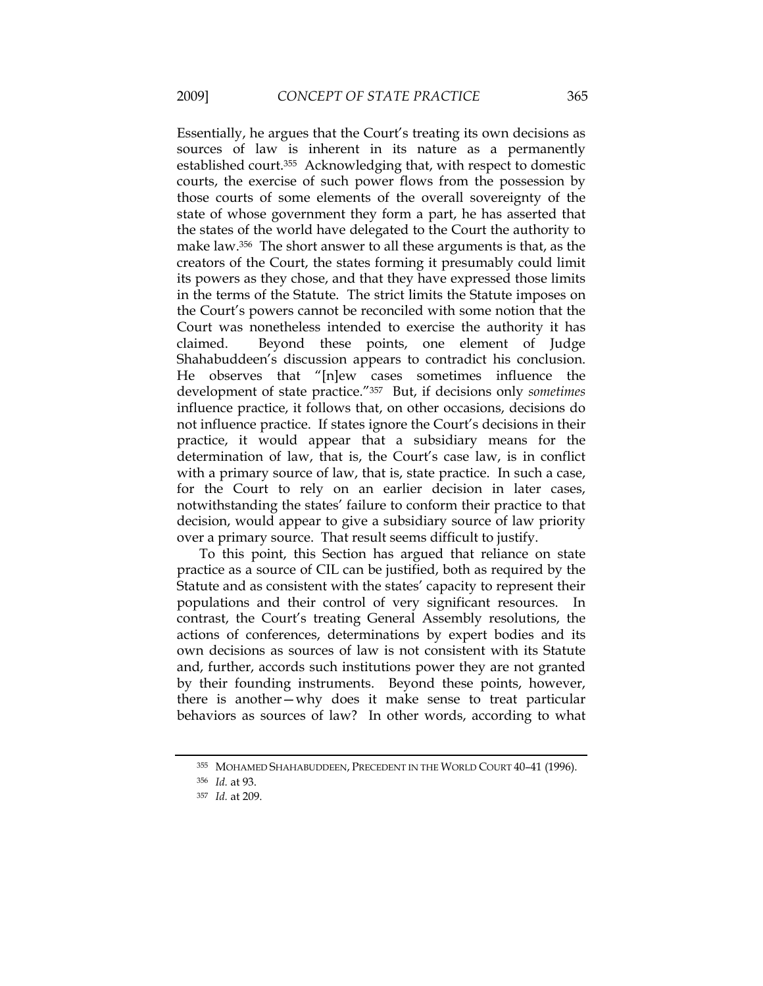Essentially, he argues that the Court's treating its own decisions as sources of law is inherent in its nature as a permanently established court.355 Acknowledging that, with respect to domestic courts, the exercise of such power flows from the possession by those courts of some elements of the overall sovereignty of the state of whose government they form a part, he has asserted that the states of the world have delegated to the Court the authority to make law.356 The short answer to all these arguments is that, as the creators of the Court, the states forming it presumably could limit its powers as they chose, and that they have expressed those limits in the terms of the Statute. The strict limits the Statute imposes on the Court's powers cannot be reconciled with some notion that the Court was nonetheless intended to exercise the authority it has claimed. Beyond these points, one element of Judge Shahabuddeen's discussion appears to contradict his conclusion. He observes that "[n]ew cases sometimes influence the development of state practice."357 But, if decisions only *sometimes* influence practice, it follows that, on other occasions, decisions do not influence practice. If states ignore the Court's decisions in their practice, it would appear that a subsidiary means for the determination of law, that is, the Court's case law, is in conflict with a primary source of law, that is, state practice. In such a case, for the Court to rely on an earlier decision in later cases, notwithstanding the states' failure to conform their practice to that decision, would appear to give a subsidiary source of law priority over a primary source. That result seems difficult to justify.

To this point, this Section has argued that reliance on state practice as a source of CIL can be justified, both as required by the Statute and as consistent with the states' capacity to represent their populations and their control of very significant resources. In contrast, the Court's treating General Assembly resolutions, the actions of conferences, determinations by expert bodies and its own decisions as sources of law is not consistent with its Statute and, further, accords such institutions power they are not granted by their founding instruments. Beyond these points, however, there is another—why does it make sense to treat particular behaviors as sources of law? In other words, according to what

<sup>355</sup> MOHAMED SHAHABUDDEEN, PRECEDENT IN THE WORLD COURT 40–41 (1996).

<sup>356</sup> *Id.* at 93.

<sup>357</sup> *Id.* at 209.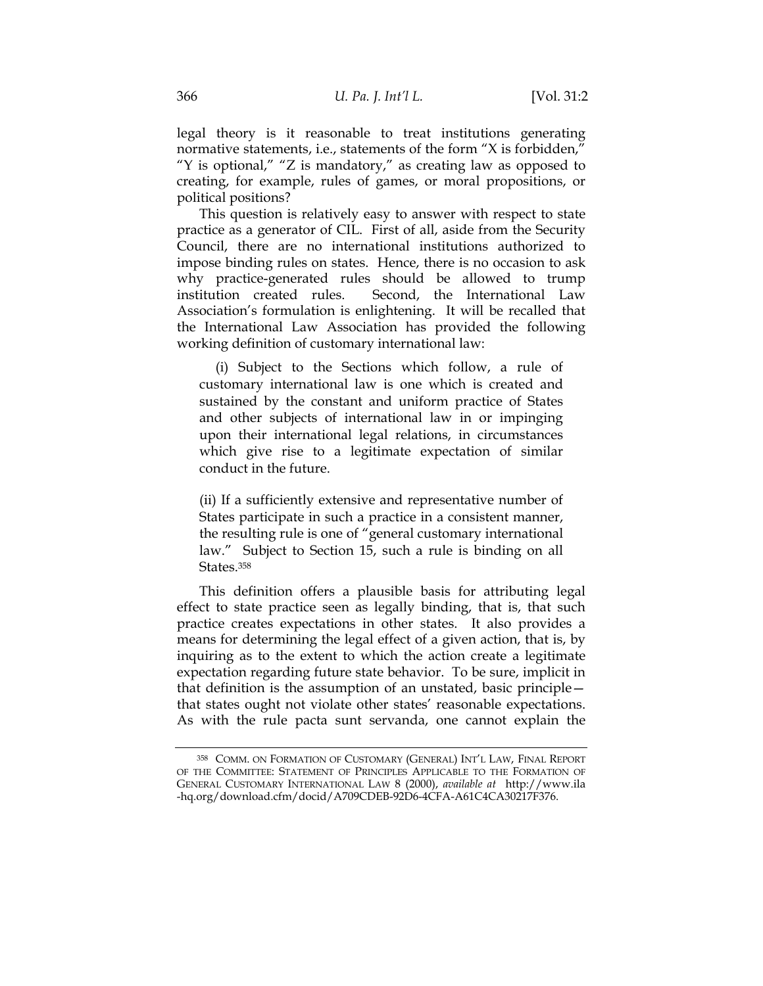legal theory is it reasonable to treat institutions generating normative statements, i.e., statements of the form "X is forbidden," "Y is optional," "Z is mandatory," as creating law as opposed to creating, for example, rules of games, or moral propositions, or political positions?

This question is relatively easy to answer with respect to state practice as a generator of CIL. First of all, aside from the Security Council, there are no international institutions authorized to impose binding rules on states. Hence, there is no occasion to ask why practice-generated rules should be allowed to trump institution created rules. Second, the International Law Association's formulation is enlightening. It will be recalled that the International Law Association has provided the following working definition of customary international law:

 (i) Subject to the Sections which follow, a rule of customary international law is one which is created and sustained by the constant and uniform practice of States and other subjects of international law in or impinging upon their international legal relations, in circumstances which give rise to a legitimate expectation of similar conduct in the future.

(ii) If a sufficiently extensive and representative number of States participate in such a practice in a consistent manner, the resulting rule is one of "general customary international law." Subject to Section 15, such a rule is binding on all States.358

This definition offers a plausible basis for attributing legal effect to state practice seen as legally binding, that is, that such practice creates expectations in other states. It also provides a means for determining the legal effect of a given action, that is, by inquiring as to the extent to which the action create a legitimate expectation regarding future state behavior. To be sure, implicit in that definition is the assumption of an unstated, basic principle that states ought not violate other states' reasonable expectations. As with the rule pacta sunt servanda, one cannot explain the

<sup>358</sup> COMM. ON FORMATION OF CUSTOMARY (GENERAL) INT'L LAW, FINAL REPORT OF THE COMMITTEE: STATEMENT OF PRINCIPLES APPLICABLE TO THE FORMATION OF GENERAL CUSTOMARY INTERNATIONAL LAW 8 (2000), *available at* http://www.ila -hq.org/download.cfm/docid/A709CDEB-92D6-4CFA-A61C4CA30217F376.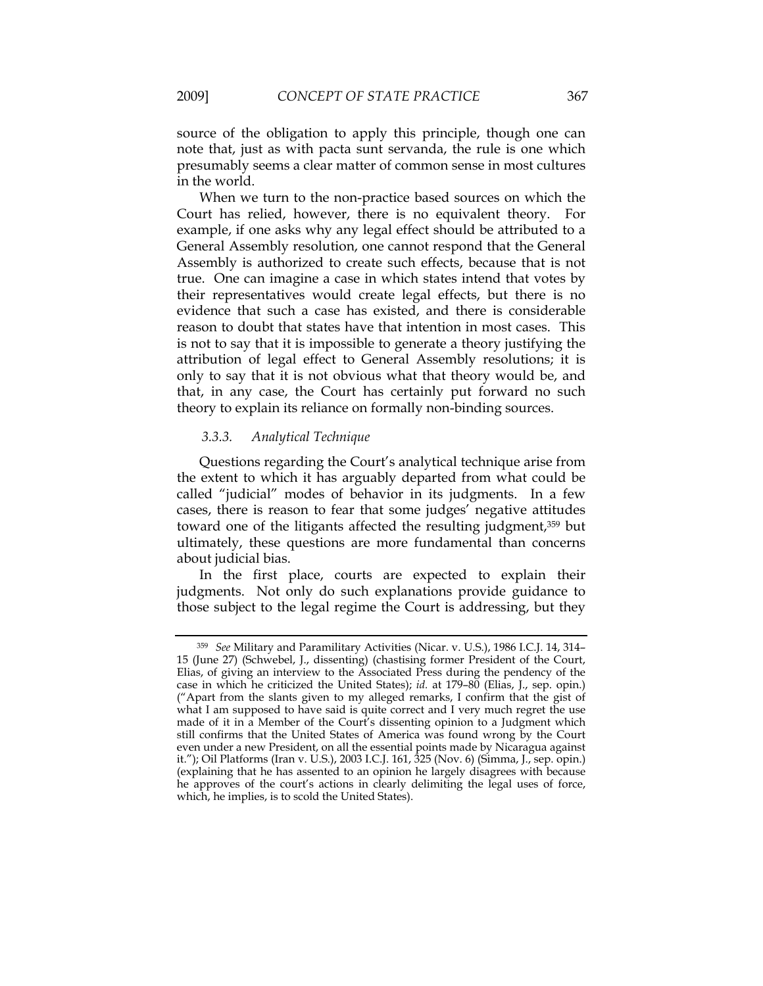source of the obligation to apply this principle, though one can note that, just as with pacta sunt servanda, the rule is one which presumably seems a clear matter of common sense in most cultures in the world.

When we turn to the non-practice based sources on which the Court has relied, however, there is no equivalent theory. For example, if one asks why any legal effect should be attributed to a General Assembly resolution, one cannot respond that the General Assembly is authorized to create such effects, because that is not true. One can imagine a case in which states intend that votes by their representatives would create legal effects, but there is no evidence that such a case has existed, and there is considerable reason to doubt that states have that intention in most cases. This is not to say that it is impossible to generate a theory justifying the attribution of legal effect to General Assembly resolutions; it is only to say that it is not obvious what that theory would be, and that, in any case, the Court has certainly put forward no such theory to explain its reliance on formally non-binding sources.

## *3.3.3. Analytical Technique*

Questions regarding the Court's analytical technique arise from the extent to which it has arguably departed from what could be called "judicial" modes of behavior in its judgments. In a few cases, there is reason to fear that some judges' negative attitudes toward one of the litigants affected the resulting judgment,359 but ultimately, these questions are more fundamental than concerns about judicial bias.

In the first place, courts are expected to explain their judgments. Not only do such explanations provide guidance to those subject to the legal regime the Court is addressing, but they

<sup>359</sup> *See* Military and Paramilitary Activities (Nicar. v. U.S.), 1986 I.C.J. 14, 314– 15 (June 27) (Schwebel, J., dissenting) (chastising former President of the Court, Elias, of giving an interview to the Associated Press during the pendency of the case in which he criticized the United States); *id.* at 179–80 (Elias, J., sep. opin.) ("Apart from the slants given to my alleged remarks, I confirm that the gist of what I am supposed to have said is quite correct and I very much regret the use made of it in a Member of the Court's dissenting opinion to a Judgment which still confirms that the United States of America was found wrong by the Court even under a new President, on all the essential points made by Nicaragua against it."); Oil Platforms (Iran v. U.S.), 2003 I.C.J. 161, 325 (Nov. 6) (Simma, J., sep. opin.) (explaining that he has assented to an opinion he largely disagrees with because he approves of the court's actions in clearly delimiting the legal uses of force, which, he implies, is to scold the United States).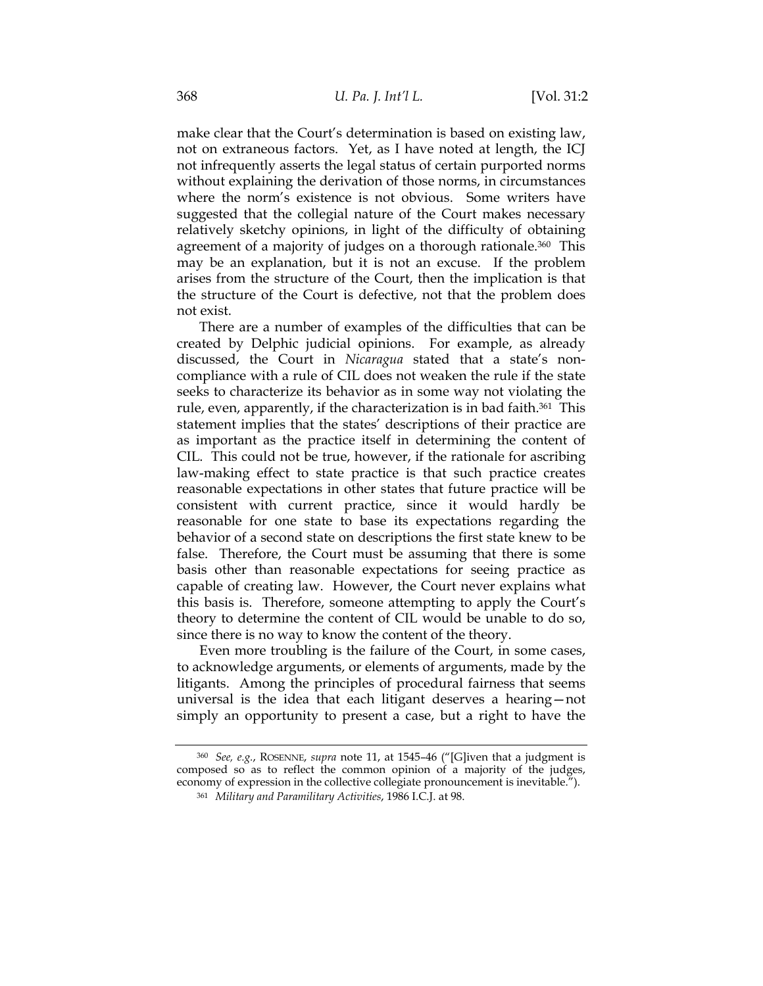make clear that the Court's determination is based on existing law, not on extraneous factors. Yet, as I have noted at length, the ICJ not infrequently asserts the legal status of certain purported norms without explaining the derivation of those norms, in circumstances where the norm's existence is not obvious. Some writers have suggested that the collegial nature of the Court makes necessary relatively sketchy opinions, in light of the difficulty of obtaining agreement of a majority of judges on a thorough rationale.<sup>360</sup> This may be an explanation, but it is not an excuse. If the problem arises from the structure of the Court, then the implication is that the structure of the Court is defective, not that the problem does not exist.

There are a number of examples of the difficulties that can be created by Delphic judicial opinions. For example, as already discussed, the Court in *Nicaragua* stated that a state's noncompliance with a rule of CIL does not weaken the rule if the state seeks to characterize its behavior as in some way not violating the rule, even, apparently, if the characterization is in bad faith.<sup>361</sup> This statement implies that the states' descriptions of their practice are as important as the practice itself in determining the content of CIL. This could not be true, however, if the rationale for ascribing law-making effect to state practice is that such practice creates reasonable expectations in other states that future practice will be consistent with current practice, since it would hardly be reasonable for one state to base its expectations regarding the behavior of a second state on descriptions the first state knew to be false. Therefore, the Court must be assuming that there is some basis other than reasonable expectations for seeing practice as capable of creating law. However, the Court never explains what this basis is. Therefore, someone attempting to apply the Court's theory to determine the content of CIL would be unable to do so, since there is no way to know the content of the theory.

Even more troubling is the failure of the Court, in some cases, to acknowledge arguments, or elements of arguments, made by the litigants. Among the principles of procedural fairness that seems universal is the idea that each litigant deserves a hearing—not simply an opportunity to present a case, but a right to have the

<sup>360</sup> *See, e.g.*, ROSENNE, *supra* note 11, at 1545–46 ("[G]iven that a judgment is composed so as to reflect the common opinion of a majority of the judges, economy of expression in the collective collegiate pronouncement is inevitable.").

<sup>361</sup> *Military and Paramilitary Activities*, 1986 I.C.J. at 98.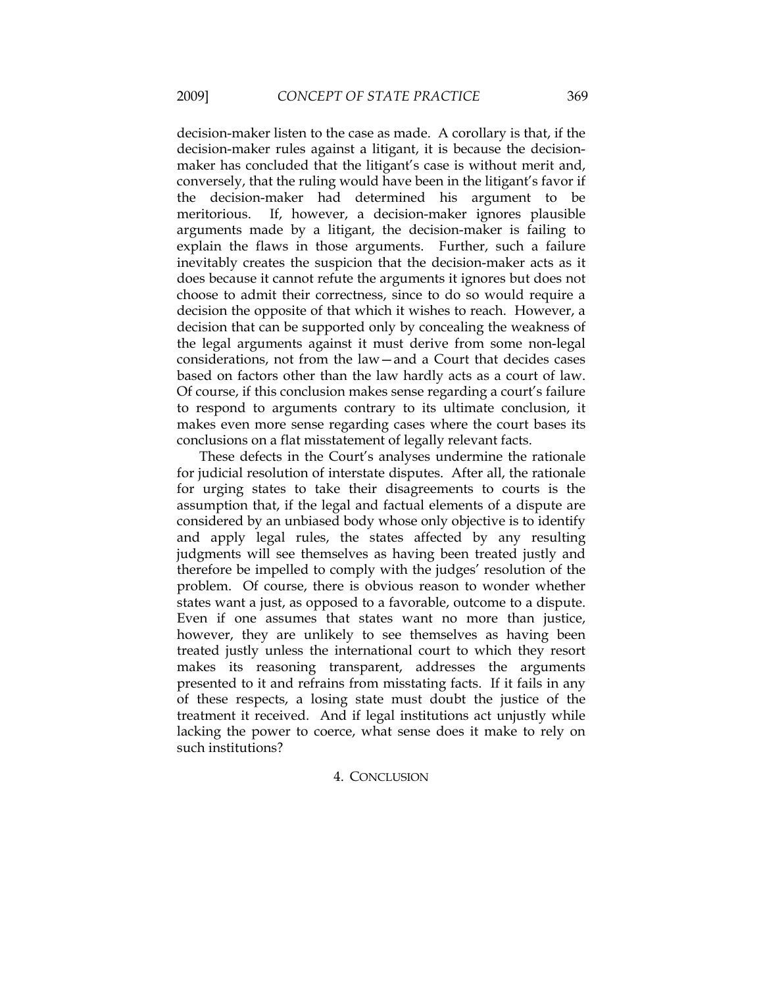decision-maker listen to the case as made. A corollary is that, if the decision-maker rules against a litigant, it is because the decisionmaker has concluded that the litigant's case is without merit and, conversely, that the ruling would have been in the litigant's favor if the decision-maker had determined his argument to be meritorious. If, however, a decision-maker ignores plausible arguments made by a litigant, the decision-maker is failing to explain the flaws in those arguments. Further, such a failure inevitably creates the suspicion that the decision-maker acts as it does because it cannot refute the arguments it ignores but does not choose to admit their correctness, since to do so would require a decision the opposite of that which it wishes to reach. However, a decision that can be supported only by concealing the weakness of the legal arguments against it must derive from some non-legal considerations, not from the law—and a Court that decides cases based on factors other than the law hardly acts as a court of law. Of course, if this conclusion makes sense regarding a court's failure to respond to arguments contrary to its ultimate conclusion, it makes even more sense regarding cases where the court bases its conclusions on a flat misstatement of legally relevant facts.

These defects in the Court's analyses undermine the rationale for judicial resolution of interstate disputes. After all, the rationale for urging states to take their disagreements to courts is the assumption that, if the legal and factual elements of a dispute are considered by an unbiased body whose only objective is to identify and apply legal rules, the states affected by any resulting judgments will see themselves as having been treated justly and therefore be impelled to comply with the judges' resolution of the problem. Of course, there is obvious reason to wonder whether states want a just, as opposed to a favorable, outcome to a dispute. Even if one assumes that states want no more than justice, however, they are unlikely to see themselves as having been treated justly unless the international court to which they resort makes its reasoning transparent, addresses the arguments presented to it and refrains from misstating facts. If it fails in any of these respects, a losing state must doubt the justice of the treatment it received. And if legal institutions act unjustly while lacking the power to coerce, what sense does it make to rely on such institutions?

## 4. CONCLUSION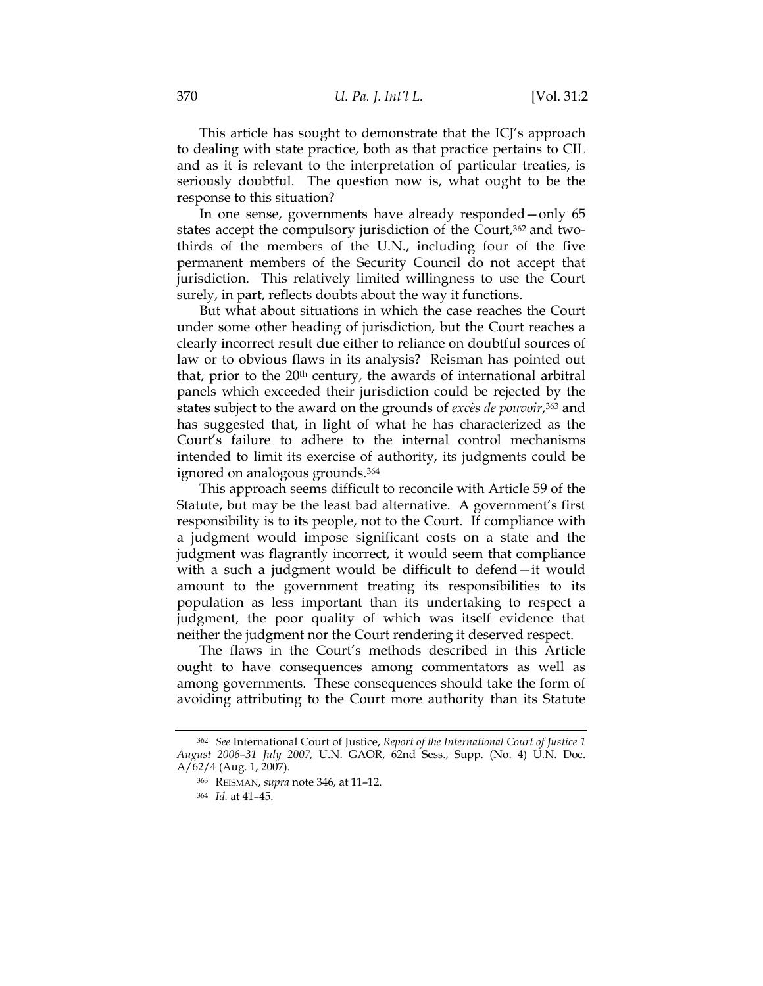This article has sought to demonstrate that the ICJ's approach to dealing with state practice, both as that practice pertains to CIL and as it is relevant to the interpretation of particular treaties, is seriously doubtful. The question now is, what ought to be the response to this situation?

In one sense, governments have already responded—only 65 states accept the compulsory jurisdiction of the Court,<sup>362</sup> and twothirds of the members of the U.N., including four of the five permanent members of the Security Council do not accept that jurisdiction. This relatively limited willingness to use the Court surely, in part, reflects doubts about the way it functions.

But what about situations in which the case reaches the Court under some other heading of jurisdiction, but the Court reaches a clearly incorrect result due either to reliance on doubtful sources of law or to obvious flaws in its analysis? Reisman has pointed out that, prior to the 20<sup>th</sup> century, the awards of international arbitral panels which exceeded their jurisdiction could be rejected by the states subject to the award on the grounds of *excès de pouvoir*,363 and has suggested that, in light of what he has characterized as the Court's failure to adhere to the internal control mechanisms intended to limit its exercise of authority, its judgments could be ignored on analogous grounds.364

This approach seems difficult to reconcile with Article 59 of the Statute, but may be the least bad alternative. A government's first responsibility is to its people, not to the Court. If compliance with a judgment would impose significant costs on a state and the judgment was flagrantly incorrect, it would seem that compliance with a such a judgment would be difficult to defend—it would amount to the government treating its responsibilities to its population as less important than its undertaking to respect a judgment, the poor quality of which was itself evidence that neither the judgment nor the Court rendering it deserved respect.

The flaws in the Court's methods described in this Article ought to have consequences among commentators as well as among governments. These consequences should take the form of avoiding attributing to the Court more authority than its Statute

<sup>362</sup> *See* International Court of Justice, *Report of the International Court of Justice 1 August 2006–31 July 2007,* U.N. GAOR, 62nd Sess., Supp. (No. 4) U.N. Doc. A/62/4 (Aug. 1, 2007).

<sup>363</sup> REISMAN, *supra* note 346, at 11–12.

<sup>364</sup> *Id.* at 41–45.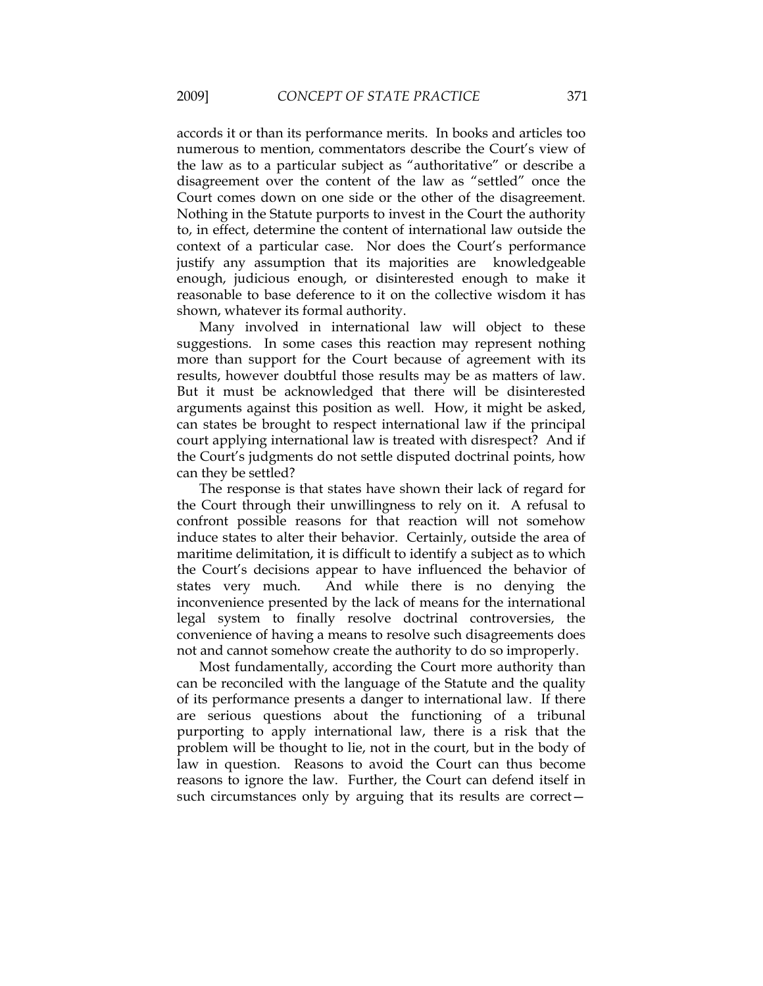accords it or than its performance merits. In books and articles too numerous to mention, commentators describe the Court's view of the law as to a particular subject as "authoritative" or describe a disagreement over the content of the law as "settled" once the Court comes down on one side or the other of the disagreement. Nothing in the Statute purports to invest in the Court the authority to, in effect, determine the content of international law outside the context of a particular case. Nor does the Court's performance justify any assumption that its majorities are knowledgeable enough, judicious enough, or disinterested enough to make it reasonable to base deference to it on the collective wisdom it has shown, whatever its formal authority.

Many involved in international law will object to these suggestions. In some cases this reaction may represent nothing more than support for the Court because of agreement with its results, however doubtful those results may be as matters of law. But it must be acknowledged that there will be disinterested arguments against this position as well. How, it might be asked, can states be brought to respect international law if the principal court applying international law is treated with disrespect? And if the Court's judgments do not settle disputed doctrinal points, how can they be settled?

The response is that states have shown their lack of regard for the Court through their unwillingness to rely on it. A refusal to confront possible reasons for that reaction will not somehow induce states to alter their behavior. Certainly, outside the area of maritime delimitation, it is difficult to identify a subject as to which the Court's decisions appear to have influenced the behavior of states very much. And while there is no denying the inconvenience presented by the lack of means for the international legal system to finally resolve doctrinal controversies, the convenience of having a means to resolve such disagreements does not and cannot somehow create the authority to do so improperly.

Most fundamentally, according the Court more authority than can be reconciled with the language of the Statute and the quality of its performance presents a danger to international law. If there are serious questions about the functioning of a tribunal purporting to apply international law, there is a risk that the problem will be thought to lie, not in the court, but in the body of law in question. Reasons to avoid the Court can thus become reasons to ignore the law. Further, the Court can defend itself in such circumstances only by arguing that its results are correct—